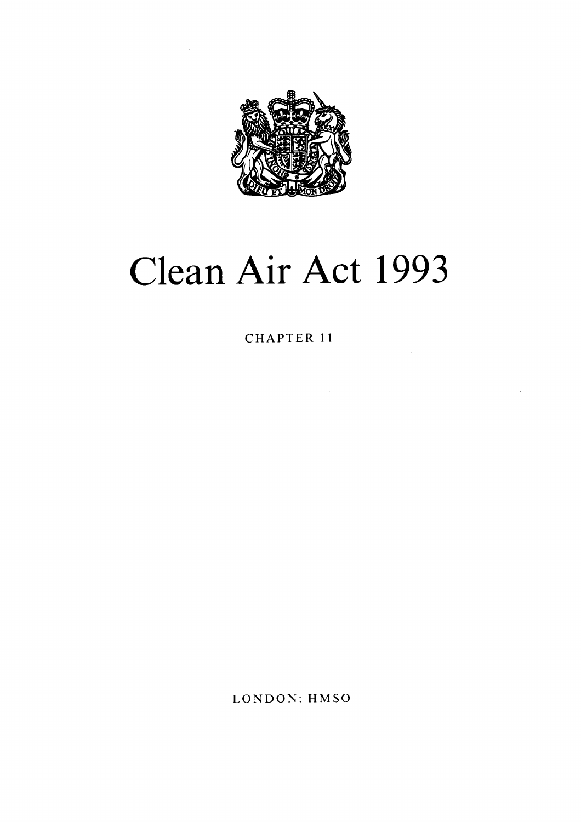

# Clean Air Act 1993

CHAPTER 11

LONDON: HMSO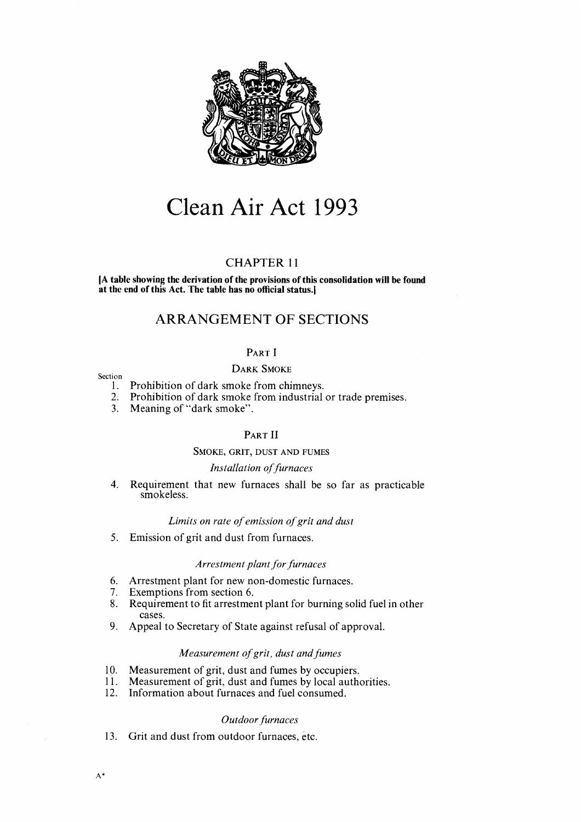

## Clean Air Act 1993

#### CHAPTER <sup>11</sup>

IA table showing the derivation of the provisions of this consolidation will be found at the end of this Act. The table has no official status.j

### ARRANGEMENT OF SECTIONS

#### PART I

#### DARK SMOKE

- Section
	- 1. Prohibition of dark smoke from chimneys.
	- 2. Prohibition of dark smoke from industrial or trade premises.<br>3. Meaning of "dark smoke".
	- Meaning of "dark smoke".

#### PART II

#### SMOKE, GRIT, DUST AND FUMES

#### Installation of furnaces

4. Requirement that new furnaces shall be so far as practicable smokeless.

#### Limits on rate of emission of grit and dust

5. Emission of grit and dust from furnaces.

#### Arrestment plant for furnaces

- 6. Arrestment plant for new non-domestic furnaces.<br>7. Exemptions from section 6.
- 7. Exemptions from section 6.<br>8. Requirement to fit arrestment
- Requirement to fit arrestment plant for burning solid fuel in other cases.
- 9. Appeal to Secretary of State against refusal of approval.

#### Measurement of grit, dust and fumes

- 10. Measurement of grit, dust and fumes by occupiers.<br>11. Measurement of grit, dust and fumes by local author-
- 11. Measurement of grit, dust and fumes by local authorities.<br>12. Information about furnaces and fuel consumed.
- Information about furnaces and fuel consumed.

#### Outdoor furnaces

13. Grit and dust from outdoor furnaces, etc.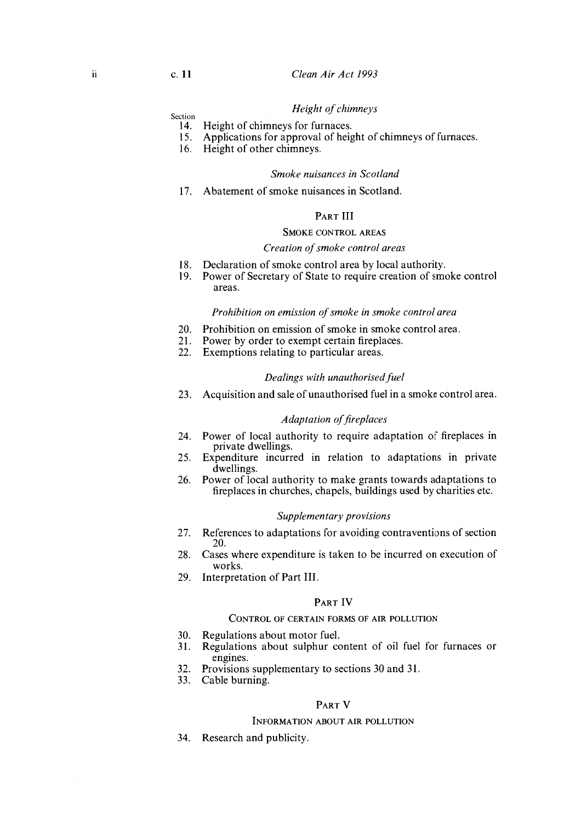#### Height of chimneys

- Section  $14$ . 14. Height of chimneys for furnaces.<br>15. Applications for approval of height
	- Applications for approval of height of chimneys of furnaces.
	- 16. Height of other chimneys.

#### Smoke nuisances in Scotland

17. Abatement of smoke nuisances in Scotland.

#### PART III

#### SMOKE CONTROL AREAS

#### Creation of smoke control areas

- 18. Declaration of smoke control area by local authority.
- 19. Power of Secretary of State to require creation of smoke control areas.

#### Prohibition on emission of smoke in smoke control area

- 20. Prohibition on emission of smoke in smoke control area.
- 21. Power by order to exempt certain fireplaces.
- 22. Exemptions relating to particular areas.

#### Dealings with unauthorised fuel

23. Acquisition and sale of unauthorised fuel in a smoke control area.

#### Adaptation of fireplaces

- 24. Power of local authority to require adaptation of fireplaces in private dwellings.
- 25. Expenditure incurred in relation to adaptations in private dwellings.
- 26. Power of local authority to make grants towards adaptations to fireplaces in churches, chapels, buildings used by charities etc.

#### Supplementary provisions

- 27. References to adaptations for avoiding contraventions of section 20.
- 28. Cases where expenditure is taken to be incurred on execution of works.
- 29. Interpretation of Part III.

#### PART IV

#### CONTROL OF CERTAIN FORMS OF AIR POLLUTION

- 30. Regulations about motor fuel.
- 31. Regulations about sulphur content of oil fuel for furnaces or engines.
- 32. Provisions supplementary to sections 30 and 31.
- 33. Cable burning.

#### PART V

#### INFORMATION ABOUT AIR POLLUTION

34. Research and publicity.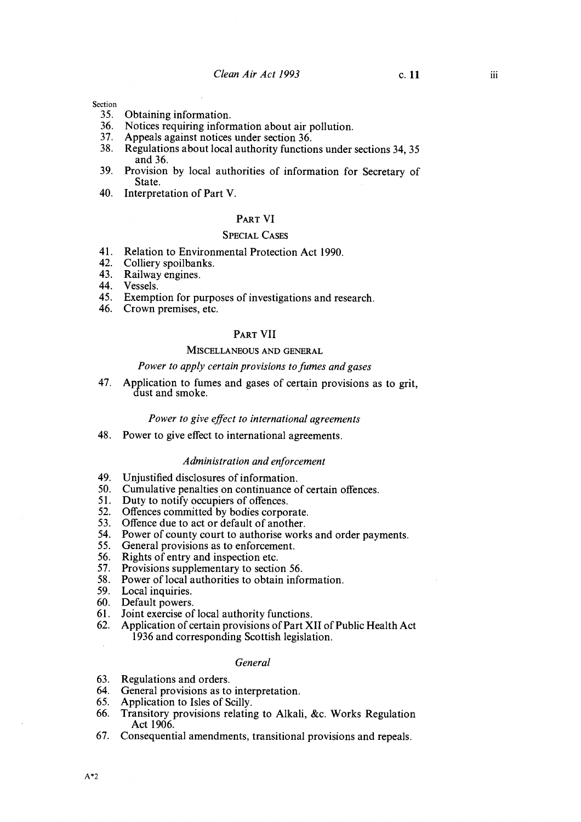Section

- 35. Obtaining information.<br>36. Notices requiring inform
- 36. Notices requiring information about air pollution.
- 37. Appeals against notices under section 36.<br>38. Regulations about local authority function
- Regulations about local authority functions under sections 34, 35 and 36.
- 39. Provision by local authorities of information for Secretary of State.
- 40. Interpretation of Part V.

#### PART VI

#### SPECIAL CASES

- 41. Relation to Environmental Protection Act 1990.<br>42. Colliery spoilbanks.
- Colliery spoilbanks.
- 43. Railway engines.
- Vessels.
- 45. Exemption for purposes of investigations and research.
- 46. Crown premises, etc.

#### PART VII

#### MISCELLANEOUS AND GENERAL

#### Power to apply certain provisions to fumes and gases

47. Application to fumes and gases of certain provisions as to grit, dust and smoke.

#### Power to give effect to international agreements

48. Power to give effect to international agreements.

#### Administration and enforcement

- 49. Unjustified disclosures of information.
- 50. Cumulative penalties on continuance of certain offences.
- 51. Duty to notify occupiers of offences.
- 52. Offences committed by bodies corporate.<br>53. Offence due to act or default of another.
- 53. Offence due to act or default of another.<br>54. Power of county court to authorise work
- 54. Power of county court to authorise works and order payments.<br>55. General provisions as to enforcement.
- 55. General provisions as to enforcement.<br>56. Rights of entry and inspection etc.
- Rights of entry and inspection etc.
- 57. Provisions supplementary to section 56.
- 58. Power of local authorities to obtain information.
- 59. Local inquiries.
- 60. Default powers.<br>61. Joint exercise of
- 61. Joint exercise of local authority functions.<br>62. Application of certain provisions of Part X
- Application of certain provisions of Part XII of Public Health Act 1936 and corresponding Scottish legislation.

#### General

- 63. Regulations and orders.
- 64. General provisions as to interpretation.<br>65. Application to Isles of Scilly
- 65. Application to Isles of Scilly.<br>66. Transitory provisions relatin
- Transitory provisions relating to Alkali, &c. Works Regulation Act 1906.
- 67. Consequential amendments, transitional provisions and repeals.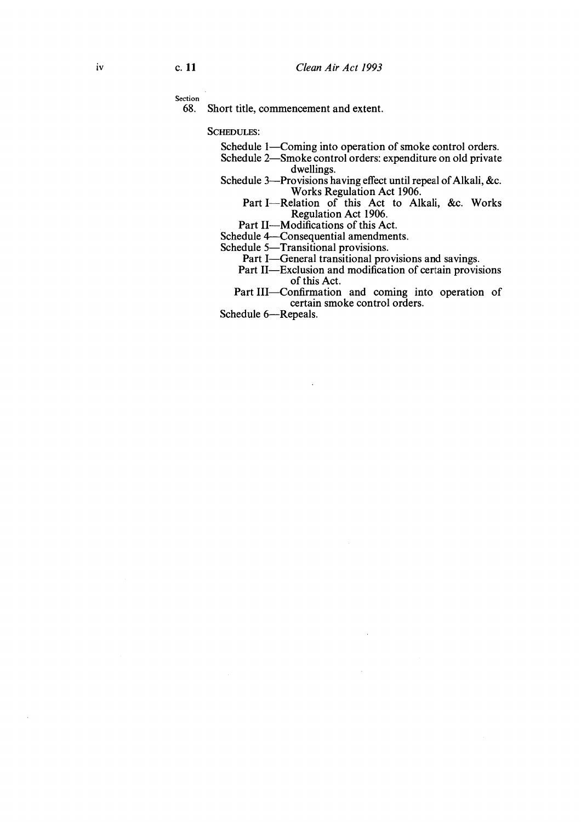Section<br>68.

Short title, commencement and extent.

#### SCHEDULES:

- Schedule 1—Coming into operation of smoke control orders.
- Schedule 2—Smoke control orders: expenditure on old private dwellings.
- Schedule 3—Provisions having effect until repeal of Alkali, &c. Works Regulation Act 1906.
	- Part I—Relation of this Act to Alkali, &c. Works Regulation Act 1906.
	- Part Il—Modifications of this Act.
- Schedule 4—Consequential amendments.
- Schedule 5—Transitional provisions.
	- Part I—General transitional provisions and savings.
	- Part Il—Exclusion and modification of certain provisions of this Act.
	- Part Ill—Confirmation and coming into operation of certain smoke control orders.
- Schedule 6—Repeals.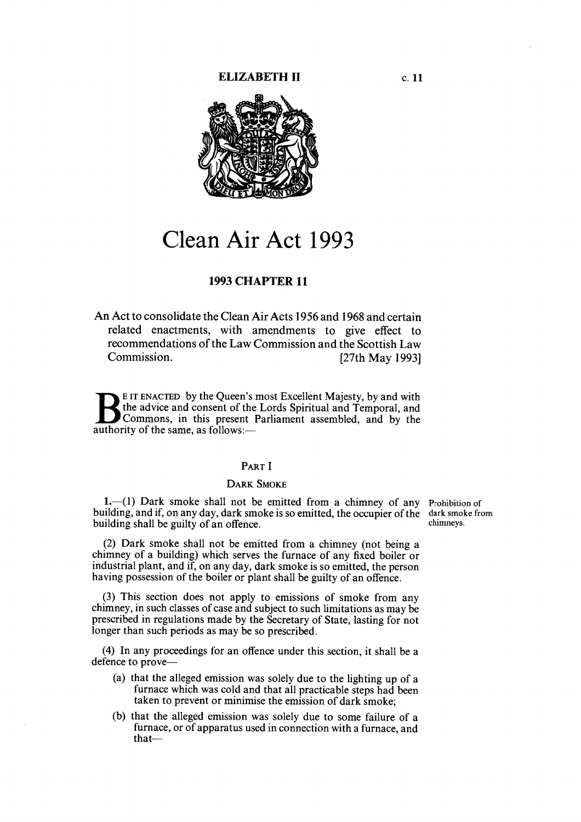

## Clean Air Act 1993

#### 1993 CHAPTER 11

An Act to consolidate the Clean Air Acts 1956 and 1968 and certain related enactments, with amendments to give effect to recommendations of the Law Commission and the Scottish Law Commission. [27th May 1993]

**B ETT ENACTED by the Queen's most Excellent Majesty, by and with the advice and consent of the Lords Spiritual and Temporal, and Commons, in this present Parliament assembled, and by the authority of the same as follows:** the advice and consent of the Lords Spiritual and Temporal, and authority of the same, as follows:—

#### PART I

#### DARK SMOKE

 $1$ —(1) Dark smoke shall not be emitted from a chimney of any Prohibition of building, and if, on any day, dark smoke is so emitted, the occupier of the dark smoke from building shall be guilty of an offence.

(2) Dark smoke shall not be emitted from a chimney (not being a chimney of a building) which serves the furnace of any fixed boiler or industrial plant, and if, on any day, dark smoke is so emitted, the person having possession of the boiler or plant shall be guilty of an offence.

(3) This section does not apply to emissions of smoke from any chimney, in such classes of case and subject to such limitations as may be prescribed in regulations made by the Secretary of State, lasting for not longer than such periods as may be so prescribed.

(4) In any proceedings for an offence under this section, it shall be a defence to prove—

- (a) that the alleged emission was solely due to the lighting up of a furnace which was cold and that all practicable steps had been taken to prevent or minimise the emission of dark smoke;
- (b) that the alleged emission was solely due to some failure of a furnace, or of apparatus used in connection with a furnace, and that—

chimneys.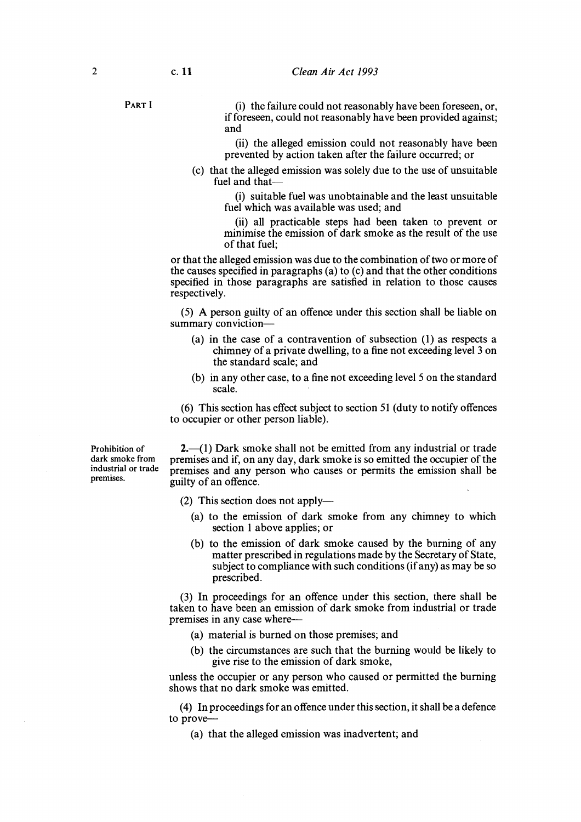PART I (i) the failure could not reasonably have been foreseen, or, if foreseen, could not reasonably have been provided against; and

> (ii) the alleged emission could not reasonably have been prevented by action taken after the failure occurred; or

(c) that the alleged emission was solely due to the use of unsuitable fuel and that—

> (i) suitable fuel was unobtainable and the least unsuitable fuel which was available was used; and

> (ii) all practicable steps had been taken to prevent or minimise the emission of dark smoke as the result of the use of that fuel;

or that the alleged emission was due to the combination of two or more of the causes specified in paragraphs (a) to (c) and that the other conditions specified in those paragraphs are satisfied in relation to those causes respectively.

(5) A person guilty of an offence under this section shall be liable on summary conviction—

- (a) in the case of a contravention of subsection (1) as respects a chimney of a private dwelling, to a fine not exceeding level 3 on the standard scale; and
- (b) in any other case, to a fine not exceeding level 5 on the standard scale.

(6) This section has effect subject to section 51 (duty to notify offences to occupier or other person liable).

Prohibition of 2.—(1) Dark smoke shall not be emitted from any industrial or trade<br>dark smoke from premises and if on any day dark smoke is so emitted the occupier of the dark smoke from premises and if, on any day, dark smoke is so emitted the occupier of the industrial or trade premises and any nerson who causes or permits the emission shall be industrial or trade premises and any person who causes or permits the emission shall be premises. guilty of an offence.

- (2) This section does not apply—
	- (a) to the emission of dark smoke from any chimney to which section 1 above applies; or
	- (b) to the emission of dark smoke caused by the burning of any matter prescribed in regulations made by the Secretary of State, subject to compliance with such conditions (if any) as may be so prescribed.

(3) In proceedings for an offence under this section, there shall be taken to have been an emission of dark smoke from industrial or trade premises in any case where—

- (a) material is burned on those premises; and
- (b) the circumstances are such that the burning would be likely to give rise to the emission of dark smoke,

unless the occupier or any person who caused or permitted the burning shows that no dark smoke was emitted.

(4) In proceedings for an offence under this section, it shall be a defence to prove—

(a) that the alleged emission was inadvertent; and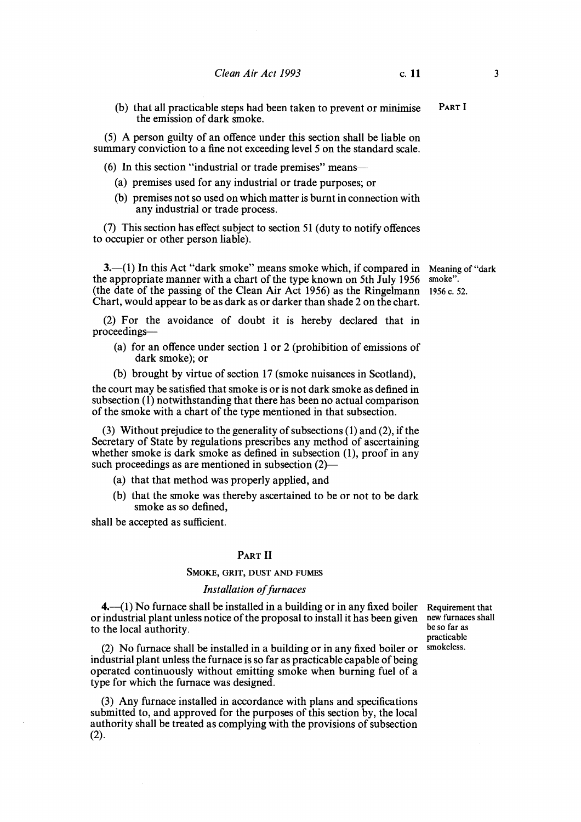(b) that all practicable steps had been taken to prevent or minimise PART <sup>I</sup> the emission of dark smoke.

(5) A person guilty of an offence under this section shall be liable on summary conviction to a fine not exceeding level 5 on the standard scale.

- (6) In this section "industrial or trade premises" means—
	- (a) premises used for any industrial or trade purposes; or
	- (b) premises not so used on which matter is burnt in connection with any industrial or trade process.

(7) This section has effect subject to section 51 (duty to notify offences to occupier or other person liable).

3.—(1) In this Act "dark smoke" means smoke which, if compared in Meaning of "dark e appropriate manner with a chart of the type known on 5th July 1956 smoke". the appropriate manner with a chart of the type known on 5th July 1956 (the date of the passing of the Clean Air Act 1956) as the Ringelmann 1956 c. 52. Chart, would appear to be as dark as or darker than shade 2 on the chart.

(2) For the avoidance of doubt it is hereby declared that in proceedings—

- (a) for an offence under section 1 or 2 (prohibition of emissions of dark smoke); or
- (b) brought by virtue of section 17 (smoke nuisances in Scotland),

the court may be satisfied that smoke is or is not dark smoke as defined in subsection (1) notwithstanding that there has been no actual comparison of the smoke with a chart of the type mentioned in that subsection.

(3) Without prejudice to the generality of subsections (1) and (2), if the Secretary of State by regulations prescribes any method of ascertaining whether smoke is dark smoke as defined in subsection (1), proof in any such proceedings as are mentioned in subsection (2)—

- (a) that that method was properly applied, and
- (b) that the smoke was thereby ascertained to be or not to be dark smoke as so defined,

shall be accepted as sufficient.

#### PART II

#### SMOKE, GRIT, DUST AND FUMES

#### Installation of furnaces

4.—( $1$ ) No furnace shall be installed in a building or in any fixed boiler Requirement that industrial plant unless notice of the proposal to install it has been given new furnaces shall or industrial plant unless notice of the proposal to install it has been given new furnace<br>to the local authority to the local authority.

(2) No furnace shall be installed in a building or in any fixed boiler or industrial plant unless the furnace is so far as practicable capable of being operated continuously without emitting smoke when burning fuel of a type for which the furnace was designed.

(3) Any furnace installed in accordance with plans and specifications submitted to, and approved for the purposes of this section by, the local authority shall be treated as complying with the provisions of subsection (2).

practicable<br>smokeless.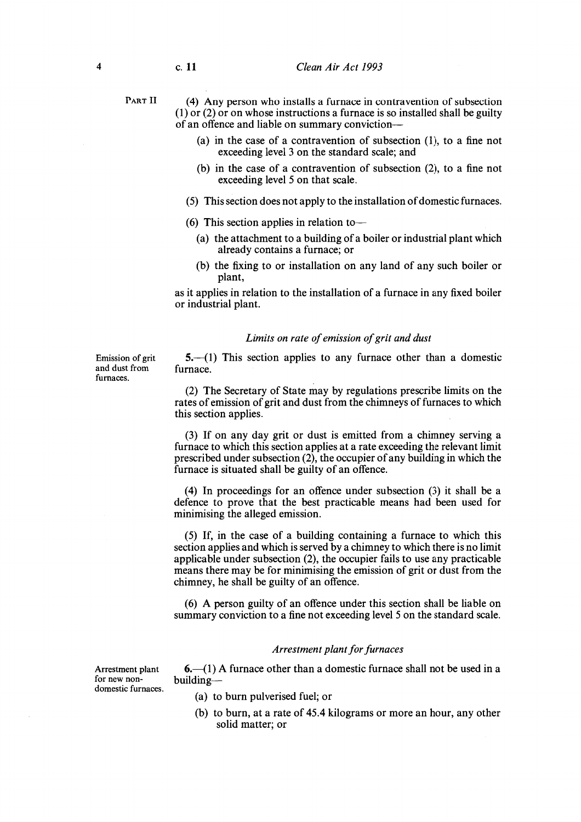PART II (4) Any person who installs a furnace in contravention of subsection (1) or (2) or on whose instructions a furnace is so installed shall be guilty of an offence and liable on summary conviction—

- (a) in the case of a contravention of subsection (1), to a fine not exceeding level 3 on the standard scale; and
- (b) in the case of a contravention of subsection (2), to a fine not exceeding level 5 on that scale.
- (5) This section does not apply to the installation of domestic furnaces.
- (6) This section applies in relation to—
	- (a) the attachment to a building of a boiler or industrial plant which already contains a furnace; or
	- (b) the fixing to or installation on any land of any such boiler or plant,

as it applies in relation to the installation of a furnace in any fixed boiler or industrial plant.

#### Limits on rate of emission of grit and dust

and dust from furnace. furnaces.

Emission of grit  $5-(1)$  This section applies to any furnace other than a domestic

(2) The Secretary of State may by regulations prescribe limits on the rates of emission of grit and dust from the chimneys of furnaces to which this section applies.

(3) If on any day grit or dust is emitted from a chimney serving a furnace to which this section applies at a rate exceeding the relevant limit prescribed under subsection (2), the occupier of any building in which the furnace is situated shall be guilty of an offence.

(4) In proceedings for an offence under subsection (3) it shall be a defence to prove that the best practicable means had been used for minimising the alleged emission.

(5) If, in the case of a building containing a furnace to which this section applies and which is served by a chimney to which there is no limit applicable under subsection (2), the occupier fails to use any practicable means there may be for minimising the emission of grit or dust from the chimney, he shall be guilty of an offence.

(6) A person guilty of an offence under this section shall be liable on summary conviction to a fine not exceeding level 5 on the standard scale.

#### Arrestment plant for furnaces

Arrestment plant  $\begin{array}{c} 6. - (1)$  A furnace other than a domestic furnace shall not be used in a for new non-<br>for new nonbuilding—

- (a) to burn pulverised fuel; or
- (b) to burn, at a rate of 45.4 kilograms or more an hour, any other solid matter; or

domestic furnaces.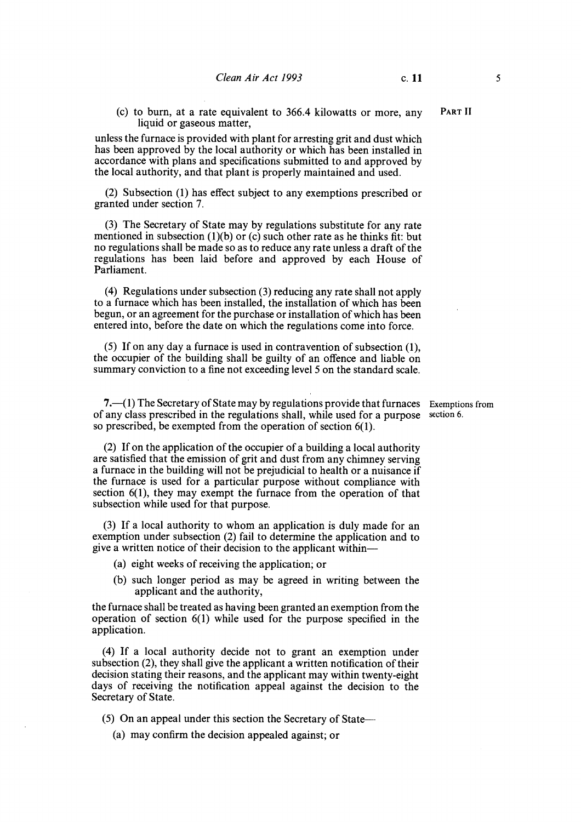(c) to burn, at a rate equivalent to 366.4 kilowatts or more, any PART II liquid or gaseous matter,

unless the furnace is provided with plant for arresting grit and dust which has been approved by the local authority or which has been installed in accordance with plans and specifications submitted to and approved by the local authority, and that plant is properly maintained and used.

(2) Subsection (1) has effect subject to any exemptions prescribed or granted under section 7.

(3) The Secretary of State may by regulations substitute for any rate mentioned in subsection  $(1)(b)$  or  $(c)$  such other rate as he thinks fit: but no regulations shall be made so as to reduce any rate unless a draft of the regulations has been laid before and approved by each House of Parliament.

(4) Regulations under subsection (3) reducing any rate shall not apply to a furnace which has been installed, the installation of which has been begun, or an agreement for the purchase or installation of which has been entered into, before the date on which the regulations come into force.

(5) If on any day a furnace is used in contravention of subsection (1), the occupier of the building shall be guilty of an offence and liable on summary conviction to a fine not exceeding level 5 on the standard scale.

7.—(1) The Secretary of State may by regulations provide that furnaces Exemptions from of any class prescribed in the regulations shall, while used for a purpose section 6. so prescribed, be exempted from the operation of section 6(1).

(2) If on the application of the occupier of a building a local authority are satisfied that the emission of grit and dust from any chimney serving a furnace in the building will not be prejudicial to health or a nuisance if the furnace is used for a particular purpose without compliance with section 6(1), they may exempt the furnace from the operation of that subsection while used for that purpose.

(3) If a local authority to whom an application is duly made for an exemption under subsection (2) fail to determine the application and to give a written notice of their decision to the applicant within—

- (a) eight weeks of receiving the application; or
- (b) such longer period as may be agreed in writing between the applicant and the authority,

the furnace shall be treated as having been granted an exemption from the operation of section 6(1) while used for the purpose specified in the application.

(4) If a local authority decide not to grant an exemption under subsection (2), they shall give the applicant a written notification of their decision stating their reasons, and the applicant may within twenty-eight days of receiving the notification appeal against the decision to the Secretary of State.

(5) On an appeal under this section the Secretary of State—

(a) may confirm the decision appealed against; or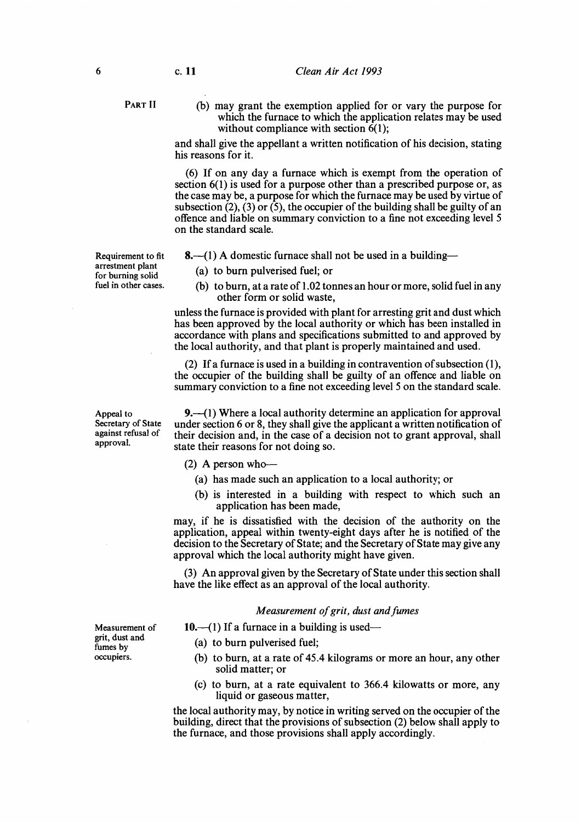PART II (b) may grant the exemption applied for or vary the purpose for which the furnace to which the application relates may be used without compliance with section 6(1);

> and shall give the appellant a written notification of his decision, stating his reasons for it.

> (6) If on any day a furnace which is exempt from the operation of section 6(1) is used for a purpose other than a prescribed purpose or, as the case may be, a purpose for which the furnace may be used by virtue of subsection  $(2)$ ,  $(3)$  or  $(5)$ , the occupier of the building shall be guilty of an offence and liable on summary conviction to a fine not exceeding level <sup>5</sup> on the standard scale.

Requirement to fit  $8.-(1)$  A domestic furnace shall not be used in a building—arrestment plant

- (a) to burn pulverised fuel; or
- fuel in other cases. (b) to burn, at a rate of 1.02 tonnes an hour or more, solid fuel in any other form or solid waste,

unless the furnace is provided with plant for arresting grit and dust which has been approved by the local authority or which has been installed in accordance with plans and specifications submitted to and approved by the local authority, and that plant is properly maintained and used.

(2) If a furnace is used in a building in contravention of subsection (1), the occupier of the building shall be guilty of an offence and liable on summary conviction to a fine not exceeding level 5 on the standard scale.

Appeal to  $9$ —(1) Where a local authority determine an application for approval<br>Secretary of State under section 6 or 8 they shall give the applicant a written notification of Secretary of State under section 6 or 8, they shall give the applicant a written notification of against refusal of their decision and in the case of a decision not to grant approval shall against refusal of their decision and, in the case of a decision not to grant approval, shall<br>approval. state their reasons for not doing so.

(2) A person who—

- (a) has made such an application to a local authority; or
- (b) is interested in a building with respect to which such an application has been made,

may, if he is dissatisfied with the decision of the authority on the application, appeal within twenty-eight days after he is notified of the decision to the Secretary of State; and the Secretary of State may give any approval which the local authority might have given.

(3) An approval given by the Secretary of State under this section shall have the like effect as an approval of the local authority.

#### Measurement of grit, dust and fumes

Measurement of  $10,-(1)$  If a furnace in a building is used—

- (a) to burn pulverised fuel;
- occupiers. (b) to burn, at a rate of 45.4 kilograms or more an hour, any other solid matter; or
	- (c) to burn, at a rate equivalent to 366.4 kilowatts or more, any liquid or gaseous matter,

the local authority may, by notice in writing served on the occupier of the building, direct that the provisions of subsection (2) below shall apply to the furnace, and those provisions shall apply accordingly.

grit, dust and<br>fumes by

for burning solid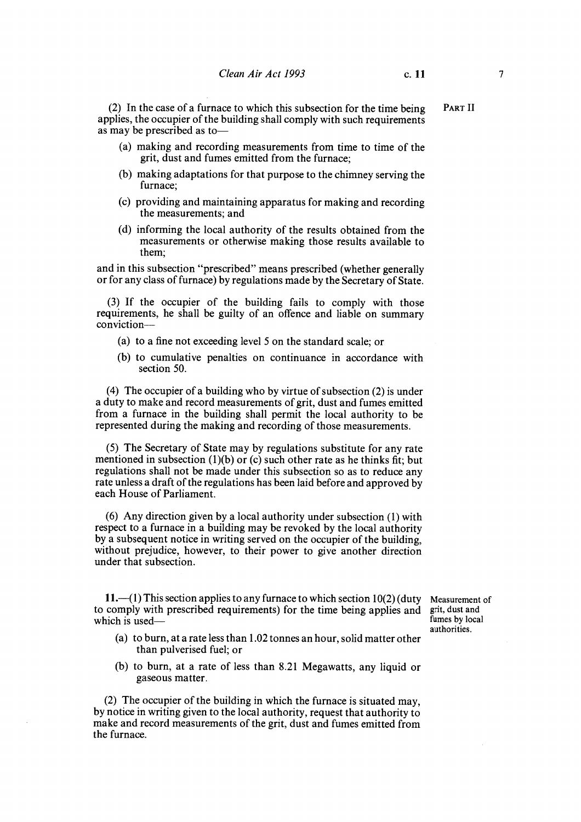(2) In the case of a furnace to which this subsection for the time being PART II applies, the occupier of the building shall comply with such requirements as may be prescribed as to—

- (a) making and recording measurements from time to time of the grit, dust and fumes emitted from the furnace;
- (b) making adaptations for that purpose to the chimney serving the furnace;
- (c) providing and maintaining apparatus for making and recording the measurements; and
- (d) informing the local authority of the results obtained from the measurements or otherwise making those results available to them;

and in this subsection "prescribed" means prescribed (whether generally or for any class of furnace) by regulations made by the Secretary of State.

(3) If the occupier of the building fails to comply with those requirements, he shall be guilty of an offence and liable on summary conviction—

- (a) to a fine not exceeding level 5 on the standard scale; or
- (b) to cumulative penalties on continuance in accordance with section 50.

(4) The occupier of a building who by virtue of subsection (2) is under a duty to make and record measurements of grit, dust and fumes emitted from a furnace in the building shall permit the local authority to be represented during the making and recording of those measurements.

(5) The Secretary of State may by regulations substitute for any rate mentioned in subsection  $(1)(b)$  or  $(c)$  such other rate as he thinks fit; but regulations shall not be made under this subsection so as to reduce any rate unless a draft of the regulations has been laid before and approved by each House of Parliament.

(6) Any direction given by a local authority under subsection (1) with respect to a furnace in a building may be revoked by the local authority by a subsequent notice in writing served on the occupier of the building, without prejudice, however, to their power to give another direction under that subsection.

11.—(1) This section applies to any furnace to which section  $10(2)$  (duty Measurement of comply with prescribed requirements) for the time being applies and grit, dust and to comply with prescribed requirements) for the time being applies and grit, dust and which is used which is used— $f$ 

authorities.

- (a) to burn, at a rate less than 1.02 tonnes an hour, solid matter other than pulverised fuel; or
- (b) to burn, at a rate of less than 8.21 Megawatts, any liquid or gaseous matter.

(2) The occupier of the building in which the furnace is situated may, by notice in writing given to the local authority, request that authority to make and record measurements of the grit, dust and fumes emitted from the furnace.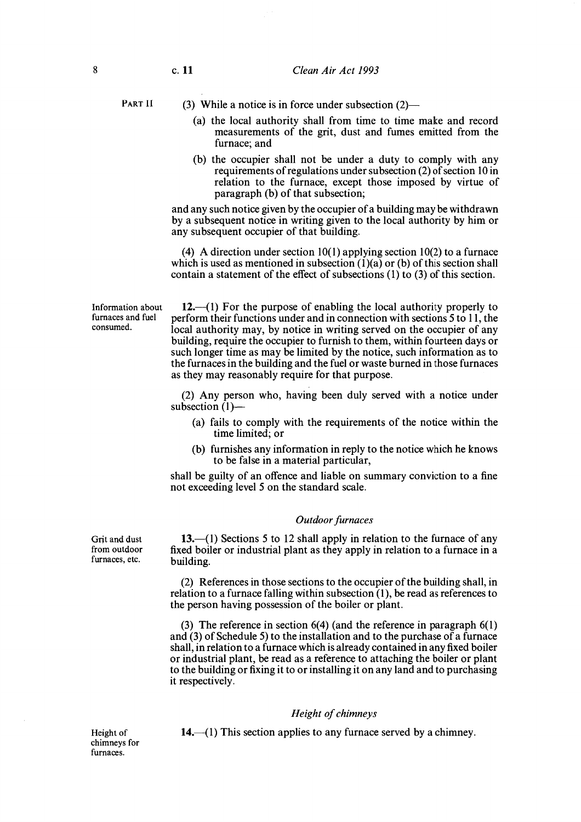- PART II (3) While a notice is in force under subsection  $(2)$ 
	- (a) the local authority shall from time to time make and record measurements of the grit, dust and fumes emitted from the furnace; and
	- (b) the occupier shall not be under a duty to comply with any requirements of regulations under subsection (2) of section 10 in relation to the furnace, except those imposed by virtue of paragraph (b) of that subsection;

and any such notice given by the occupier of a building may be withdrawn by a subsequent notice in writing given to the local authority by him or any subsequent occupier of that building.

(4) A direction under section 10(1) applying section 10(2) to a furnace which is used as mentioned in subsection  $(1)(a)$  or (b) of this section shall contain a statement of the effect of subsections (1) to (3) of this section.

Information about  $12$ —(1) For the purpose of enabling the local authority properly to furnaces and fuel perform their functions under and in connection with sections 5 to 11, the furnaces and fuel perform their functions under and in connection with sections 5 to 11, the consumed local authority may, by notice in writing served on the occupier of any building, require the occupier to furnish to them, within fourteen days or such longer time as may be limited by the notice, such information as to the furnaces in the building and the fuel or waste burned in those furnaces as they may reasonably require for that purpose.

> (2) Any person who, having been duly served with a notice under subsection  $(1)$ -

- (a) fails to comply with the requirements of the notice within the time limited; or
- (b) furnishes any information in reply to the notice which he knows to be false in a material particular,

shall be guilty of an offence and liable on summary conviction to a fine not exceeding level 5 on the standard scale.

#### Outdoor furnaces

Grit and dust  $13.$ —(1) Sections 5 to 12 shall apply in relation to the furnace of any from outdoor fixed boiler or industrial plant as they apply in relation to a furnace in a fixed boiler or industrial plant as they apply in relation to a furnace in a

> (2) References in those sections to the occupier of the building shall, in relation to a furnace falling within subsection (1), be read as references to the person having possession of the boiler or plant.

> (3) The reference in section 6(4) (and the reference in paragraph 6(1) and (3) of Schedule 5) to the installation and to the purchase of a furnace shall, in relation to a furnace which is already contained in any fixed boiler or industrial plant, be read as a reference to attaching the boiler or plant to the building or fixing it to or installing it on any land and to purchasing it respectively.

#### Height of chimneys

Height of  $14$ ,—(1) This section applies to any furnace served by a chimney.

furnaces, etc. building.

chimneys for furnaces.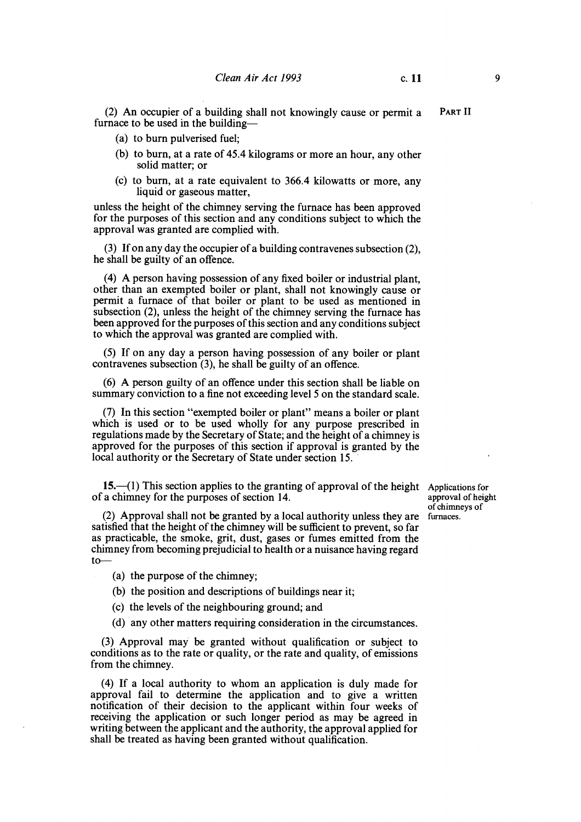(2) An occupier of a building shall not knowingly cause or permit a PART II furnace to be used in the building—

- (a) to burn pulverised fuel;
- (b) to burn, at a rate of 45.4 kilograms or more an hour, any other solid matter; or
- (c) to burn, at a rate equivalent to 366.4 kilowatts or more, any liquid or gaseous matter,

unless the height of the chimney serving the furnace has been approved for the purposes of this section and any conditions subject to which the approval was granted are complied with.

(3) If on any day the occupier of a building contravenes subsection (2), he shall be guilty of an offence.

(4) A person having possession of any fixed boiler or industrial plant, other than an exempted boiler or plant, shall not knowingly cause or permit a furnace of that boiler or plant to be used as mentioned in subsection (2), unless the height of the chimney serving the furnace has been approved for the purposes of this section and any conditions subject to which the approval was granted are complied with.

(5) If on any day a person having possession of any boiler or plant contravenes subsection (3), he shall be guilty of an offence.

(6) A person guilty of an offence under this section shall be liable on summary conviction to a fine not exceeding level 5 on the standard scale.

(7) In this section "exempted boiler or plant" means a boiler or plant which is used or to be used wholly for any purpose prescribed in regulations made by the Secretary of State; and the height of a chimney is approved for the purposes of this section if approval is granted by the local authority or the Secretary of State under section 15.

15.—(1) This section applies to the granting of approval of the height Applications for a chimney for the purposes of section 14. of a chimney for the purposes of section 14.

(2) Approval shall not be granted by a local authority unless they are furnaces. satisfied that the height of the chimney will be sufficient to prevent, so far as practicable, the smoke, grit, dust, gases or fumes emitted from the chimney from becoming prejudicial to health or a nuisance having regard  $t$ <sup> $\sim$ </sup>

- (a) the purpose of the chimney;
- (b) the position and descriptions of buildings near it;
- (c) the levels of the neighbouring ground; and
- (d) any other matters requiring consideration in the circumstances.

(3) Approval may be granted without qualification or subject to conditions as to the rate or quality, or the rate and quality, of emissions from the chimney.

(4) If a local authority to whom an application is duly made for approval fail to determine the application and to give a written notification of their decision to the applicant within four weeks of receiving the application or such longer period as may be agreed in writing between the applicant and the authority, the approval applied for shall be treated as having been granted without qualification.

of chimneys of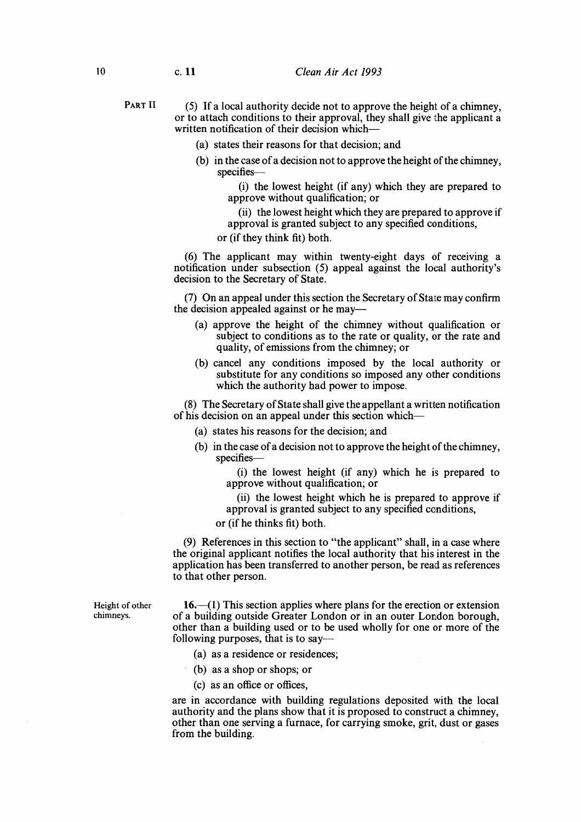- PART II (5) If a local authority decide not to approve the height of a chimney, or to attach conditions to their approval, they shall give the applicant a written notification of their decision which-
	- (a) states their reasons for that decision; and
	- (b) in the case of a decision not to approve the height of the chimney, specifies—

(i) the lowest height (if any) which they are prepared to approve without qualification; or

(ii) the lowest height which they are prepared to approve if approval is granted subject to any specified conditions,

or (if they think fit) both.

(6) The applicant may within twenty-eight days of receiving a notification under subsection (5) appeal against the local authority's decision to the Secretary of State.

(7) On an appeal under this section the Secretary of State may confirm the decision appealed against or he may—

- (a) approve the height of the chimney without qualification or subject to conditions as to the rate or quality, or the rate and quality, of emissions from the chimney; or
- (b) cancel any conditions imposed by the local authority or substitute for any conditions so imposed any other conditions which the authority had power to impose.

(8) The Secretary of State shall give the appellant a written notification of his decision on an appeal under this section which—

- (a) states his reasons for the decision; and
- (b) in the case of a decision not to approve the height of the chimney, specifies—

(i) the lowest height (if any) which he is prepared to approve without qualification; or

(ii) the lowest height which he is prepared to approve if approval is granted subject to any specified conditions,

or (if he thinks fit) both.

(9) References in this section to "the applicant" shall, in a case where the original applicant notifies the local authority that his interest in the application has been transferred to another person, be read as references to that other person.

Height of other  $16.$ —(1) This section applies where plans for the erection or extension chimneys.  $\overline{a}$  building outside Greater London or in an outer London borough of a building outside Greater London or in an outer London borough, other than a building used or to be used wholly for one or more of the following purposes, that is to say—

- (a) as a residence or residences;
- (b) as a shop or shops; or
- (c) as an office or offices,

are in accordance with building regulations deposited with the local authority and the plans show that it is proposed to construct a chimney, other than one serving a furnace, for carrying smoke, grit, dust or gases from the building.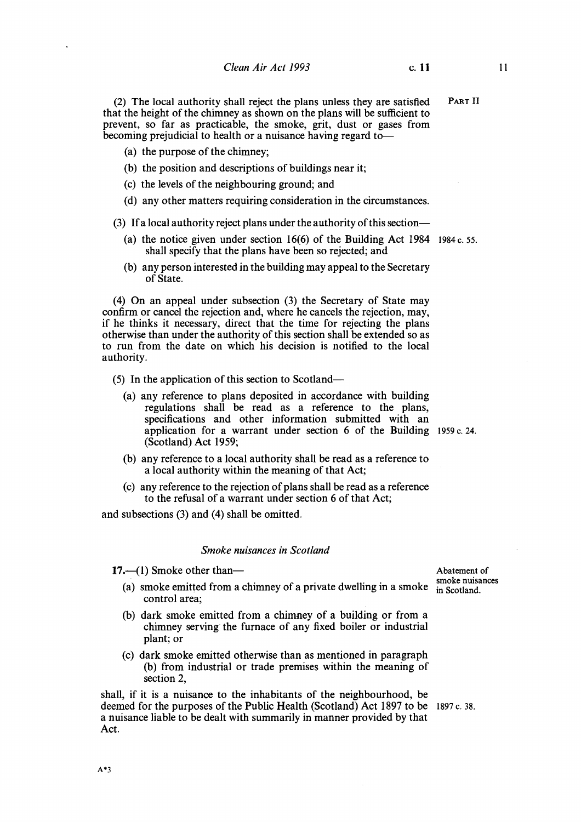(2) The local authority shall reject the plans unless they are satisfied PART II that the height of the chimney as shown on the plans will be sufficient to prevent, so far as practicable, the smoke, grit, dust or gases from becoming prejudicial to health or a nuisance having regard to—

(a) the purpose of the chimney;

(b) the position and descriptions of buildings near it;

(c) the levels of the neighbouring ground; and

(d) any other matters requiring consideration in the circumstances.

(3) If a local authority reject plans under the authority of this section—

- (a) the notice given under section  $16(6)$  of the Building Act 1984 1984 c. 55. shall specify that the plans have been so rejected; and
- (b) any person interested in the building may appeal to the Secretary of State.

(4) On an appeal under subsection (3) the Secretary of State may confirm or cancel the rejection and, where he cancels the rejection, may, if he thinks it necessary, direct that the time for rejecting the plans otherwise than under the authority of this section shall be extended so as to run from the date on which his decision is notified to the local authority.

(5) In the application of this section to Scotland—

- (a) any reference to plans deposited in accordance with building regulations shall be read as a reference to the plans, specifications and other information submitted with an application for a warrant under section 6 of the Building 1959 c. 24. (Scotland) Act 1959;
- (b) any reference to a local authority shall be read as a reference to a local authority within the meaning of that Act;
- (c) any reference to the rejection of plans shall be read as a reference to the refusal of a warrant under section 6 of that Act;

and subsections (3) and (4) shall be omitted.

#### Smoke nuisances in Scotland

17.—(1) Smoke other than— Abatement of

- (a) smoke emitted from a chimney of a private dwelling in a smoke  $\frac{3 \text{ mV}}{\text{in Scotland}}$ . control area;
- (b) dark smoke emitted from a chimney of a building or from a chimney serving the furnace of any fixed boiler or industrial plant; or
- (c) dark smoke emitted otherwise than as mentioned in paragraph (b) from industrial or trade premises within the meaning of section 2,

shall, if it is a nuisance to the inhabitants of the neighbourhood, be deemed for the purposes of the Public Health (Scotland) Act 1897 to be 1897 c. 38. a nuisance liable to be dealt with summarily in manner provided by that Act.

smoke nuisances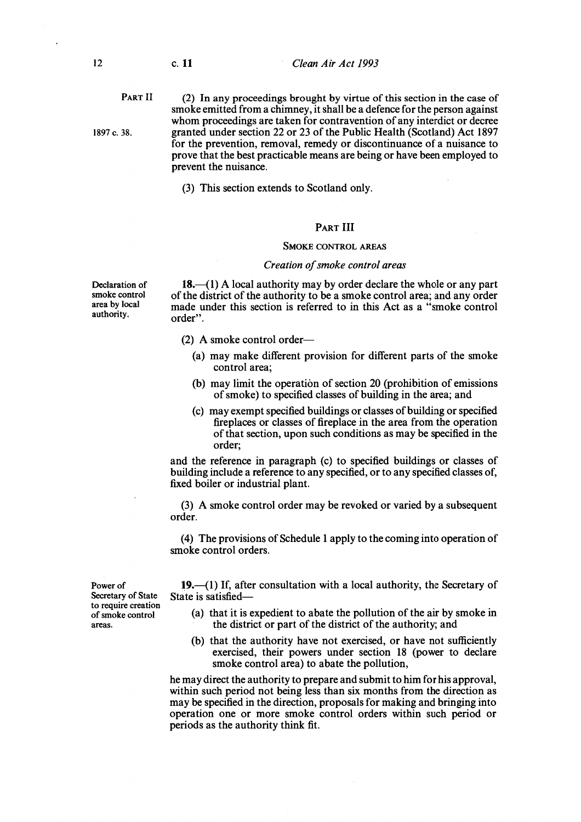PART II (2) In any proceedings brought by virtue of this section in the case of smoke emitted from a chimney, it shall be a defence for the person against whom proceedings are taken for contravention of any interdict or decree <sup>1897</sup>c. 38. granted under section 22 or 23 of the Public Health (Scotland) Act 1897 for the prevention, removal, remedy or discontinuance of a nuisance to prove that the best practicable means are being or have been employed to prevent the nuisance.

(3) This section extends to Scotland only.

#### PART III

#### SMoKE CONTROL AREAS

#### Creation of smoke control areas

Declaration of 18.—(1) A local authority may by order declare the whole or any part smoke control  $\alpha$  of the district of the authority to be a smoke control area; and any order smoke control of the district of the authority to be a smoke control area; and any order<br>area by local made under this section is referred to in this Act as a "smoke control area by local made under this section is referred to in this Act as a "smoke control authority. order".

(2) A smoke control order—

- (a) may make different provision for different parts of the smoke control area;
- (b) may limit the operation of section 20 (prohibition of emissions of smoke) to specified classes of building in the area; and
- (c) may exempt specified buildings or classes of building or specified fireplaces or classes of fireplace in the area from the operation of that section, upon such conditions as may be specified in the order;

and the reference in paragraph (c) to specified buildings or classes of building include a reference to any specified, or to any specified classes of, fixed boiler or industrial plant.

(3) A smoke control order may be revoked or varied by a subsequent order.

(4) The provisions of Schedule 1 apply to the coming into operation of smoke control orders.

to require creation<br>of smoke control

Power of 19.—(1) If, after consultation with a local authority, the Secretary of Secretary of Secretary of Secretary of Secretary of Secretary of Secretary of Secretary of Secretary of Secretary of Secretary of Secretary State is satisfied—

- of smoke control (a) that it is expedient to abate the pollution of the air by smoke in areas. the district or part of the district of the authority; and
	- (b) that the authority have not exercised, or have not sufficiently exercised, their powers under section 18 (power to declare smoke control area) to abate the pollution,

he may direct the authority to prepare and submit to him for his approval, within such period not being less than six months from the direction as may be specified in the direction, proposals for making and bringing into operation one or more smoke control orders within such period or periods as the authority think fit.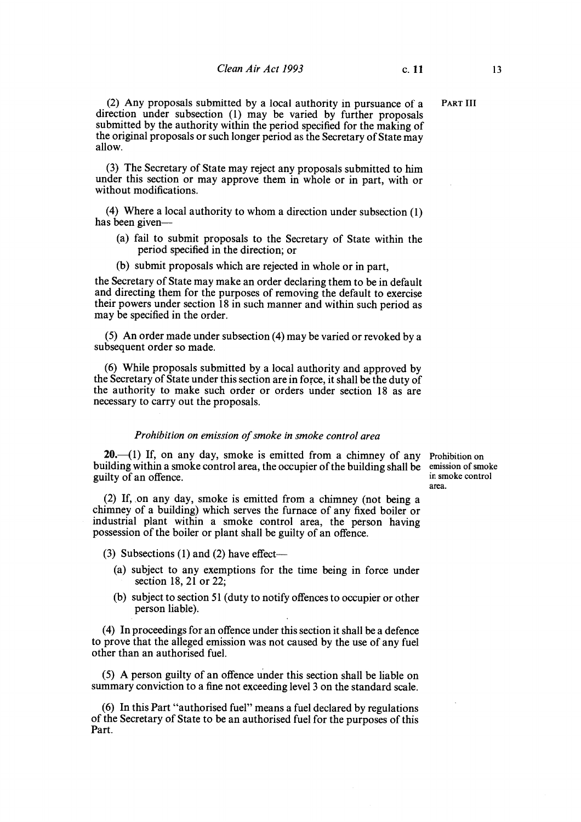(2) Any proposals submitted by a local authority in pursuance of a PART III direction under subsection (1) may be varied by further proposals submitted by the authority within the period specified for the making of the original proposals or such longer period as the Secretary of State may allow.

(3) The Secretary of State may reject any proposals submitted to him under this section or may approve them in whole or in part, with or without modifications.

(4) Where a local authority to whom a direction under subsection (1) has been given—

- (a) fail to submit proposals to the Secretary of State within the period specified in the direction; or
- (b) submit proposals which are rejected in whole or in part,

the Secretary of State may make an order declaring them to be in default and directing them for the purposes of removing the default to exercise their powers under section 18 in such manner and within such period as may be specified in the order.

(5) An order made under subsection (4) may be varied or revoked by a subsequent order so made.

(6) While proposals submitted by a local authority and approved by the Secretary of State under this section are in force, it shall be the duty of the authority to make such order or orders under section 18 as are necessary to carry out the proposals.

#### Prohibition on emission of smoke in smoke control area

**20.**—(1) If, on any day, smoke is emitted from a chimney of any Prohibition on idding within a smoke control area, the occupier of the building shall be emission of smoke building within a smoke control area, the occupier of the building shall be emission of smoke<br>guilty of an offence guilty of an offence.

(2) If, on any day, smoke is emitted from a chimney (not being a chimney of a building) which serves the furnace of any fixed boiler or industrial plant within a smoke control area, the person having possession of the boiler or plant shall be guilty of an offence.

- (3) Subsections (1) and (2) have effect—
	- (a) subject to any exemptions for the time being in force under section 18, 21 or 22;
	- (b) subject to section 51 (duty to notify offences to occupier or other person liable).

(4) In proceedings for an offence under this section it shall be a defence to prove that the alleged emission was not caused by the use of any fuel other than an authorised fuel.

(5) A person guilty of an offence under this section shall be liable on summary conviction to a fine not exceeding level 3 on the standard scale.

(6) In this Part "authorised fuel" means a fuel declared by regulations of the Secretary of State to be an authorised fuel for the purposes of this Part.

area.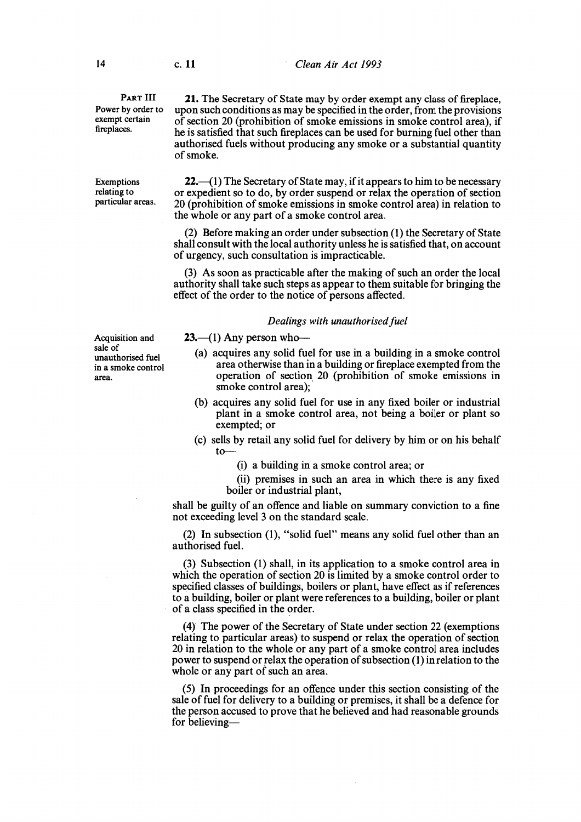PART III 21. The Secretary of State may by order exempt any class of fireplace,<br>Power by order to upon such conditions as may be specified in the order, from the provisions Power by order to upon such conditions as may be specified in the order, from the provisions exempt certain of section 20 (prohibition of smoke emissions in smoke control area) if exempt certain of section 20 (prohibition of smoke emissions in smoke control area), if<br>fireplaces. he is satisfied that such fireplaces can be used for burning fuel other than authorised fuels without producing any smoke or a substantial quantity of smoke.

Exemptions 22.—(1) The Secretary of State may, if it appears to him to be necessary relating to or expedient so to do, by order suspend or relax the operation of section relating to or expedient so to do, by order suspend or relax the operation of section particular areas. 20 (probibition of smoke emissions in smoke control area) in relation to 20 (prohibition of smoke emissions in smoke control area) in relation to the whole or any part of a smoke control area.

> (2) Before making an order under subsection (1) the Secretary of State shall consult with the local authority unless he is satisfied that, on account of urgency, such consultation is impracticable.

> (3) As soon as practicable after the making of such an order the local authority shall take such steps as appear to them suitable for bringing the effect of the order to the notice of persons affected.

#### Dealings with unauthorised fuel

Acquisition and  $23$ . (1) Any person who—sale of

- sale of unauthorised fuel (a) acquires any solid fuel for use in a building in a smoke control in a smoke control area otherwise than in a building or fireplace exempted from the in a smoke control area otherwise than in a building or fireplace exempted from the in a smoke control operation of section 20 (prohibition of smoke emissions in operation of section 20 (prohibition of smoke emissions in smoke control area);
	- (b) acquires any solid fuel for use in any fixed boiler or industrial plant in a smoke control area, not being a boiler or plant so exempted; or
	- (c) sells by retail any solid fuel for delivery by him or on his behalf to—

(i) a building in a smoke control area; or

(ii) premises in such an area in which there is any fixed boiler or industrial plant,

shall be guilty of an offence and liable on summary conviction to a fine not exceeding level 3 on the standard scale.

(2) In subsection (1), "solid fuel" means any solid fuel other than an authorised fuel.

(3) Subsection (1) shall, in its application to a smoke control area in which the operation of section 20 is limited by a smoke control order to specified classes of buildings, boilers or plant, have effect as if references to a building, boiler or plant were references to a building, boiler or plant of a class specified in the order.

(4) The power of the Secretary of State under section 22 (exemptions relating to particular areas) to suspend or relax the operation of section 20 in relation to the whole or any part of a smoke control area includes power to suspend or relax the operation of subsection (1) in relation to the whole or any part of such an area.

(5) In proceedings for an offence under this section consisting of the sale of fuel for delivery to a building or premises, it shall be a defence for the person accused to prove that he believed and had reasonable grounds for believing—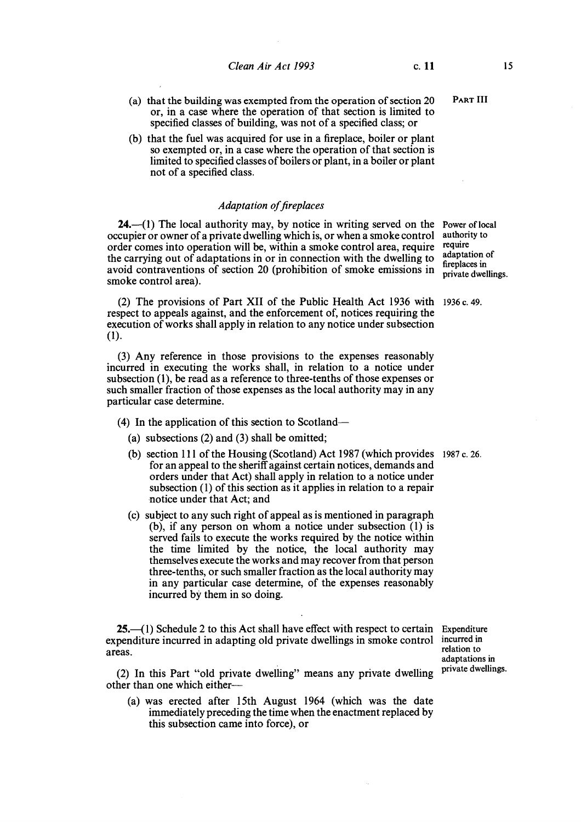- (a) that the building was exempted from the operation of section 20 PART III or, in a case where the operation of that section is limited to specified classes of building, was not of a specified class; or
- (b) that the fuel was acquired for use in a fireplace, boiler or plant so exempted or, in a case where the operation of that section is limited to specified classes of boilers or plant, in a boiler or plant not of a specified class.

#### Adaptation of fireplaces

**24.—(1)** The local authority may, by notice in writing served on the Power of local cupier or owner of a private dwelling which is, or when a smoke control authority to occupier or owner of a private dwelling which is, or when a smoke control authority order comes into operation will be within a smoke control area, require require order comes into operation will be, within a smoke control area, require require<br>the carrying out of adaptations in or in connection with the dwelling to adaptation of the carrying out of adaptations in or in connection with the dwelling to adaptation of fireplaces in avoid contraventions of section 20 (prohibition of smoke emissions in smoke control area).

(2) The provisions of Part XII of the Public Health Act 1936 with 1936 c. 49. respect to appeals against, and the enforcement of, notices requiring the execution of works shall apply in relation to any notice under subsection (1).

(3) Any reference in those provisions to the expenses reasonably incurred in executing the works shall, in relation to a notice under subsection (1), be read as a reference to three-tenths of those expenses or such smaller fraction of those expenses as the local authority may in any particular case determine.

- (4) In the application of this section to Scotland—
	- (a) subsections (2) and (3) shall be omitted;
	- (b) section 111 of the Housing (Scotland) Act 1987 (which provides 1987 c. 26. for an appeal to the sheriff against certain notices, demands and orders under that Act) shall apply in relation to a notice under subsection (1) of this section as it applies in relation to a repair notice under that Act; and
	- (c) subject to any such right of appeal as is mentioned in paragraph (b), if any person on whom a notice under subsection (1) is served fails to execute the works required by the notice within the time limited by the notice, the local authority may themselves execute the works and may recover from that person three-tenths, or such smaller fraction as the local authority may in any particular case determine, of the expenses reasonably incurred by them in so doing.

 $25$ —(1) Schedule 2 to this Act shall have effect with respect to certain Expenditure incurred in adapting old private dwellings in smoke control incurred in expenditure incurred in adapting old private dwellings in smoke control incurred in areas. The contract of the contract of the contract of the contract of the contract of the contract of the contract of the contract of the contract of the contract of the contract of the contract of the contract of the con

(2) In this Part "old private dwelling" means any private dwelling other than one which either—

(a) was erected after 15th August 1964 (which was the date immediately preceding the time when the enactment replaced by this subsection came into force), or

private dwellings.

adaptations in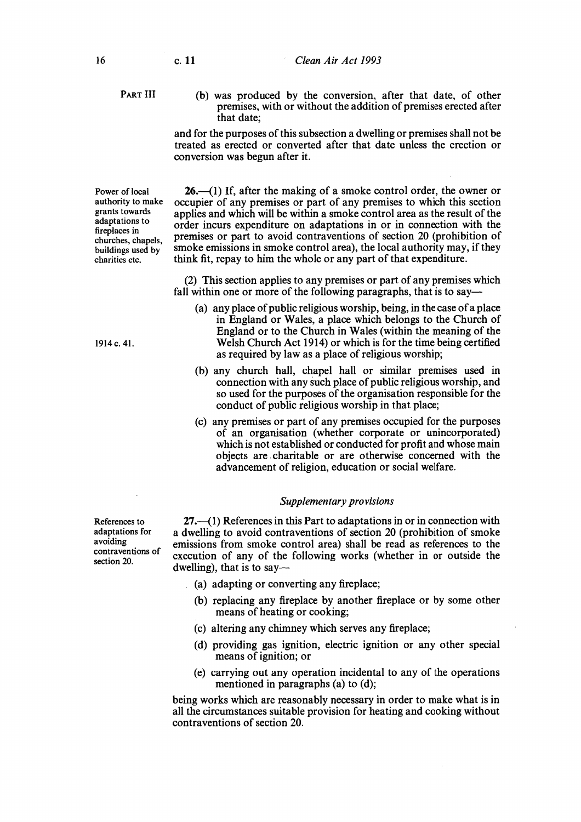PART III (b) was produced by the conversion, after that date, of other premises, with or without the addition of premises erected after that date;

> and for the purposes of this subsection a dwelling or premises shall not be treated as erected or converted after that date unless the erection or conversion was begun after it.

fireplaces in

Power of local 26.—(1) If, after the making of a smoke control order, the owner or authority to make occupier of any premises or part of any premises to which this section authority to make occupier of any premises or part of any premises to which this section grants towards applies and which will be within a smoke control area as the result of the adaptations to and a smooth in any application of the state of the state of the state of the state of the state of the state of the order incurs expenditure on adaptations in or in connection with the premises or part to avoid contraventions of section 20 (prohibition of churches, chapels, premises or part to avoid contraventions or section 20 (promotion or buildings used by smoke emissions in smoke control area), the local authority may, if they charities etc. think fit, repay to him the whole or any part of that expenditure.

> (2) This section applies to any premises or part of any premises which fall within one or more of the following paragraphs, that is to say—

- (a) any place of public religious worship, being, in the case of a place in England or Wales, a place which belongs to the Church of England or to the Church in Wales (within the meaning of the <sup>1914</sup>c. 41. Welsh Church Act 1914) or which is for the time being certified as required by law as a place of religious worship;
	- (b) any church hall, chapel hall or similar premises used in connection with any such place of public religious worship, and so used for the purposes of the organisation responsible for the conduct of public religious worship in that place;
	- (c) any premises or part of any premises occupied for the purposes of an organisation (whether corporate or unincorporated) which is not established or conducted for profit and whose main objects are charitable or are otherwise concerned with the advancement of religion, education or social welfare.

#### Supplementary provisions

References to 27.—(1) References in this Part to adaptations in or in connection with adaptations for a dwelling to avoid contraventions of section 20 (prohibition of smoke adaptations for a dwelling to avoid contraventions of section 20 (prohibition of smoke<br>avoiding emissions from smoke control area) shall be read as references to the avoiding emissions from smoke control area) shall be read as references to the execution of any of the following works (whether in or outside the section 20. dwelling), that is to say—

- (a) adapting or converting any fireplace;
- (b) replacing any fireplace by another fireplace or by some other means of heating or cooking;
- (c) altering any chimney which serves any fireplace;
- (d) providing gas ignition, electric ignition or any other special means of ignition; or
- (e) carrying out any operation incidental to any of the operations mentioned in paragraphs (a) to (d);

being works which are reasonably necessary in order to make what is in all the circumstances suitable provision for heating and cooking without contraventions of section 20.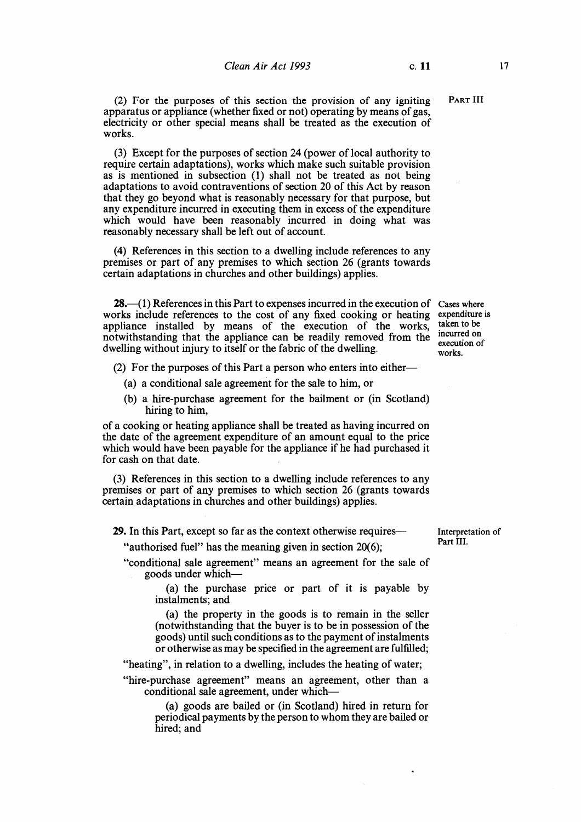(2) For the purposes of this section the provision of any igniting PART III apparatus or appliance (whether fixed or not) operating by means of gas, electricity or other special means shall be treated as the execution of works.

(3) Except for the purposes of section 24 (power of local authority to require certain adaptations), works which make such suitable provision as is mentioned in subsection (1) shall not be treated as not being adaptations to avoid contraventions of section 20 of this Act by reason that they go beyond what is reasonably necessary for that purpose, but any expenditure incurred in executing them in excess of the expenditure which would have been reasonably incurred in doing what was reasonably necessary shall be left out of account.

(4) References in this section to a dwelling include references to any premises or part of any premises to which section 26 (grants towards certain adaptations in churches and other buildings) applies.

**28.**—(1) References in this Part to expenses incurred in the execution of  $\alpha$  Cases where orks include references to the cost of any fixed cooking or heating expenditure is works include references to the cost of any fixed cooking or heating expenditure<br>appliance installed by means of the execution of the works taken to be appliance installed by means of the execution of the works, taken to be<br>notwithetending that the empliance can be readily removed from the incurred on notwithstanding that the appliance can be readily removed from the incurred on dwelling without injury to itself or the fabric of the dwelling.  $\frac{execu}{works}$ 

(2) For the purposes of this Part a person who enters into either—

- (a) a conditional sale agreement for the sale to him, or
- (b) a hire-purchase agreement for the bailment or (in Scotland) hiring to him,

of a cooking or heating appliance shall be treated as having incurred on the date of the agreement expenditure of an amount equal to the price which would have been payable for the appliance if he had purchased it for cash on that date.

(3) References in this section to a dwelling include references to any premises or part of any premises to which section 26 (grants towards certain adaptations in churches and other buildings) applies.

29. In this Part, except so far as the context otherwise requires— Interpretation of

"authorised fuel" has the meaning given in section  $20(6)$ ;

"conditional sale agreement" means an agreement for the sale of goods under which—

(a) the purchase price or part of it is payable by instalments; and

(a) the property in the goods is to remain in the seller (notwithstanding that the buyer is to be in possession of the goods) until such conditions as to the payment of instalments or otherwise as may be specified in the agreement are fulfilled;

"heating", in relation to a dwelling, includes the heating of water;

"hire-purchase agreement" means an agreement, other than a conditional sale agreement, under which-

> (a) goods are bailed or (in Scotland) hired in return for periodical payments by the person to whom they are bailed or hired; and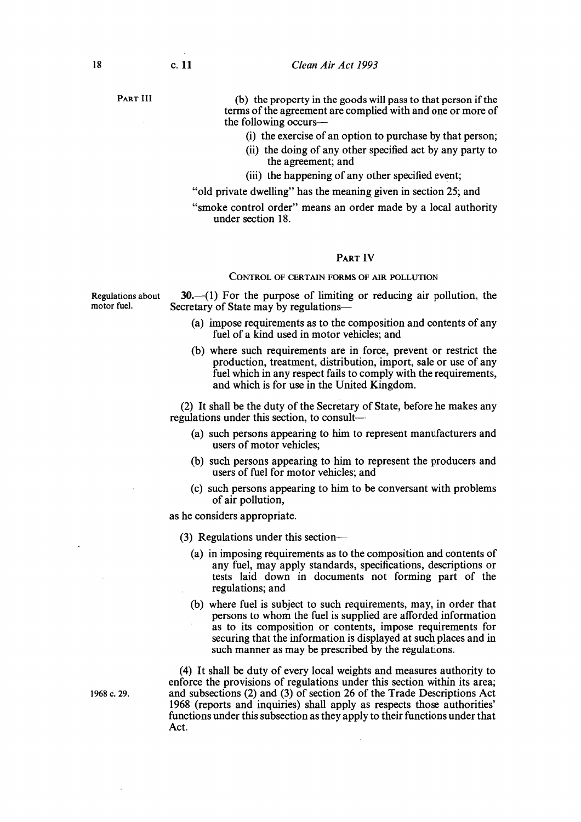PART III (b) the property in the goods will pass to that person if the terms of the agreement are complied with and one or more of the following occurs—

- (i) the exercise of an option to purchase by that person;
- (ii) the doing of any other specified act by any party to the agreement; and
- (iii) the happening of any other specified event;

"old private dwelling" has the meaning given in section 25; and

"smoke control order" means an order made by a local authority under section 18.

#### PART IV

#### CONTROL OF CERTAIN FORMS OF AIR POLLUTION

Regulations about  $30$ —(1) For the purpose of limiting or reducing air pollution, the motor fuel. Secretary of State may by regulations— Secretary of State may by regulations—

- (a) impose requirements as to the composition and contents of any fuel of a kind used in motor vehicles; and
- (b) where such requirements are in force, prevent or restrict the production, treatment, distribution, import, sale or use of any fuel which in any respect fails to comply with the requirements, and which is for use in the United Kingdom.

(2) It shall be the duty of the Secretary of State, before he makes any regulations under this section, to consult—

- (a) such persons appearing to him to represent manufacturers and users of motor vehicles;
- (b) such persons appearing to him to represent the producers and users of fuel for motor vehicles; and
- (c) such persons appearing to him to be conversant with problems of air pollution,

as he considers appropriate.

- (3) Regulations under this section—
	- (a) in imposing requirements as to the composition and contents of any fuel, may apply standards, specifications, descriptions or tests laid down in documents not forming part of the regulations; and
	- (b) where fuel is subject to such requirements, may, in order that persons to whom the fuel is supplied are afforded information as to its composition or contents, impose requirements for securing that the information is displayed at such places and in such manner as may be prescribed by the regulations.

(4) It shall be duiy of every local weights and measures authority to enforce the provisions of regulations under this section within its area; <sup>1968</sup>c. 29. and subsections (2) and (3) of section 26 of the Trade Descriptions Act 1968 (reports and inquiries) shall apply as respects those authorities' functions under this subsection as they apply to their functions under that Act.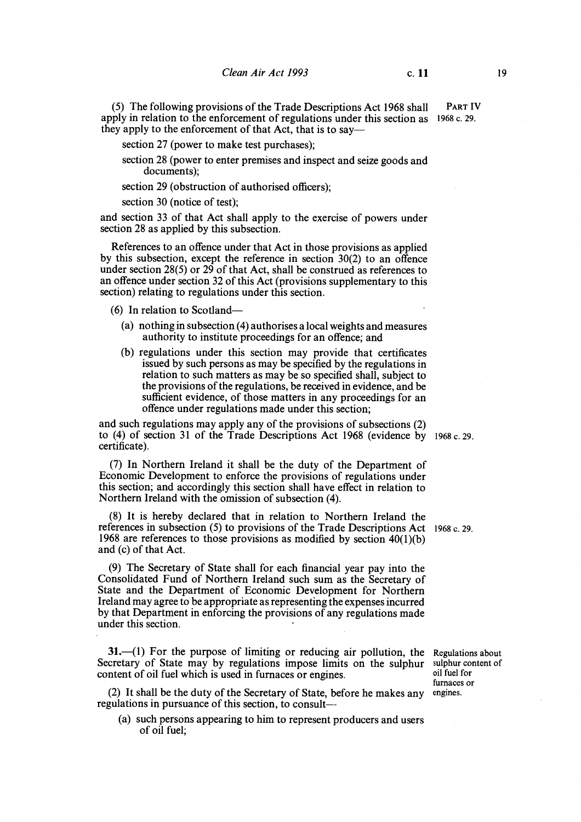(5) The following provisions of the Trade Descriptions Act 1968 shall PART IV poly in relation to the enforcement of regulations under this section as 1968 c. 29. apply in relation to the enforcement of regulations under this section as they apply to the enforcement of that Act, that is to say—

section 27 (power to make test purchases);

- section 28 (power to enter premises and inspect and seize goods and documents);
- section 29 (obstruction of authorised officers);

section 30 (notice of test);

and section 33 of that Act shall apply to the exercise of powers under section 28 as applied by this subsection.

References to an offence under that Act in those provisions as applied by this subsection, except the reference in section 30(2) to an offence under section 28(5) or 29 of that Act, shall be construed as references to an offence under section 32 of this Act (provisions supplementary to this section) relating to regulations under this section.

(6) In relation to Scotland—

- (a) nothing in subsection (4) authorises a local weights and measures authority to institute proceedings for an offence; and
- (b) regulations under this section may provide that certificates issued by such persons as may be specified by the regulations in relation to such matters as may be so specified shall, subject to the provisions of the regulations, be received in evidence, and be sufficient evidence, of those matters in any proceedings for an offence under regulations made under this section;

and such regulations may apply any of the provisions of subsections (2) to (4) of section 31 of the Trade Descriptions Act 1968 (evidence by 1968 c. 29. certificate).

(7) In Northern Ireland it shall be the duty of the Department of Economic Development to enforce the provisions of regulations under this section; and accordingly this section shall have effect in relation to Northern Ireland with the omission of subsection (4).

(8) It is hereby declared that in relation to Northern Ireland the references in subsection (5) to provisions of the Trade Descriptions Act 1968 c. 29. 1968 are references to those provisions as modified by section  $40(1)(b)$ and (c) of that Act.

(9) The Secretary of State shall for each financial year pay into the Consolidated Fund of Northern Ireland such sum as the Secretary of State and the Department of Economic Development for Northern Ireland may agree to be appropriate as representing the expenses incurred by that Department in enforcing the provisions of any regulations made under this section.

31.—(1) For the purpose of limiting or reducing air pollution, the Regulations about corretary of State may by regulations impose limits on the sulphur sulphur content of Secretary of State may by regulations impose limits on the sulphur sulphur content of oil fuel which is used in furnaces or engines content of oil fuel which is used in furnaces or engines.

(2) It shall be the duty of the Secretary of State, before he makes any engines. regulations in pursuance of this section, to consult—

(a) such persons appearing to him to represent producers and users of oil fuel;

furnaces or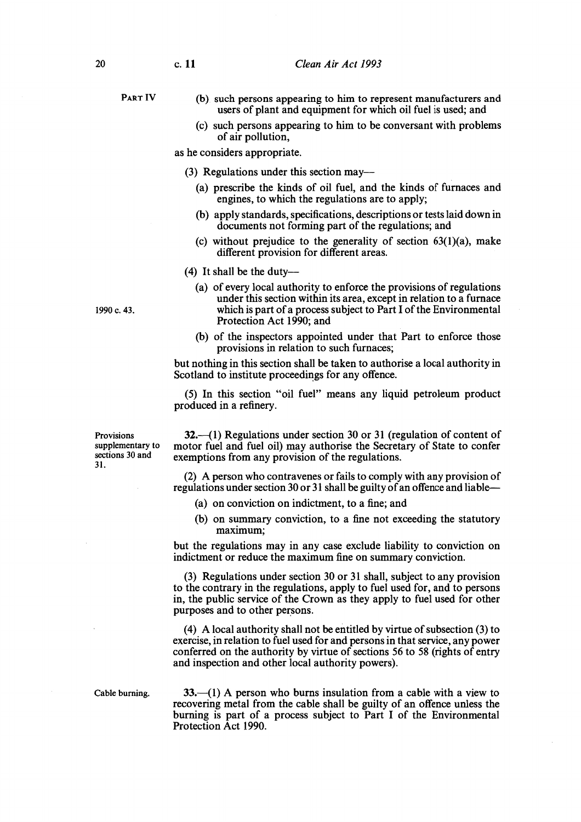- PART IV (b) such persons appearing to him to represent manufacturers and users of plant and equipment for which oil fuel is used; and
	- (c) such persons appearing to him to be conversant with problems of air pollution,

as he considers appropriate.

(3) Regulations under this section may—

- (a) prescribe the kinds of oil fuel, and the kinds of furnaces and engines, to which the regulations are to apply;
- (b) apply standards, specifications, descriptions or tests laid down in documents not forming part of the regulations; and
- (c) without prejudice to the generality of section  $63(1)(a)$ , make different provision for different areas.

(4) It shall be the duty—

- (a) of every local authority to enforce the provisions of regulations under this section within its area, except in relation to a furnace <sup>1990</sup>c. 43. which is part of a process subject to Part I of the Environmental Protection Act 1990; and
	- (b) of the inspectors appointed under that Part to enforce those provisions in relation to such furnaces;

but nothing in this section shall be taken to authorise a local authority in Scotland to institute proceedings for any offence.

(5) In this section "oil fuel" means any liquid petroleum product produced in a refinery.

Provisions 32.—(1) Regulations under section 30 or 31 (regulation of content of supplementary to motor fuel and fuel oil) may authorise the Secretary of State to confer supplementary to motor fuel and fuel oil) may authorise the Secretary of State to confer sections 30 and exemptions from any provision of the regulations sections  $30$  and exemptions from any provision of the regulations.

> (2) A person who contravenes or fails to comply with any provision of regulations under section 30 or 31 shall be guilty of an offence and liable—

- (a) on conviction on indictment, to a fine; and
- (b) on summary conviction, to a fine not exceeding the statutory maximum;

but the regulations may in any case exclude liability to conviction on indictment or reduce the maximum fine on summary conviction.

(3) Regulations under section 30 or 31 shall, subject to any provision to the contrary in the regulations, apply to fuel used for, and to persons in, the public service of the Crown as they apply to fuel used for other purposes and to other persons.

(4) A local authority shall not be entitled by virtue of subsection (3) to exercise, in relation to fuel used for and persons in that service, any power conferred on the authority by virtue of sections 56 to 58 (rights of entry and inspection and other local authority powers).

Cable burning.  $33-1$ ) A person who burns insulation from a cable with a view to recovering metal from the cable shall be guilty of an offence unless the burning is part of a process subject to Part I of the Environmental Protection Act 1990.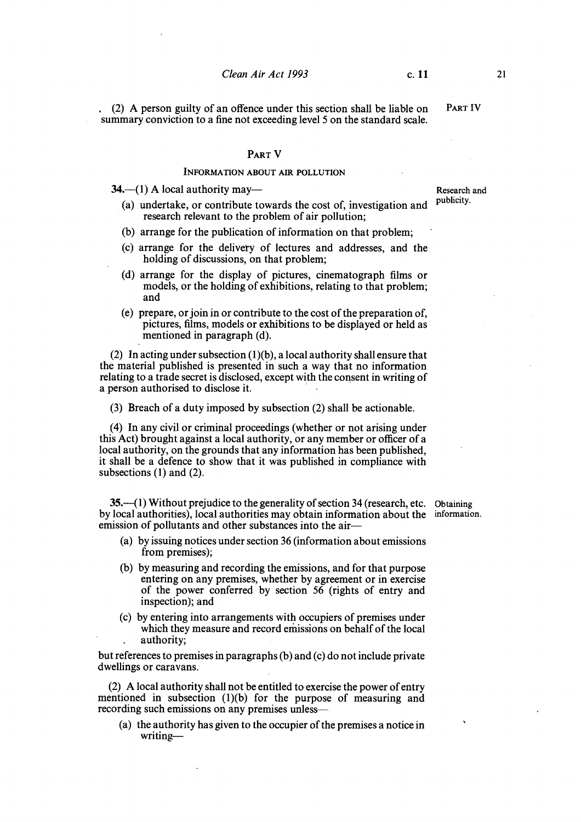(2) A person guilty of an offence under this section shall be liable on PART IV summary conviction to a fine not exceeding level 5 on the standard scale.

#### **PART V**

#### INFORMATION ABOUT AIR POLLUTION

34.—(1) A local authority may—<br>(a)  $\alpha$  details are noted at the detail of the second control of the second control of the second control of the second control of the second control of the second control of the second con

- (a) undertake, or contribute towards the cost of, investigation and research relevant to the problem of air pollution;
- (b) arrange for the publication of information on that problem;
- (c) arrange for the delivery of lectures and addresses, and the holding of discussions, on that problem;
- (d) arrange for the display of pictures, cinematograph films or models, or the holding of exhibitions, relating to that problem; and
- (e) prepare, or join in or contribute to the cost of the preparation of, pictures, films, models or exhibitions to be displayed or held as mentioned in paragraph (d).

(2) In acting under subsection  $(1)(b)$ , a local authority shall ensure that the material published is presented in such a way that no information relating to a trade secret is disclosed, except with the consent in writing of a person authorised to disclose it.

(3) Breach of a duty imposed by subsection (2) shall be actionable.

(4) In any civil or criminal proceedings (whether or not arising under this Act) brought against a local authority, or any member or officer of a local authority, on the grounds that any information has been published, it shall be a defence to show that it was published in compliance with subsections (1) and (2).

35.—(1) Without prejudice to the generality of section 34 (research, etc. Obtaining  $\nu$  local authorities). local authorities may obtain information about the information. by local authorities), local authorities may obtain information about the emission of pollutants and other substances into the air—

- (a) by issuing notices under section 36 (information about emissions from premises);
- (b) by measuring and recording the emissions, and for that purpose entering on any premises, whether by agreement or in exercise of the power conferred by section 56 (rights of entry and inspection); and
- (c) by entering into arrangements with occupiers of premises under which they measure and record emissions on behalf of the local authority;

but references to premises in paragraphs (b) and (c) do not include private dwellings or caravans.

(2) A local authority shall not be entitled to exercise the power of entry mentioned in subsection  $(l)(b)$  for the purpose of measuring and recording such emissions on any premises unless—

(a) the authority has given to the occupier of the premises a notice in writing—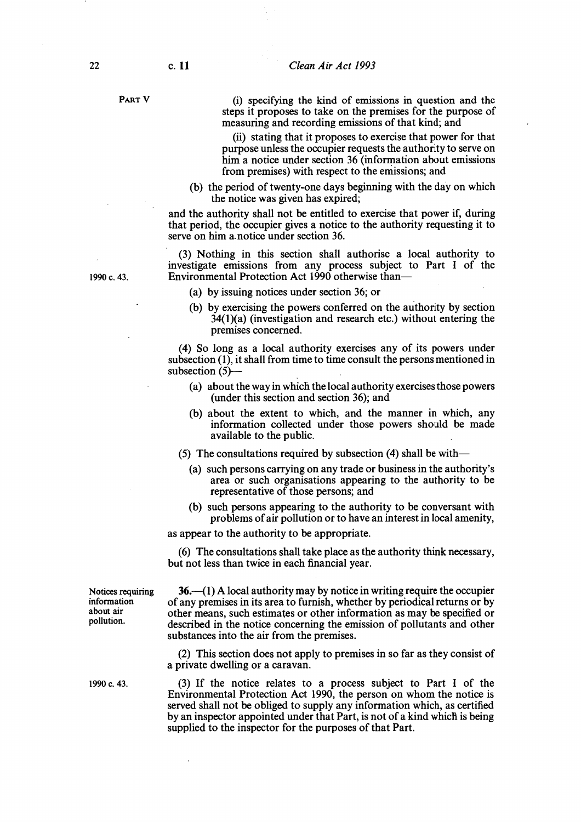PART V (i) specifying the kind of emissions in question and the steps it proposes to take on the premises for the purpose of measuring and recording emissions of that kind; and

> (ii) stating that it proposes to exercise that power for that purpose unless the occupier requests the authority to serve on him a notice under section 36 (information about emissions from premises) with respect to the emissions; and

(b) the period of twenty-one days beginning with the day on which the notice was given has expired;

and the authority shall not be entitled to exercise that power if, during that period, the occupier gives a notice to the authority requesting it to serve on him a-notice under section 36.

(3) Nothing in this section shall authorise a local authority to investigate emissions from any process subject to Part I of the 1990 c. 43. Environmental Protection Act 1990 otherwise than—

- (a) by issuing notices under section 36; or
- (b) by exercising the powers conferred on the authority by section 34(l)(a) (investigation and research etc.) without entering the premises concerned.

(4) So long as a local authority exercises any of its powers under subsection (1), it shall from time to time consult the persons mentioned in subsection (5)—

- (a) about the way in which the local authority exercises those powers (under this section and section 36); and
- (b) about the extent to which, and the manner in which, any information collected under those powers should be made available to the public.

(5) The consultations required by subsection (4) shall be with—

- (a) such persons carrying on any trade or business in the authority's area or such organisations appearing to the authority to be representative of those persons; and
- (b) such persons appearing to the authority to be conversant with problems of air pollution or to have an interest in local amenity,

as appear to the authority to be appropriate.

(6) The consultations shall take place as the authority think necessary, but not less than twice in each financial year.

Notices requiring  $36.-(1)$  A local authority may by notice in writing require the occupier<br>information of any premises in its area to furnish, whether by periodical returns or by information of any premises in its area to furnish, whether by periodical returns or by about air other means such estimates or other information as may be specified or about air other means, such estimates or other information as may be specified or<br>pollution. Assembed in the notice concerning the emission of pollutants and other described in the notice concerning the emission of pollutants and other substances into the air from the premises.

> (2) This section does not apply to premises in so far as they consist of a private dwelling or a caravan.

<sup>1990</sup>c. 43. (3) If the notice relates to a process subject to Part I of the Environmental Protection Act 1990, the person on whom the notice is served shall not be obliged to supply any information which, as certified by an inspector appointed under that Part, is not of a kind which is being supplied to the inspector for the purposes of that Part.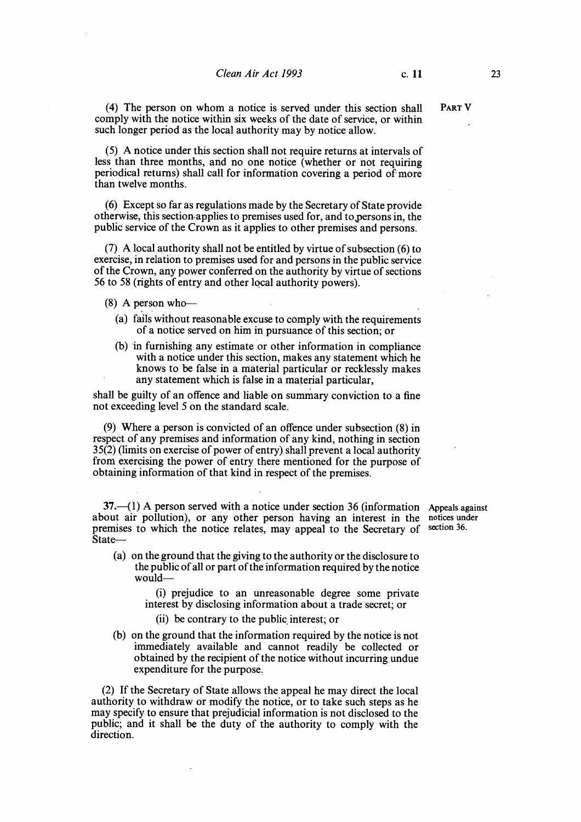(4) The person on whom a notice is served under this section shall PART V comply with the notice within six weeks of the date of service, or within such longer period as the local authority may by notice allow.

(5) A notice under this section shall not require returns at intervals of less than three months, and no one notice (whether or not requiring periodical returns) shall call for information covering a period of more than twelve months.

(6) Except so far as regulations made by the Secretary of State provide otherwise, this section applies to premises used for, and to persons in, the public service of the Crown as it applies to other premises and persons.

(7) A local authority shall not be entitled by virtue of subsection (6) to exercise, in relation to premises used for and persons in the public service of the Crown, any power conferred on the authority by virtue of sections 56 to 58 (rights of entry and other local authority powers).

- (8) A person who—
	- (a) fails without reasonable excuse to comply with the requirements of a notice served on him in pursuance of this section; or
	- (b) in furnishing any estimate or other information in compliance with a notice under this section, makes any statement which he knows to be false in a material particular or recklessly makes any statement which is false in a material particular,

shall be guilty of an offence and liable on summary conviction to a fine not exceeding level 5 on the standard scale.

(9) Where a person is convicted of an offence under subsection (8) in respect of any premises and information of any kind, nothing in section <sup>3</sup>5(2) (limits on exercise of power of entry) shall prevent a local authority from exercising the power of entry there mentioned for the purpose of obtaining information of that kind in respect of the premises.

 $37$ —(1) A person served with a notice under section 36 (information Appeals against pout air pollution), or any other person having an interest in the notices under about air pollution), or any other person having an interest in the notices uncontention. premises to which the notice relates, may appeal to the Secretary of State—

(a) on the ground that the giving to the authority or the disclosure to the public of all or part of the information required by the notice would—

(i) prejudice to an unreasonable degree some private interest by disclosing information about a trade secret; or

(ii) be contrary to the public, interest; or

(b) on the ground that the information required by the notice is not immediately available and cannot readily be collected or obtained by the recipient of the notice without incurring undue expenditure for the purpose.

(2) If the Secretary of State allows the appeal he may direct the local authority to withdraw or modify the notice, or to take such steps as he may specify to ensure that prejudicial information is not disclosed to the public; and it shall be the duty of the authority to comply with the direction.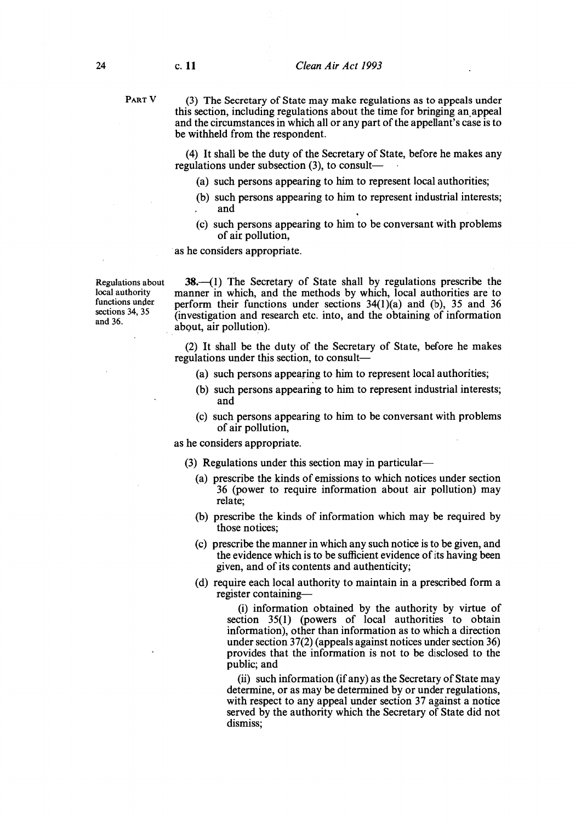PART V  $(3)$  The Secretary of State may make regulations as to appeals under this section, including regulations about the time for bringing an appeal and the circumstances in which all or any part of the appellant's case is to be withheld from the respondent.

> (4) It shall be the duty of the Secretary of State, before he makes any regulations under subsection (3), to consult—

- (a) such persons appearing to him to represent local authorities;
- (b) such persons appearing to him to represent industrial interests; and
- (c) such persons appearing to him to be conversant with problems of air pollution,

as he considers appropriate.

and 36.

Regulations about  $38-1$  The Secretary of State shall by regulations prescribe the local authority manner in which, and the methods by which, local authorities are to local authority manner in which, and the methods by which, local authorities are to functions under sections  $34(1)(a)$  and (b) 35 and 36 functions under perform their functions under sections  $34(1)(a)$  and  $(b)$ ,  $35$  and  $36$  sections  $34, 35$  (investigation and research at a integral the obtaining of information  $(investigation and research etc. into, and the obtaining of information$ about, air pollution).

> (2) It shall be the duty of the Secretary of State, before he makes regulations under this section, to consult—

- (a) such persons appearing to him to represent local authorities;
- (b) such persons appearing to him to represent industrial interests; and
- (c) such persons appearing to him to be conversant with problems of air pollution,

as he considers appropriate.

(3) Regulations under this section may in particular—

- (a) prescribe the kinds of emissions to which notices under section 36 (power to require information about air pollution) may relate;
- (b) prescribe the kinds of information which may be required by those notices;
- (c) prescribe the manner in which any such notice is to be given, and the evidence which is to be sufficient evidence of its having been given, and of its contents and authenticity;
- (d) require each local authority to maintain in a prescribed form a register containing—

(i) information obtained by the authority by virtue of section 35(1) (powers of local authorities to obtain information), other than information as to which a direction under section 37(2) (appeals against notices under section 36) provides that the information is not to be disclosed to the public; and

(ii) such information (if any) as the Secretary of State may determine, or as may be determined by or under regulations, with respect to any appeal under section 37 against a notice served by the authority which the Secretary of State did not dismiss;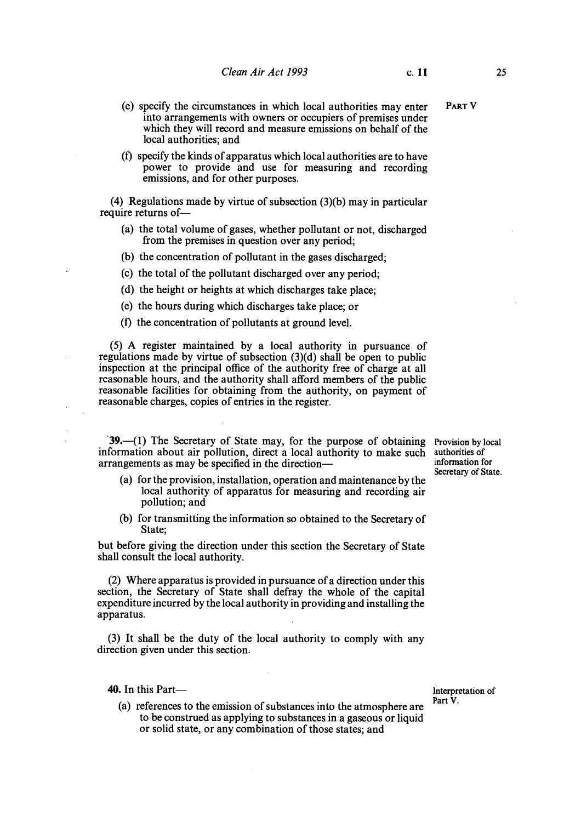- (e) specify the circumstances in which local authorities may enter PART V into arrangements with owners or occupiers of premises under which they will record and measure emissions on behalf of the local authorities; and
- (f) specify the kinds of apparatus which local authorities are to have power to provide and use for measuring and recording emissions, and for other purposes.

(4) Regulations made by virtue of subsection (3)(b) may in particular require returns of—

- (a) the total volume of gases, whether pollutant or not, discharged from the premises in question over any period;
- (b) the concentration of pollutant in the gases discharged;
- (c) the total of the pollutant discharged over any period;
- (d) the height or heights at which discharges take place;
- (e) the hours during which discharges take place; or
- $(f)$  the concentration of pollutants at ground level.

(5) A register maintained by a local authority in pursuance of regulations made by virtue of subsection (3)(d) shall be open to public inspection at the principal office of the authority free of charge at all reasonable hours, and the authority shall afford members of the public reasonable facilities for obtaining from the authority, on payment of reasonable charges, copies of entries in the register.

'39.—(l) The Secretary of State may, for the purpose of obtaining Provision by local information about air pollution, direct a local authority to make such authorities of arrangements as may be specified in the direction— $\frac{1}{2}$ arrangements as may be specified in the direction-

- (a) for the provision, installation, operation and maintenance by the local authority of apparatus for measuring and recording air pollution; and
- (b) for transmitting the information so obtained to the Secretary of State;

but before giving the direction under this section the Secretary of State shall consult the local authority.

(2) Where apparatus is provided in pursuance of a direction under this section, the Secretary of State shall defray the whole of the capital expenditure incurred by the local authority in providing and installing the apparatus.

(3) It shall be the duty of the local authority to comply with any direction given under this section.

40. In this Part—  $\frac{1}{2}$  and  $\frac{1}{2}$  and  $\frac{1}{2}$  are  $\frac{1}{2}$  interpretation of

(a) references to the emission of substances into the atmosphere are to be construed as applying to substances in a gaseous or liquid or solid state, or any combination of those states; and

Part V.

Secretary of State.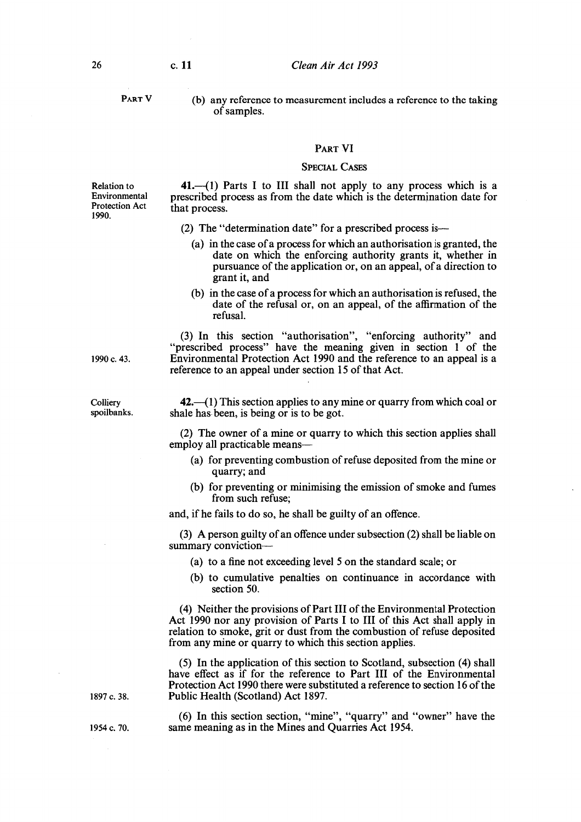PART V (b) any reference to measurement includes a reference to the taking of samples.

#### PART VI

#### SPECIAL CASES

1990.

Relation to  $\begin{array}{c} 41 \\ -1 \end{array}$  Parts I to III shall not apply to any process which is a Environmental prescribed process as from the date which is the determination date for Environmental prescribed process as from the date which is the determination date for Protection Act that process that process.

- (2) The "determination date" for a prescribed process is—
	- (a) in the case of a process for which an authorisation is granted, the date on which the enforcing authority grants it, whether in pursuance of the application or, on an appeal, of a direction to grant it, and
	- (b) in the case of a process for which an authorisation is refused, the date of the refusal or, on an appeal, of the affirmation of the refusal.

(3) In this section "authorisation", "enforcing authority" and "prescribed process" have the meaning given in section 1 of the 1990 c. 43. Environmental Protection Act 1990 and the reference to an appeal is a reference to an appeal under section 15 of that Act.

Colliery 42.—(1) This section applies to any mine or quarry from which coal or spoilbanks. Shale has been is being or is to be got. shale has been, is being or is to be got.

> (2) The owner of a mine or quarry to which this section applies shall employ all practicable means—

- (a) for preventing combustion of refuse deposited from the mine or quarry; and
- (b) for preventing or minimising the emission of smoke and fumes from such refuse;

and, if he fails to do so, he shall be guilty of an offence.

(3) A person guilty of an offence under subsection (2) shall be liable on summary conviction—

- (a) to a fine not exceeding level 5 on the standard scale; or
- (b) to cumulative penalties on continuance in accordance with section 50.

(4) Neither the provisions of Part III of the Environmental Protection Act 1990 nor any provision of Parts I to III of this Act shall apply in relation to smoke, grit or dust from the combustion of refuse deposited from any mine or quarry to which this section applies.

(5) In the application of this section to Scotland, subsection (4) shall have effect as if for the reference to Part III of the Environmental Protection Act 1990 there were substituted a reference to section 16 of the <sup>1897</sup>c. 38. Public Health (Scotland) Act 1897.

(6) In this section section, "mine", "quarry" and "owner" have the 1954 c. 70. same meaning as in the Mines and Quarries Act 1954.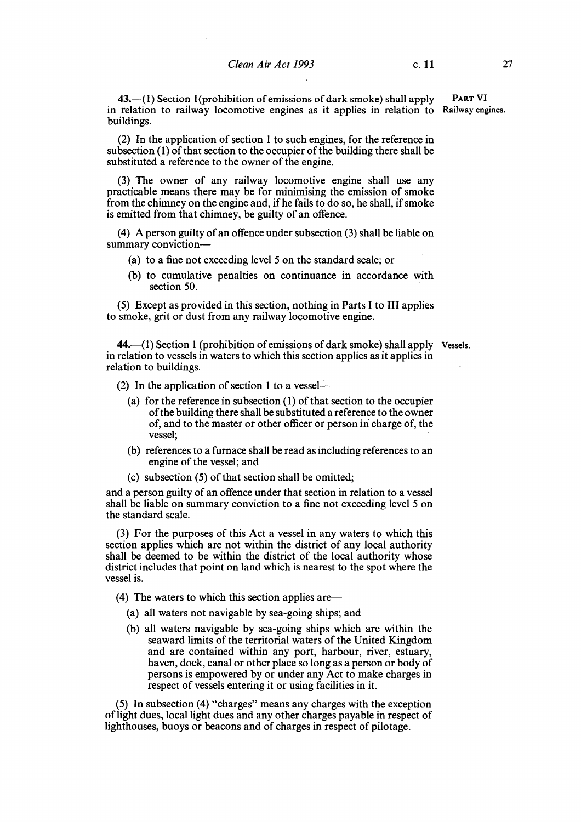43.—(1) Section 1(prohibition of emissions of dark smoke) shall apply PART VI in relation to railway locomotive engines as it applies in relation to Railway engines. buildings.

(2) In the application of section 1 to such engines, for the reference in subsection (1) of that section to the occupier of the building there shall be substituted a reference to the owner of the engine.

(3) The owner of any railway locomotive engine shall use any practicable means there may be for minimising the emission of smoke from the chimney on the engine and, if he fails to do so, he shall, if smoke is emitted from that chimney, be guilty of an offence.

(4) A person guilty of an offence under subsection (3) shall be liable on summary conviction—

- (a) to a fine not exceeding level 5 on the standard scale; or
- (b) to cumulative penalties on continuance in accordance with section 50.

(5) Except as provided in this section, nothing in Parts Ito III applies to smoke, grit or dust from any railway locomotive engine.

44.—( 1) Section 1 (prohibition of emissions of dark smoke) shall apply Vessels. in relation to vessels in waters to which this section applies as it applies in relation to buildings.

(2) In the application of section 1 to a vessel—

- (a) for the reference in subsection (1) of that section to the occupier of the building there shall be substituted a reference to the owner of, and to the master or other officer or person in charge of, the vessel;
- (b) references to a furnace shall be read as including references to an engine of the vessel; and
- (c) subsection (5) of that section shall be omitted;

and a person guilty of an offence under that section in relation to a vessel shall be liable on summary conviction to a fine not exceeding level 5 on the standard scale.

(3) For the purposes of this Act a vessel in any waters to which this section applies which are not within the district of any local authority shall be deemed to be within the district of the local authority whose district includes that point on land which is nearest to the spot where the vessel is.

(4) The waters to which this section applies are—

- (a) all waters not navigable by sea-going ships; and
- (b) all waters navigable by sea-going ships which are within the seaward limits of the territorial waters of the United Kingdom and are contained within any port, harbour, river, estuary, haven, dock, canal or other place so long as a person or body of persons is empowered by or under any Act to make charges in respect of vessels entering it or using facilities in it.

(5) In subsection (4) "charges" means any charges with the exception of light dues, local light dues and any other charges payable in respect of lighthouses, buoys or beacons and of charges in respect of pilotage.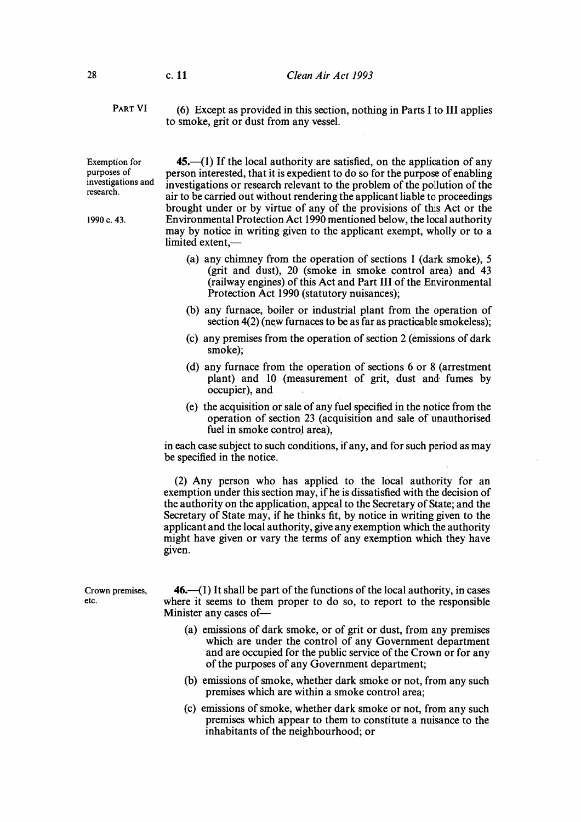PART VI (6) Except as provided in this section, nothing in Parts I to III applies to smoke, grit or dust from any vessel.

Exemption for  $\begin{array}{c} 45 \\ 45 \end{array}$  If the local authority are satisfied, on the application of any purposes of preson interested that it is expedient to do so for the purpose of enabling purposes of person interested, that it is expedient to do so for the purpose of enabling<br>investigations and investigations or research relevant to the problem of the pollution of the investigations and investigations or research relevant to the problem of the pollution of the research. air to be carried out without rendering the applicant liable to proceedings brought under or by virtue of any of the provisions of this Act or the 1990 c. 43. Environmental Protection Act 1990 mentioned below, the local authority may by notice in writing given to the applicant exempt, wholly or to a limited extent,—

- (a) any chimney from the operation of sections 1 (dark smoke), <sup>5</sup> (grit and dust), 20 (smoke in smoke control area) and 43 (railway engines) of this Act and Part III of the Environmental Protection Act 1990 (statutory nuisances);
- (b) any furnace, boiler or industrial plant from the operation of section 4(2) (new furnaces to be as far as practicable smokeless);
- (c) any premises from the operation of section 2 (emissions of dark smoke);
- (d) any furnace from the operation of sections 6 or 8 (arrestment plant) and 10 (measurement of grit, dust and fumes by occupier), and
- (e) the acquisition or sale of any fuel specified in the notice from the operation of section 23 (acquisition and sale of unauthorised fuel in smoke control area),

in each case subject to such conditions, if any, and for such period as may be specified in the notice.

(2) Any person who has applied to the local authority for an exemption under this section may, if he is dissatisfied with the decision of the authority on the application, appeal to the Secretary of State; and the Secretary of State may, if he thinks fit, by notice in writing given to the applicant and the local authority, give any exemption which the authority might have given or vary the terms of any exemption which they have given.

| Crown premises,<br>etc. | $46.$ (1) It shall be part of the functions of the local authority, in cases<br>where it seems to them proper to do so, to report to the responsible<br>Minister any cases of-                                                                     |  |
|-------------------------|----------------------------------------------------------------------------------------------------------------------------------------------------------------------------------------------------------------------------------------------------|--|
|                         | (a) emissions of dark smoke, or of grit or dust, from any premises<br>which are under the control of any Government department<br>and are occupied for the public service of the Crown or for any<br>of the purposes of any Government department; |  |
|                         | (b) emissions of smoke whether dark smoke or not from any such                                                                                                                                                                                     |  |

- (b) emissions of smoke, whether dark smoke or not, from any such premises which are within a smoke control area;
- (c) emissions of smoke, whether dark smoke or not, from any such premises which appear to them to constitute a nuisance to the inhabitants of the neighbourhood; or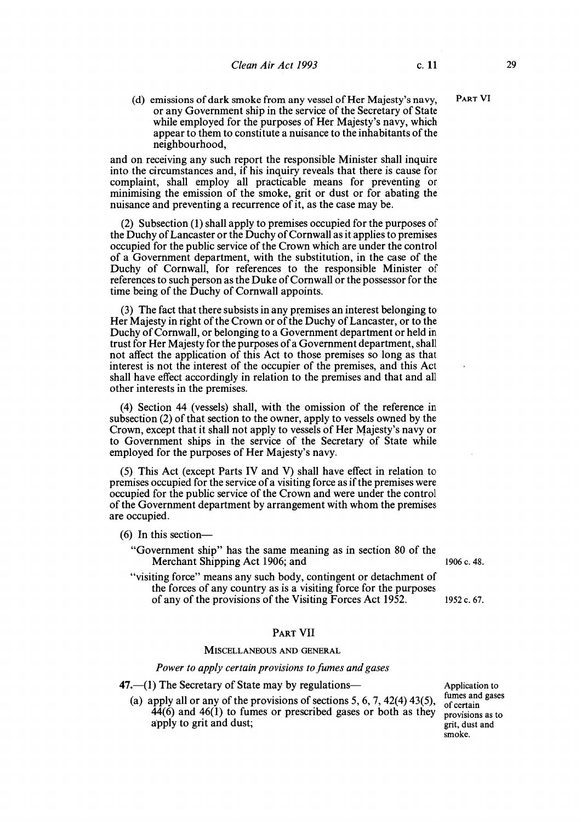(d) emissions of dark smoke from any vessel of Her Majesty's navy, PART VI or any Government ship in the service of the Secretary of State while employed for the purposes of Her Majesty's navy, which appear to them to constitute a nuisance to the inhabitants of the neighbourhood,

and on receiving any such report the responsible Minister shall inquire into the circumstances and, if his inquiry reveals that there is cause for complaint, shall employ all practicable means for preventing or minimising the emission of the smoke, grit or dust or for abating the nuisance and preventing a recurrence of it, as the case may be.

(2) Subsection (1) shall apply to premises occupied for the purposes of the Duchy of Lancaster or the Duchy of Cornwall as it applies to premises occupied for the public service of the Crown which are under the control of a Government department, with the substitution, in the case of the Duchy of Cornwall, for references to the responsible Minister of references to such person as the Duke of Cornwall or the possessor for the time being of the Duchy of Cornwall appoints.

(3) The fact that there subsists in any premises an interest belonging to Her Majesty in right of the Crown or of the Duchy of Lancaster, or to the Duchy of Cornwall, or belonging to a Government department or held in trust for Her Majesty for the purposes of a Government department, shall not affect the application of this Act to those premises so long as that interest is not the interest of the occupier of the premises, and this Act shall have effect accordingly in relation to the premises and that and all other interests in the premises.

(4) Section 44 (vessels) shall, with the omission of the reference in subsection (2) of that section to the owner, apply to vessels owned by the Crown, except that it shall not apply to vessels of Her Majesty's navy or to Government ships in the service of the Secretary of State while employed for the purposes of Her Majesty's navy.

(5) This Act (except Parts IV and V) shall have effect in relation to premises occupied for the service of a visiting force as if the premises were occupied for the public service of the Crown and were under the control of the Government department by arrangement with whom the premises are occupied.

- (6) In this section—
	- "Government ship" has the same meaning as in section 80 of the Merchant Shipping Act 1906; and 1906 c. 48.

"visiting force" means any such body, contingent or detachment of the forces of any country as is a visiting force for the purposes of any of the provisions of the Visiting Forces Act 1952. 1952 c. 67.

#### PART VII

#### MISCELLANEOUS AND GENERAL

#### Power to apply certain provisions to fumes and gases

47.—(1) The Secretary of State may by regulations— Application to

(a) apply all or any of the provisions of sections 5, 6, 7, 42(4) 43(5), filmes and gases  $44(6)$  and  $46(1)$  to fumes or prescribed gases or both as they provisions as to apply to grit and dust; grit, dust and apply to grit and dust;

smoke.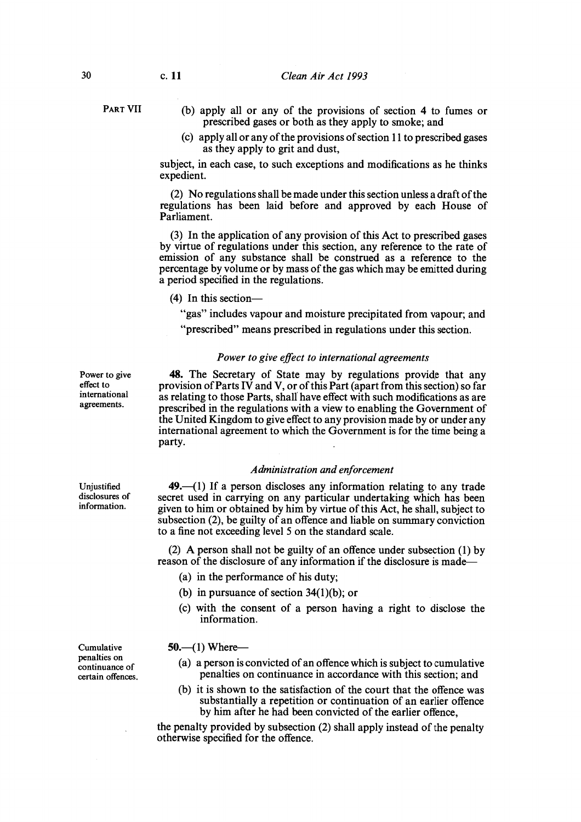- PART VII (b) apply all or any of the provisions of section 4 to fumes or prescribed gases or both as they apply to smoke; and
	- (c) apply all or any of the provisions of section II to prescribed gases as they apply to grit and dust,

subject, in each case, to such exceptions and modifications as he thinks expedient.

(2) No regulations shall be made under this section unless a draft of the regulations has been laid before and approved by each House of Parliament.

(3) In the application of any provision of this Act to prescribed gases by virtue of regulations under this section, any reference to the rate of emission of any substance shall be construed as a reference to the percentage by volume or by mass of the gas which may be emitted during a period specified in the regulations.

(4) In this section—

"gas" includes vapour and moisture precipitated from vapour; and

"prescribed" means prescribed in regulations under this section.

#### Power to give effect to international agreements

Power to give **48.** The Secretary of State may by regulations provide that any effect to provision of Parts IV and V or of this Part (apart from this section) so far effect to provision of Parts IV and V, or of this Part (apart from this section) so far<br>international as relating to those Parts, shall have effect with such modifications as are international as relating to those Parts, shalt have effect with such modifications as are prescribed in the regulations with a view to enabling the Government of the United Kingdom to give effect to any provision made by or under any international agreement to which the Government is for the time being a party.

#### Administration and enforcement

Unjustified  $\begin{array}{c} 49 \\ -1 \end{array}$  If a person discloses any information relating to any trade disclosures of secret used in carrying on any particular undertaking which has been disclosures of secret used in carrying on any particular undertaking which has been<br>information. The state of this Act, he shall subject to given to him or obtained by him by virtue of this Act, he shall, subject to subsection (2), be guilty of an offence and liable on summary conviction to a fine not exceeding level 5 on the standard scale.

> (2) A person shall not be guilty of an offence under subsection (1) by reason of the disclosure of any information if the disclosure is made—

- (a) in the performance of his duty;
- (b) in pursuance of section 34(l)(b); or
- (c) with the consent of a person having a right to disclose the information.

- penalties on . . . . continuance of (a) a person is convicted of an offence which is subject to cumulative continuance of (a) a person is convicted of an offence which is subject to cumulative<br>certain offences. penalties on continuance in accordance with this section; and
	- (b) it is shown to the satisfaction of the court that the offence was substantially a repetition or continuation of an earlier offence by him after he had been convicted of the earlier offence,

the penalty provided by subsection (2) shall apply instead of the penalty otherwise specified for the offence.

Cumulative  $50-(1)$  Where—<br>penalties on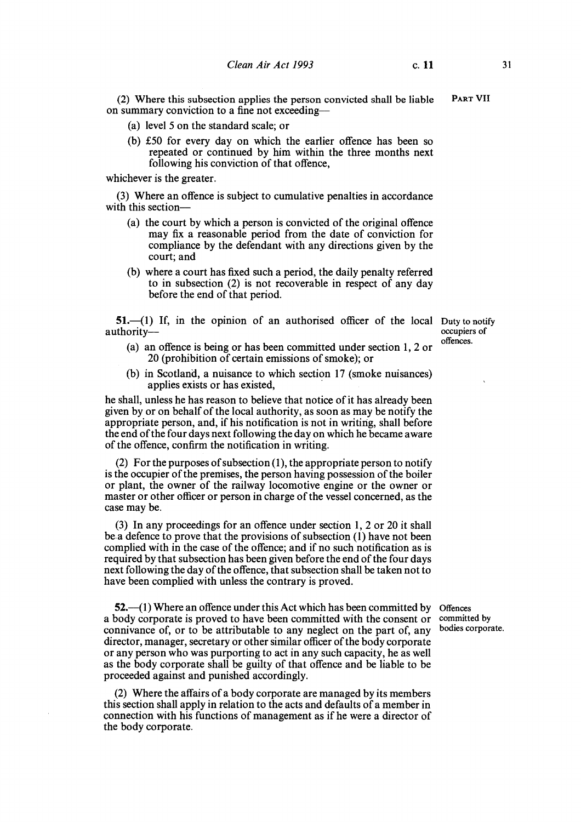(2) Where this subsection applies the person convicted shall be liable PART VII on summary conviction to a fine not exceeding—

- (a) level 5 on the standard scale; or
- (b) £50 for every day on which the earlier offence has been so repeated or continued by him within the three months next following his conviction of that offence,

whichever is the greater.

(3) Where an offence is subject to cumulative penalties in accordance with this section-

- (a) the court by which a person is convicted of the original offence may fix a reasonable period from the date of conviction for compliance by the defendant with any directions given by the court; and
- (b) where a court has fixed such a period, the daily penalty referred to in subsection (2) is not recoverable in respect of any day before the end of that period.

51.—(1) If, in the opinion of an authorised officer of the local Duty to notify the unit occupiers of authority-

(a) an offence is being or has been committed under section 1, 2 or 20 (prohibition of certain emissions of smoke); or

(b) in Scotland, a nuisance to which section 17 (smoke nuisances) applies exists or has existed,

he shall, unless he has reason to believe that notice of it has already been given by or on behalf of the local authority, as soon as may be notify the appropriate person, and, if his notification is not in writing, shall before the end of the four days next following the day on which he became aware of the offence, confirm the notification in writing.

(2) For the purposes of subsection  $(1)$ , the appropriate person to notify is the occupier of the premises, the person having possession of the boiler or plant, the owner of the railway locomotive engine or the owner or master or other officer or person in charge of the vessel concerned, as the case may be.

(3) In any proceedings for an offence under section 1, 2 or 20 it shall be.a defence to prove that the provisions of subsection (1) have not been complied with in the case of the offence; and if no such notification as is required by that subsection has been given before the end of the four days next following the day of the offence, that subsection shall be taken not to have been complied with unless the contrary is proved.

52.—(1) Where an offence under this Act which has been committed by Offences body corporate is proved to have been committed with the consent or committed by a body corporate is proved to have been committed with the consent or committed by<br>connivance of or to be attributable to any neglect on the part of any bodies corporate. connivance of, or to be attributable to any neglect on the part of, any director, manager, secretary or other similar officer of the body corporate or any person who was purporting to act in any such capacity, he as well as the body corporate shall be guilty of that offence and be liable to be proceeded against and punished accordingly.

(2) Where the affairs of a body corporate are managed by its members this section shall apply in relation to the acts and defaults of a member in connection with his functions of management as if he were a director of the body corporate.

offences.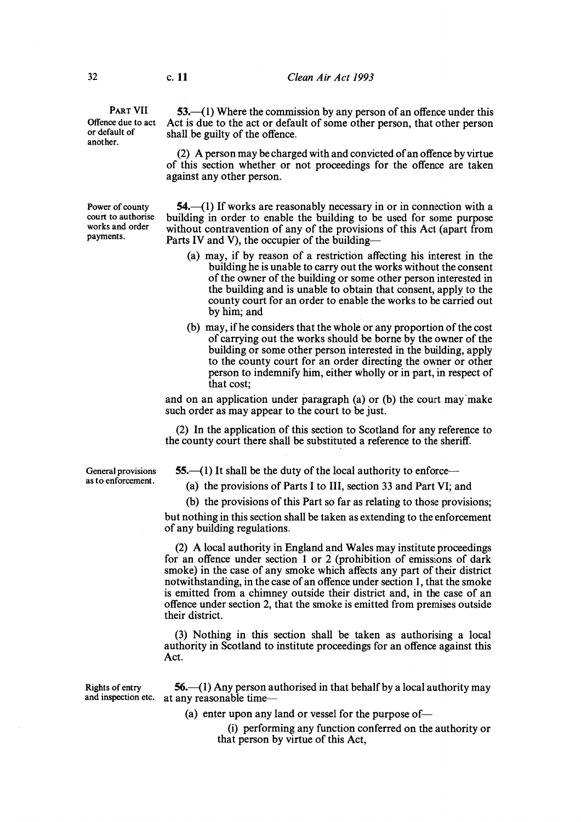another.

PART VII 53.—(1) Where the commission by any person of an offence under this Offence due to act Act is due to the act or default of some other person, that other person Offence due to act Act is due to the act or default of some other person, that other person<br>or default of some of the offence shall be guilty of the offence.

> (2) A person may be charged with and convicted of an offence by virtue of this section whether or not proceedings for the offence are taken against any other person.

Power of county  $54$ —(1) If works are reasonably necessary in or in connection with a court to authorise building in order to enable the building to be used for some purpose court to authorise building in order to enable the building to be used for some purpose<br>works and order without contravention of any of the provisions of this Act (apart from works and order without contravention of any of the provisions of this Act (apart from payments. Parts IV and V), the occupier of the building-

- (a) may, if by reason of a restriction affecting his interest in the building he is unable to carry out the works without the consent of the owner of the building or some other person interested in the building and is unable to obtain that consent, apply to the county court for an order to enable the works to be carried out by him; and
- (b) may, if he considers that the whole or any proportion of the cost of carrying out the works should be borne by the owner of the building or some other person interested in the building, apply to the county court for an order directing the owner or other person to indemnify him, either wholly or in part, in respect of that cost;

and on an application under paragraph (a) or (b) the court may make such order as may appear to the court to be just.

(2) In the application of this section to Scotland for any reference to the county court there shall be substituted a reference to the sheriff.

General provisions  $55- (1)$  It shall be the duty of the local authority to enforce—<br>as to enforcement. (a) the provisions of Parts I to III, section 33 and Part VI; and

(b) the provisions of this Part so far as relating to those provisions;

but nothing in this section shall be taken as extending to the enforcement of any building regulations.

(2) A local authority in England and Wales may institute proceedings for an offence under section 1 or 2 (prohibition of emissions of dark smoke) in the case of any smoke which affects any part of their district notwithstanding, in the case of an offence under section 1, that the smoke is emitted from a chimney outside their district and, in the case of an offence under section 2, that the smoke is emitted from premises outside their district.

(3) Nothing in this section shall be taken as authorising a local authority in Scotland to institute proceedings for an offence against this Act.

Rights of entry  $56-(1)$  Any person authorised in that behalf by a local authority may and inspection etc. at any reasonable time—

(a) enter upon any land or vessel for the purpose of—

(i) performing any function conferred on the authority or that person by virtue of this Act,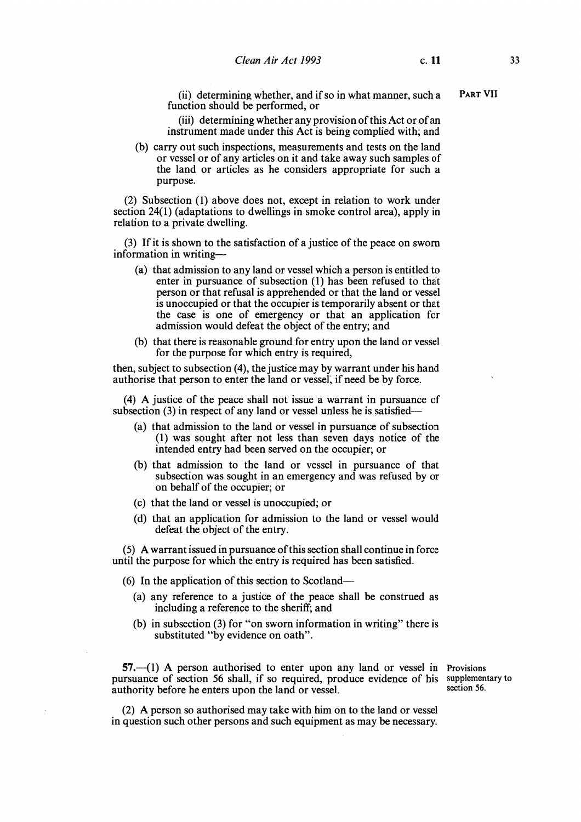(ii) determining whether, and if so in what manner, such a PART VII function should be performed, or

(iii) determining whether any provision of this Act or of an instrument made under this Act is being complied with; and

(b) carry out such inspections, measurements and tests on the land or vessel or of any articles on it and take away such samples of the land or articles as he considers appropriate for such a purpose.

(2) Subsection (1) above does not, except in relation to work under section 24(1) (adaptations to dwellings in smoke control area), apply in relation to a private dwelling.

(3) If it is shown to the satisfaction of a justice of the peace on sworn information in writing—

- (a) that admission to any land or vessel which a person is entitled to enter in pursuance of subsection (1) has been refused to that person or that refusal is apprehended or that the land or vessel is unoccupied or that the occupier is temporarily absent or that the case is one of emergency or that an application for admission would defeat the object of the entry; and
- (b) that there is reasonable ground for entry upon the land or vessel for the purpose for which entry is required,

then, subject to subsection (4), the justice may by warrant under his hand authorise that person to enter the land or vessel, if need be by force.

(4) A justice of the peace shall not issue a warrant in pursuance of subsection (3) in respect of any land or vessel unless he is satisfied—

- (a) that admission to the land or vessel in pursuance of subsection (1) was sought after not less than seven days notice of the intended entry had been served on the occupier; or
- (b) that admission to the land or vessel in pursuance of that subsection was sought in an emergency and was refused by or on behalf of the occupier; or
- (c) that the land or vessel is unoccupied; or
- (d) that an application for admission to the land or vessel would defeat the object of the entry.

(5) A warrant issued in pursuance of this section shall continue in force until the purpose for which the entry is required has been satisfied.

(6) In the application of this section to Scotland—

- (a) any reference to a justice of the peace shall be construed as including a reference to the sheriff; and
- (b) in subsection (3) for "on sworn information in writing" there is substituted "by evidence on oath".

57.—(1) A person authorised to enter upon any land or vessel in Provisions pursuance of section 56 shall, if so required, produce evidence of his supplementary to produce evidence of his supplementary to the enters upon the land or vessel authority before he enters upon the land or vessel.

(2) A person so authorised may take with him on to the land or vessel in question such other persons and such equipment as may be necessary.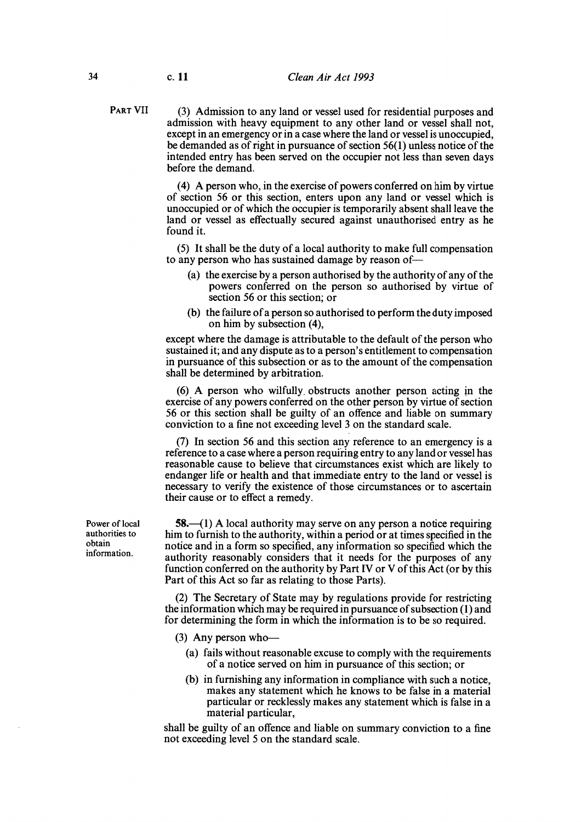PART VII (3) Admission to any land or vessel used for residential purposes and admission with heavy equipment to any other land or vessel shall not, except in an emergency or in a case where the land or vessel is unoccupied, be demanded as of right in pursuance of section 56(1) unless notice of the intended entry has been served on the occupier not less than seven days before the demand.

> (4) A person who, in the exercise of powers conferred on him by virtue of section 56 or this section, enters upon any land or vessel which is unoccupied or of which the occupier is temporarily absent shall leave the land or vessel as effectually secured against unauthorised entry as he found it.

> (5) It shall be the duty of a local authority to make full compensation to any person who has sustained damage by reason of—

- (a) the exercise by a person authorised by the authority of any of the powers conferred on the person so authorised by virtue of section 56 or this section; or
- (b) the failure of a person so authorised to perform the duty imposed on him by subsection (4),

except where the damage is attributable to the default of the person who sustained it; and any dispute as to a person's entitlement to compensation in pursuance of this subsection or as to the amount of the compensation shall be determined by arbitration.

(6) A person who wilfully, obstructs another person acting jn the exercise of any powers conferred on the other person by virtue of section 56 or this section shall be guilty of an offence and liable on summary conviction to a fine not exceeding level 3 on the standard scale.

(7) In section 56 and this section any reference to an emergency is a reference to a case where a person requiring entry to any land or vessel has reasonable cause to believe that circumstances exist which are likely to endanger life or health and that immediate entry to the land or vessel is necessary to verify the existence of those circumstances or to ascertain their cause or to effect a remedy.

Power of local  $58-$ (1) A local authority may serve on any person a notice requiring authorities to him to furnish to the authority within a neriod or at times specified in the authorities to him to furnish to the authority, within a period or at times specified in the obtain obtain notice and in a form so specified, any information so specified which the authority reasonably considers that it needs for the purposes of any function conferred on the authority by Part IV or V of this Act (or by this Part of this Act so far as relating to those Parts).

> (2) The Secretary of State may by regulations provide for restricting the information which may be required in pursuance of subsection (1) and for determining the form in which the information is to be so required.

- (3) Any person who—
	- (a) fails without reasonable excuse to comply with the requirements of a notice served on him in pursuance of this section; or
	- (b) in furnishing any information in compliance with such a notice, makes any statement which he knows to be false in a material particular or recklessly makes any statement which is false in a material particular,

shall be guilty of an offence and liable on summary conviction to a fine not exceeding level 5 on the standard scale.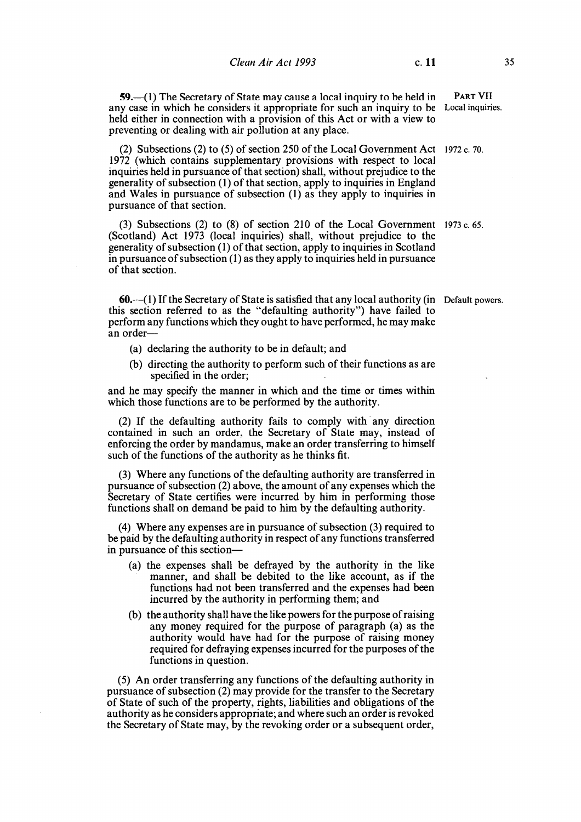59.—(1) The Secretary of State may cause a local inquiry to be held in PART VII any case in which he considers it appropriate for such an inquiry to be Local inquiries. held either in connection with a provision of this Act or with a view to preventing or dealing with air pollution at any place.

(2) Subsections (2) to (5) of section 250 of the Local Government Act 1972 c. 70. 1972 (which contains supplementary provisions with respect to local inquiries held in pursuance of that section) shall, without prejudice to the generality of subsection (1) of that section, apply to inquiries in England and Wales in pursuance of subsection (1) as they apply to inquiries in pursuance of that section.

(3) Subsections (2) to (8) of section 210 of the Local Government 1973 c. 65. (Scotland) Act 1973 (local inquiries) shall, without prejudice to the generality of subsection (1) of that section, apply to inquiries in Scotland in pursuance of subsection (1) as they apply to inquiries held in pursuance of that section.

60.-- $(1)$  If the Secretary of State is satisfied that any local authority (in Default powers. this section referred to as the "defaulting authority") have failed to perform any functions which they ought to have performed, he may make an order—

- (a) declaring the authority to be in default; and
- (b) directing the authority to perform such of their functions as are specified in the order;

and he may specify the manner in which and the time or times within which those functions are to be performed by the authority.

(2) If the defaulting authority fails to comply with any direction contained in such an order, the Secretary of State may, instead of enforcing the order by mandamus, make an order transferring to himself such of the functions of the authority as he thinks fit.

(3) Where any functions of the defaulting authority are transferred in pursuance of subsection (2) above, the amount of any expenses which the Secretary of State certifies were incurred by him in performing those functions shall on demand be paid to him by the defaulting authority.

(4) Where any expenses are in pursuance of subsection (3) required to be paid by the defaulting authority in respect of any functions transferred in pursuance of this section—

- (a) the expenses shall be defrayed by the authority in the like manner, and shall be debited to the like account, as if the functions had not been transferred and the expenses had been incurred by the authority in performing them; and
- (b) the authority shall have the like powers for the purpose of raising any money required for the purpose of paragraph (a) as the authority would have had for the purpose of raising money required for defraying expenses incurred for the purposes of the functions in question.

(5) An order transferring any functions of the defaulting authority in pursuance of subsection (2) may provide for the transfer to the Secretary of State of such of the property, rights, liabilities and obligations of the authority as he considers appropriate; and where such an order is revoked the Secretary of State may, by the revoking order or a subsequent order,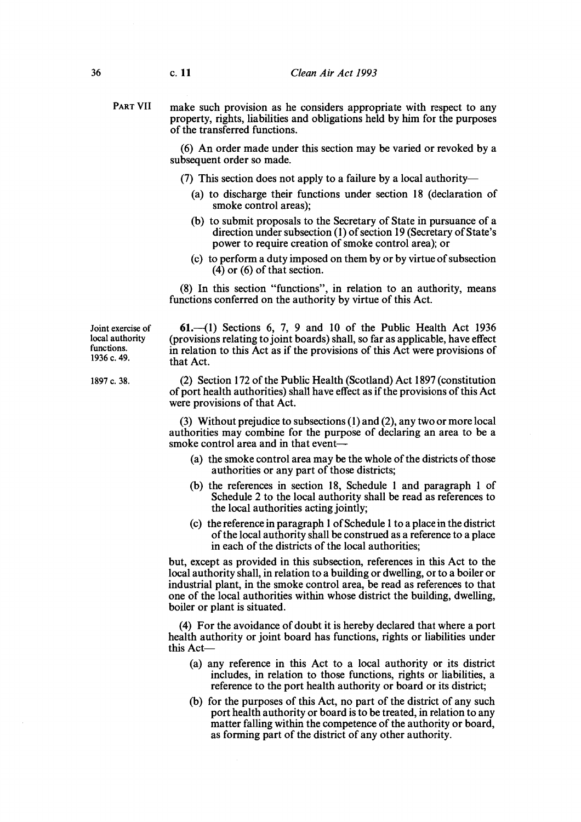PART VII make such provision as he considers appropriate with respect to any property, rights, liabilities and obligations held by him for the purposes of the transferred functions.

> (6) An order made under this section may be varied or revoked by a subsequent order so made.

(7) This section does not apply to a failure by a local authority—

- (a) to discharge their functions under section 18 (declaration of smoke control areas);
- (b) to submit proposals to the Secretary of State in pursuance of a direction under subsection (1) of section 19 (Secretary of State's power to require creation of smoke control area); or
- (c) to perform a duty imposed on them by or by virtue of subsection (4) or (6) of that section.

(8) In this section "functions", in relation to an authority, means functions conferred on the authority by virtue of this Act.

Joint exercise of  $61$ — $(1)$  Sections 6, 7, 9 and 10 of the Public Health Act 1936<br>local authority (provisions relating to joint boards) shall so far as applicable have effect local authority (provisions relating to joint boards) shall, so far as applicable, have effect functions. in relation to this Act as if the provisions of this Act were provisions of 1936 c. 49. that Act.

<sup>1897</sup>c. 38. (2) Section 172 of the Public Health (Scotland) Act 1897 (constitution of port health authorities) shall have effect as if the provisions of this Act were provisions of that Act.

> (3) Without prejudice to subsections (1) and (2), any two or more local authorities may combine for the purpose of declaring an area to be a smoke control area and in that event—

- (a) the smoke control area may be the whole of the districts of those authorities or any part of those districts;
- (b) the references in section 18, Schedule 1 and paragraph 1 of Schedule 2 to the local authority shall be read as references to the local authorities acting jointly;
- (c) the reference in paragraph 1 of Schedule 1 to a place in the district of the local authority shall be construed as a reference to a place in each of the districts of the local authorities;

but, except as provided in this subsection, references in this Act to the local authority shall, in relation to a building or dwelling, or to a boiler or industrial plant, in the smoke control area, be read as references to that one of the local authorities within whose district the building, dwelling, boiler or plant is situated.

(4) For the avoidance of doubt it is hereby declared that where a port health authority or joint board has functions, rights or liabilities under this Act—

- (a) any reference in this Act to a local authority or its district includes, in relation to those functions, rights or liabilities, a reference to the port health authority or board or its district;
- (b) for the purposes of this Act, no part of the district of any such port health authority or board is to be treated, in relation to any matter falling within the competence of the authority or board, as forming part of the district of any other authority.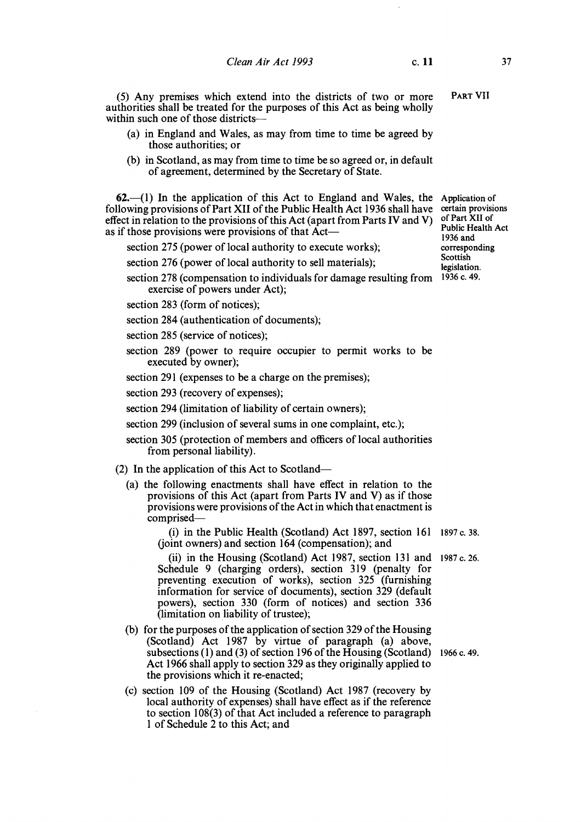(5) Any premises which extend into the districts of two or more PART VII authorities shall be treated for the purposes of this Act as being wholly within such one of those districts-

- (a) in England and Wales, as may from time to time be agreed by those authorities; or
- (b) in Scotland, as may from time to time be so agreed or, in default of agreement, determined by the Secretary of State.

62.—(1) In the application of this Act to England and Wales, the Application of Ilowing provisions of Part XII of the Public Health Act 1936 shall have certain provisions following provisions of Part XII of the Public Health Act 1936 shall have certain provisions of Part XII of  $\frac{1}{2}$ effect in relation to the provisions of this Act (apart from Parts IV and V) of Part XII of public Health Act as if those provisions were provisions of that  $\text{Act}$ — Public Health Public Health Act—

section 275 (power of local authority to execute works); corresponding<br>section 276 (execute of local authority to execute works); Soottish Soottish

section 276 (power of local authority to sell materials);

- section 278 (compensation to individuals for damage resulting from 1936 c. 49. exercise of powers under Act);
- section 283 (form of notices);
- section 284 (authentication of documents);
- section 285 (service of notices);
- section 289 (power to require occupier to permit works to be executed by owner);
- section 291 (expenses to be a charge on the premises);
- section 293 (recovery of expenses);
- section 294 (limitation of liability of certain owners);
- section 299 (inclusion of several sums in one complaint, etc.);
- section 305 (protection of members and officers of local authorities from personal liability).
- (2) In the application of this Act to Scotland—
	- (a) the following enactments shall have effect in relation to the provisions of this Act (apart from Parts IV and V) as if those provisions were provisions of the Act in which that enactment is comprised—

(i) in the Public Health (Scotland) Act 1897, section  $161 - 1897$  c. 38. (joint owners) and section 164 (compensation); and

(ii) in the Housing (Scotland) Act 1987, section 131 and  $1987c$ . 26. Schedule 9 (charging orders), section 319 (penalty for preventing execution of works), section 325 (furnishing information for service of documents), section 329 (default powers), section 330 (form of notices) and section 336 (limitation on liability of trustee);

- (b) for the purposes of the application of section 329 of the Housing (Scotland) Act 1987 by virtue of paragraph (a) above, subsections (1) and (3) of section 196 of the Housing (Scotland) 1966 c. 49. Act 1966 shall apply to section 329 as they originally applied to the provisions which it re-enacted;
- (c) section 109 of the Housing (Scotland) Act 1987 (recovery by local authority of expenses) shall have effect as if the reference to section 108(3) of that Act included a reference to paragraph 1 of Schedule 2 to this Act; and

legislation.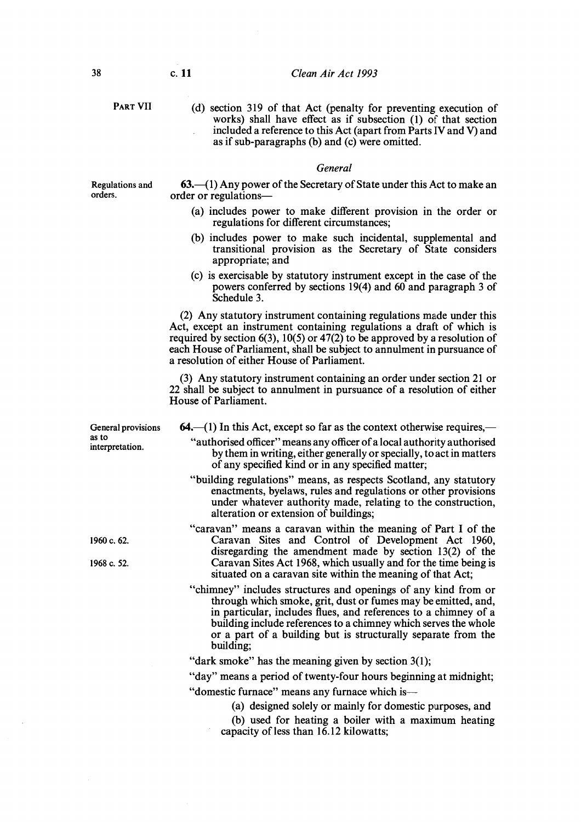PART VII (d) section 319 of that Act (penalty for preventing execution of works) shall have effect as if subsection (1) of that section included a reference to this Act (apart from Parts IV and V) and as if sub-paragraphs (b) and (c) were omitted.

#### General

Regulations and  $63$ —(1) Any power of the Secretary of State under this Act to make an orders. order or regulations-

- (a) includes power to make different provision in the order or regulations for different circumstances;
- (b) includes power to make such incidental, supplemental and transitional provision as the Secretary of State considers appropriate; and
- (c) is exercisable by statutory instrument except in the case of the powers conferred by sections 19(4) and 60 and paragraph 3 of Schedule 3.

(2) Any statutory instrument containing regulations made under this Act, except an instrument containing regulations a draft of which is required by section 6(3), 10(5) or 47(2) to be approved by a resolution of each House of Parliament, shall be subject to annulment in pursuance of a resolution of either House of Parliament.

(3) Any statutory instrument containing an order under section 21 or 22 shall be subject to annulment in pursuance of a resolution of either House of Parliament.

General provisions 64.—(1) In this Act, except so far as the context otherwise requires,—<br>as to

"authorised officer" means any officer of a local authority authorised by them in writing, either generally or specially, to act in matters of any specified kind or in any specified matter;

"building regulations" means, as respects Scotland, any statutory enactments, byelaws, rules and regulations or other provisions under whatever authority made, relating to the construction, alteration or extension of buildings;

- "caravan" means a caravan within the meaning of Part I of the <sup>1960</sup>c. 62. Caravan Sites and Control of Development Act 1960, disregarding the amendment made by section 13(2) of the <sup>1968</sup>c. 52. Caravan Sites Act 1968, which usually and for the time being is situated on a caravan site within the meaning of that Act;
	- "chimney" includes structures and openings of any kind from or through which smoke, grit, dust or fumes may be emitted, and, in particular, includes flues, and references to a chimney of a building include references to a chimney which serves the whole or a part of a building but is structurally separate from the building;

"dark smoke" has the meaning given by section 3(1);

"day" means a period of twenty-four hours beginning at midnight;

"domestic furnace" means any furnace which is—

(a) designed solely or mainly for domestic purposes, and

(b) used for heating a boiler with a maximum heating capacity of less than 16.12 kilowatts;

interpretation.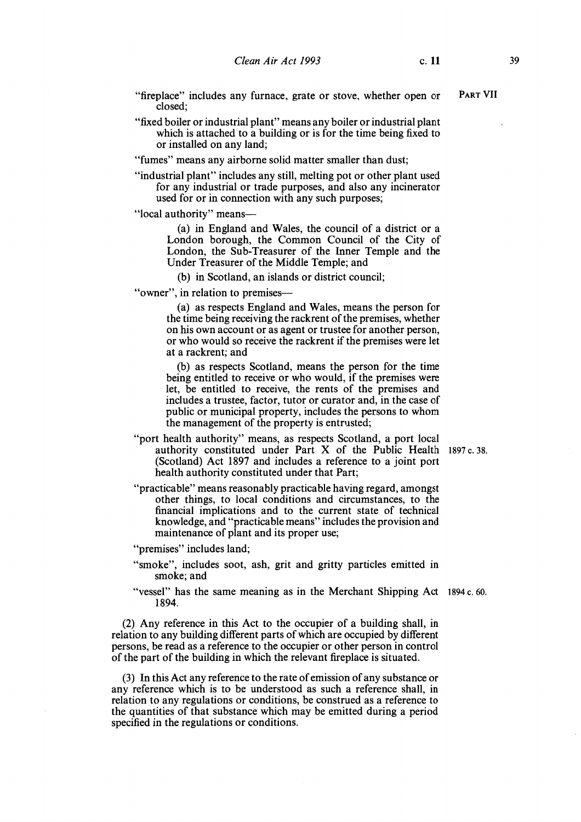"fireplace" includes any furnace, grate or stove, whether open or PART VII closed;

"fixed boiler or industrial plant" means any boiler or industrial plant which is attached to a building or is for the time being fixed to or installed on any land;

"fumes" means any airborne solid matter smaller than dust;

"industrial plant" includes any still, melting pot or other plant used for any industrial or trade purposes, and also any incinerator used for or in connection with any such purposes;

"local authority" means—

(a) in England and Wales, the council of a district or a London borough, the Common Council of the City of London, the Sub-Treasurer of the Inner Temple and the Under Treasurer of the Middle Temple; and

(b) in Scotland, an islands or district council;

"owner", in relation to premises—

(a) as respects England and Wales, means the person for the time being receiving the rackrent of the premises, whether on his own account or as agent or trustee for another person, or who would so receive the rackrent if the premises were let at a rackrent; and

(b) as respects Scotland, means the person for the time being entitled to receive or who would, if the premises were let, be entitled to receive, the rents of the premises and includes a trustee, factor, tutor or curator and, in the case of public or municipal property, includes the persons to whom the management of the property is entrusted;

- "port health authority" means, as respects Scotland, a port local authority constituted under Part X of the Public Health 1897 c. 38. (Scotland) Act 1897 and includes a reference to a joint port health authority constituted under that Part;
- "practicable" means reasonably practicable having regard, amongst other things, to local conditions and circumstances, to the financial implications and to the current state of technical knowledge, and "practicable means" includes the provision and maintenance of plant and its proper use;

"premises" includes land;

- "smoke", includes soot, ash, grit and gritty particles emitted in smoke; and
- "vessel" has the same meaning as in the Merchant Shipping Act 1894 c. 60. 1894.

(2) Any reference in this Act to the occupier of a building shall, in relation to any building different parts of which are occupied by different persons, be read as a reference to the occupier or other person in control of the part of the building in which the relevant fireplace is situated.

(3) In this Act any reference to the rate of emission of any substance or any reference which is to be understood as such a reference shall, in relation to any regulations or conditions, be construed as a reference to the quantities of that substance which may be emitted during a period specified in the regulations or conditions.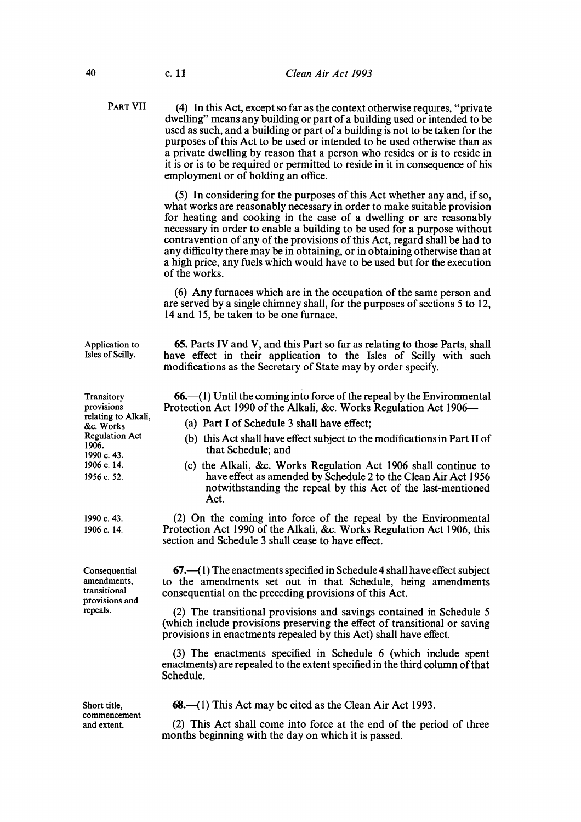PART VII (4) In this Act, except so far as the context otherwise requires, "private dwelling" means any building or part of a building used or intended to be used as such, and a building or part of a building is not to be taken for the purposes of this Act to be used or intended to be used otherwise than as a private dwelling by reason that a person who resides or is to reside in it is or is to be required or permitted to reside in it in consequence of his employment or of holding an office.

> (5) In considering for the purposes of this Act whether any and, if so, what works are reasonably necessary in order to make suitable provision for heating and cooking in the case of a dwelling or are reasonably necessary in order to enable a building to be used for a purpose without contravention of any of the provisions of this Act, regard shall be had to any difficulty there may be in obtaining, or in obtaining otherwise than at a high price, any fuels which would have to be used but for the execution of the works.

> (6) Any furnaces which are in the occupation of the same person and are served by a single chimney shall, for the purposes of sections 5 to 12, 14 and 15, be taken to be one furnace.

Application to **65.** Parts IV and V, and this Part so far as relating to those Parts, shall<br>Isles of Scilly with such the reflect in their application to the Isles of Scilly with such have effect in their application to the Isles of Scilly with such modifications as the Secretary of State may by order specify.

Transitory 66.—(1) Until the coming into force of the repeal by the Environmental<br>provisions Protection Act 1990 of the Alkali. &c. Works Regulation Act 1906— Protection Act 1990 of the Alkali, &c. Works Regulation Act 1906—

- Edding to Antan,<br> **Example 3** can consider the Schedule 3 shall have effect;<br>
Regulation Act (b) this Act shall have effect subject to the
- Regulation Act (b) this Act shall have effect subject to the modifications in Part II of 1906.  $1906.$  that Schedule; and  $1990 c. 43.$
- 1906 c. 14. (c) the Alkali, &c. Works Regulation Act 1906 shall continue to 1956 c. 52. have effect as amended by Schedule 2 to the Clean Air Act 1956 have effect as amended by Schedule 2 to the Clean Air Act 1956 notwithstanding the repeal by this Act of the last-mentioned Act.

<sup>1990</sup>c. 43. (2) On the coming into force of the repeal by the Environmental <sup>1906</sup>c. 14. Protection Act 1990 of the Alkali, &c. Works Regulation Act 1906, this section and Schedule 3 shall cease to have effect.

Consequential  $67.$ —(1) The enactments specified in Schedule 4 shall have effect subject amendments set out in that Schedule being amendments amendments, to the amendments set out in that Schedule, being amendments transitional consequential on the preceding provisions of this Act. consequential on the preceding provisions of this Act.

> (2) The transitional provisions and savings contained in Schedule 5 (which include provisions preserving the effect of transitional or saving provisions in enactments repealed by this Act) shall have effect.

> (3) The enactments specified in Schedule 6 (which include spent enactments) are repealed to the extent specified in the third column of that Schedule.

Short title, 68.—(1) This Act may be cited as the Clean Air Act 1993.

 $(2)$  This Act shall come into force at the end of the period of three months beginning with the day on which it is passed.

relating to Alkali,<br>&c. Works

provisions and

commencement<br>and extent.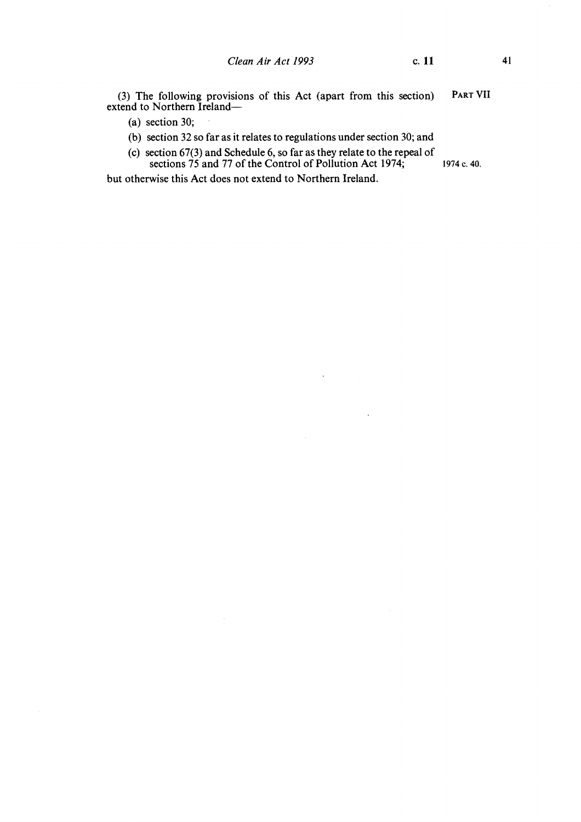$\ddot{\phantom{a}}$ 

(3) The following provisions of this Act (apart from this section) PART VII extend to Northern Ireland—

- (a) section 30;
- (b) section 32 so far as it relates to regulations under section 30; and
- (c) section 67(3) and Schedule 6, so far as they relate to the repeal of sections  $\overline{75}$  and  $\overline{77}$  of the Control of Pollution Act 1974; 1974 c. 40.

but otherwise this Act does not extend to Northern Ireland.

 $\mathcal{L}_{\mathcal{L}}$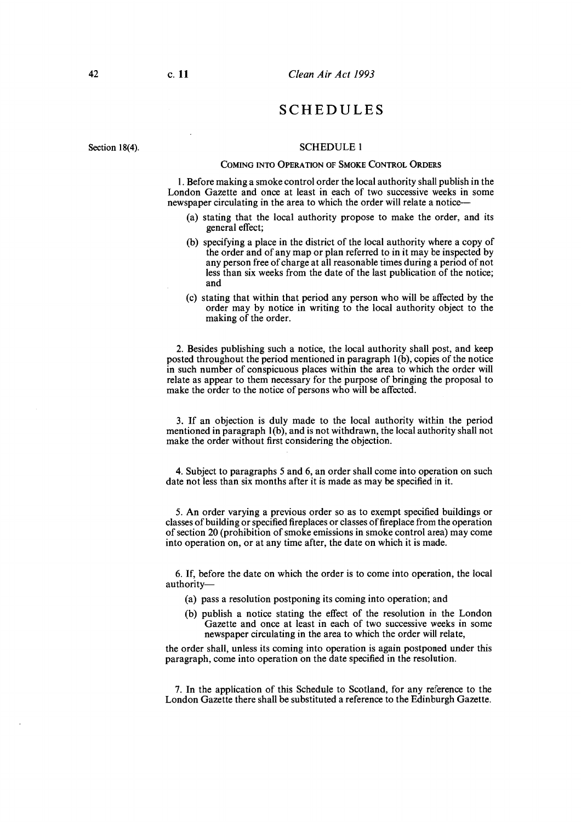#### SCHEDULES

Section 18(4). SCHEDULE 1

#### COMING INTO OPERATION OF SMOKE CONTROL ORDERS

1. Before making a smoke control order the local authority shall publish in the London Gazette and once at least in each of two successive weeks in some newspaper circulating in the area to which the order will relate a notice—

- (a) stating that the local authority propose to make the order, and its general effect;
- (b) specifying a place in the district of the local authority where a copy of the order and of any map or plan referred to in it may be inspected by any person free of charge at all reasonable times during a period of not less than six weeks from the date of the last publication of the notice; and
- (c) stating that within that period any person who will be affected by the order may by notice in writing to the local authority object to the making of the order.

2. Besides publishing such a notice, the local authority shall post, and keep posted throughout the period mentioned in paragraph 1(b), copies of the notice in such number of conspicuous places within the area to which the order will relate as appear to them necessary for the purpose of bringing the proposal to make the order to the notice of persons who will be affected.

3. If an objection is duly made to the local authority within the period mentioned in paragraph 1(b), and is not withdrawn, the local authority shall not make the order without first considering the objection.

4. Subject to paragraphs 5 and 6, an order shall come into operation on such date not less than six months after it is made as may be specified in it.

5. An order varying a previous order so as to exempt specified buildings or classes of building or specified fireplaces or classes of fireplace from the operation of section 20 (prohibition of smoke emissions in smoke control area) may come into operation on, or at any time after, the date on which it is made.

6. If, before the date on which the order is to come into operation, the local authority—

- (a) pass a resolution postponing its coming into operation; and
- (b) publish a notice stating the effect of the resolution in the London Gazette and once at least in each of two successive weeks in some newspaper circulating in the area to which the order will relate,

the order shall, unless its coming into operation is again postponed under this paragraph, come into operation on the date specified in the resolution.

7. In the application of this Schedule to Scotland, for any reference to the London Gazette there shall be substituted a reference to the Edinburgh Gazette.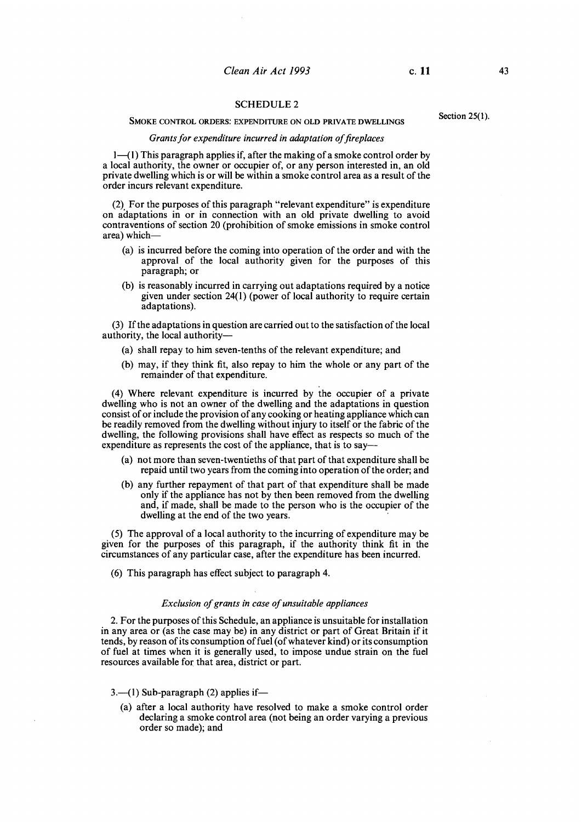#### SCHEDULE 2

#### SMOKE CONTROL ORDERS: EXPENDITURE ON OLD PRIVATE DWELLINGS

Section 25(1).

#### Grants for expenditure incurred in adaptation of fireplaces

<sup>1</sup>—(1) This paragraph applies if, after the making of a smoke control order by a local authority, the owner or occupier of, or any person interested in, an old private dwelling which is or will be within a smoke control area as a result of the order incurs relevant expenditure.

(2) For the purposes of this paragraph "relevant expenditure" is expenditure on adaptations in or in connection with an old private dwelling to avoid contraventions of section 20 (prohibition of smoke emissions in smoke control area) which—

- (a) is incurred before the coming into operation of the order and with the approval of the local authority given for the purposes of this paragraph; or
- (b) is reasonably incurred in carrying out adaptations required by a notice given under section 24(1) (power of local authority to require certain adaptations).

(3) If the adaptations in question are carried out to the satisfaction of the local authority, the local authority—

- (a) shall repay to him seven-tenths of the relevant expenditure; and
- (b) may, if they think fit, also repay to him the whole or any part of the remainder of that expenditure.

(4) Where relevant expenditure is incurred by the occupier of a private dwelling who is not an owner of the dwelling and the adaptations in question consist of or include the provision of any cooking or heating appliance which can be readily removed from the dwelling without injury to itself or the fabric of the dwelling, the following provisions shall have effect as respects so much of the expenditure as represents the cost of the appliance, that is to say—

- (a) not more than seven-twentieths of that part of that expenditure shall be repaid until two years from the coming into operation of the order; and
- (b) any further repayment of that part of that expenditure shall be made only if the appliance has not by then been removed from the dwelling and, if made, shall be made to the person who is the occupier of the dwelling at the end of the two years.

(5) The approval of a local authority to the incurring of expenditure may be given for the purposes of this paragraph, if the authority think fit in the circumstances of any particular case, after the expenditure has been incurred.

(6) This paragraph has effect subject to paragraph 4.

#### Exclusion of grants in case of unsuitable appliances

2. For the purposes of this Schedule, an appliance is unsuitable for installation in any area or (as the case may be) in any district or part of Great Britain if it tends, by reason of its consumption of fuel (of whatever kind) or its consumption of fuel at times when it is generally used, to impose undue strain on the fuel resources available for that area, district or part.

- 3.—(1) Sub-paragraph (2) applies if—
	- (a) after a local authority have resolved to make a smoke control order declaring a smoke control area (not being an order varying a previous order so made); and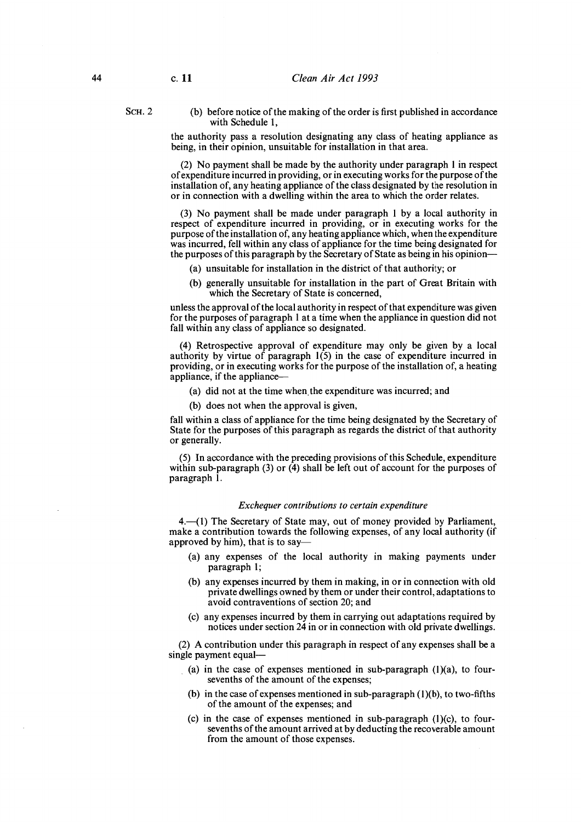SCH. 2 (b) before notice of the making of the order is first published in accordance with Schedule 1,

> the authority pass a resolution designating any class of heating appliance as being, in their opinion, unsuitable for installation in that area.

> (2) No payment shall be made by the authority under paragraph 1 in respect of expenditure incurred in providing, or in executing works for the purpose of the installation of, any heating appliance of the class designated by the resolution in or in connection with a dwelling within the area to which the order relates.

> (3) No payment shall be made under paragraph 1 by a local authority in respect of expenditure incurred in providing, or in executing works for the purpose of the installation of, any heating appliance which, when the expenditure was incurred, fell within any class of appliance for the time being designated for the purposes of this paragraph by the Secretary of State as being in his opinion—

- (a) unsuitable for installation in the district of that authority; or
- (b) generally unsuitable for installation in the part of Great Britain with which the Secretary of State is concerned,

unless the approval of the local authority in respect of that expenditure was given for the purposes of paragraph 1 at a time when the appliance in question did not fall within any class of appliance so designated.

(4) Retrospective approval of expenditure may only be given by a local authority by virtue of paragraph 1(5) in the case of expenditure incurred in providing, or in executing works for the purpose of the installation of, a heating appliance, if the appliance—

- (a) did not at the time when the expenditure was incurred; and
- (b) does not when the approval is given,

fall within a class of appliance for the time being designated by the Secretary of State for the purposes of this paragraph as regards the district of that authority or generally.

(5) In accordance with the preceding provisions of this Schedule, expenditure within sub-paragraph (3) or (4) shall be left out of account for the purposes of paragraph 1.

#### Exchequer contributions to certain expenditure

4.—(1) The Secretary of State may, out of money provided by Parliament, make a contribution towards the following expenses, of any local authority (if approved by him), that is to say—

- (a) any expenses of the local authority in making payments under paragraph 1;
- (b) any expenses incurred by them in making, in or in connection with old private dwellings owned by them or under their control, adaptations to avoid contraventions of section 20; and
- (c) any expenses incurred by them in carrying out adaptations required by notices under section 24 in or in connection with old private dwellings.

(2) A contribution under this paragraph in respect of any expenses shall be a single payment equal—

- (a) in the case of expenses mentioned in sub-paragraph  $(1)(a)$ , to foursevenths of the amount of the expenses;
- (b) in the case of expenses mentioned in sub-paragraph  $(1)(b)$ , to two-fifths of the amount of the expenses; and
- (c) in the case of expenses mentioned in sub-paragraph  $(1)(c)$ , to foursevenths of the amount arrived at by deducting the recoverable amount from the amount of those expenses.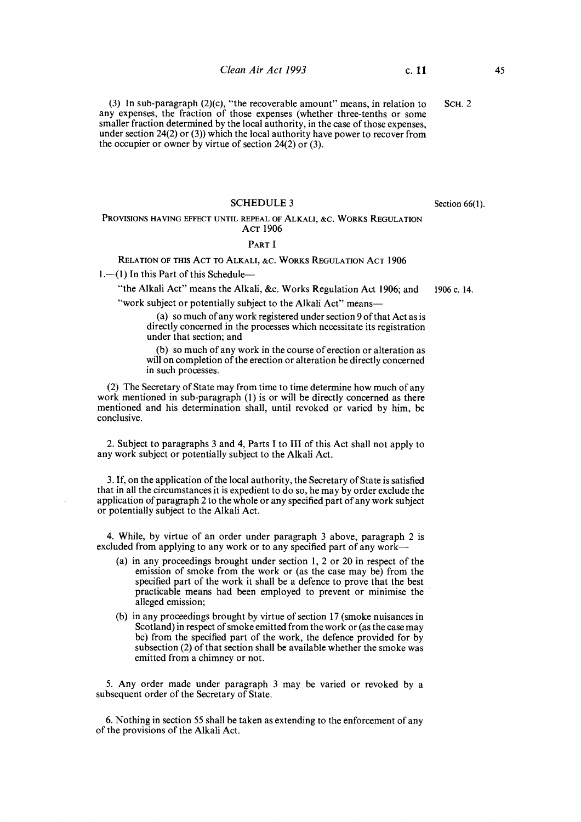(3) In sub-paragraph  $(2)(c)$ , "the recoverable amount" means, in relation to SCH. 2 any expenses, the fraction of those expenses (whether three-tenths or some smaller fraction determined by the local authority, in the case of those expenses, under section 24(2) or (3)) which the local authority have power to recover from the occupier or owner by virtue of section  $24(2)$  or  $(3)$ .

#### SCHEDULE 3 Section 66(1).

#### PROVISIONS HAVING EFFECT UNTIL REPEAL OF ALKALI, &C. WORKS REGULATION ACT 1906

#### PART I

RELATION OF THIS ACT TO ALKALI, &C. WORKS REGULATION ACT 1906

<sup>1</sup>.—(1) In this Part of this Schedule—

"the Alkali Act" means the Alkali, &c. Works Regulation Act 1906; and 1906 c. 14.

"work subject or potentially subject to the Alkali Act" means—

(a) so much of any work registered under section 9 of that Act as is directly concerned in the processes which necessitate its registration under that section; and

(b) so much of any work in the course of erection or alteration as will on completion of the erection or alteration be directly concerned in such processes.

(2) The Secretary of State may from time to time determine how much of any work mentioned in sub-paragraph (1) is or will be directly concerned as there mentioned and his determination shall, until revoked or varied by him, be conclusive.

2. Subject to paragraphs 3 and 4, Parts Ito III of this Act shall not apply to any work subject or potentially subject to the Alkali Act.

3. If, on the application of the local authority, the Secretary of State is satisfied that in all the circumstances it is expedient to do so, he may by order exclude the application of paragraph 2 to the whole or any specified part of any work subject or potentially subject to the Alkali Act.

4. While, by virtue of an order under paragraph 3 above, paragraph 2 is excluded from applying to any work or to any specified part of any work—

- (a) in any proceedings brought under section 1, 2 or 20 in respect of the emission of smoke from the work or (as the case may be) from the specified part of the work it shall be a defence to prove that the best practicable means had been employed to prevent or minimise the alleged emission;
- (b) in any proceedings brought by virtue of section 17 (smoke nuisances in Scotland) in respect of smoke emitted from the work or (as the case may be) from the specified part of the work, the defence provided for by subsection (2) of that section shall be available whether the smoke was emitted from a chimney or not.

5. Any order made under paragraph 3 may be varied or revoked by a subsequent order of the Secretary of State.

6. Nothing in section 55 shall be taken as extending to the enforcement of any of the provisions of the Alkali Act.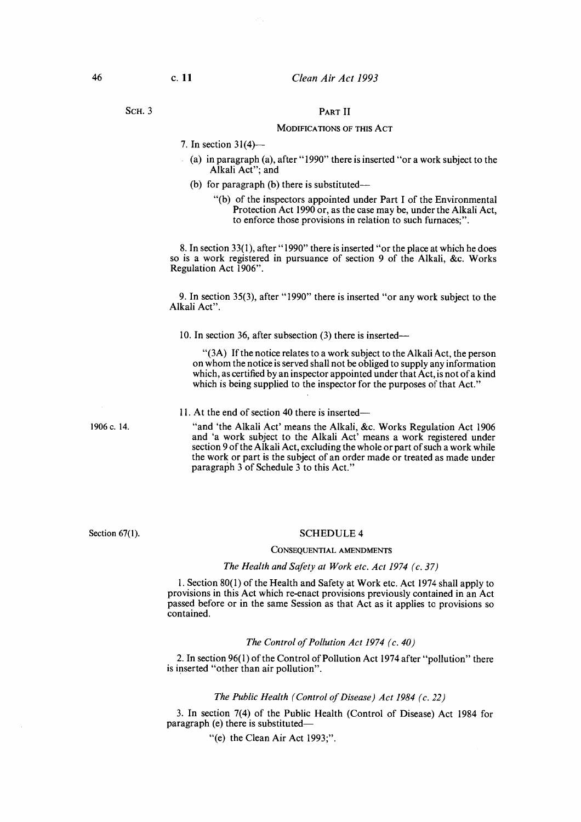#### SCH. 3 PART II

#### MODIFICATIONS OF THIS ACT

7. In section 31(4)—

- (a) in paragraph (a), after "1990" there is inserted "or a work subject to the Alkali Act"; and
- (b) for paragraph (b) there is substituted—
	- "(b) of the inspectors appointed under Part I of the Environmental Protection Act 1990 or, as the case may be, under the Alkali Act, to enforce those provisions in relation to such furnaces;".

8. In section 33(1), after "1990" there is inserted "or the place at which he does so is a work registered in pursuance of section 9 of the Alkali, &c. Works Regulation Act 1906".

9. In section 35(3), after "1990" there is inserted "or any work subject to the Alkali Act".

10. In section 36, after subsection (3) there is inserted—

"(3A) If the notice relates to a work subject to the Alkali Act, the person on whom the notice is served shall not be obliged to supply any information which, as certified by an inspector appointed under that Act, is not of a kind which is being supplied to the inspector for the purposes of that Act."

11. At the end of section 40 there is inserted—

<sup>1906</sup>c. 14. "and 'the Alkali Act' means the Alkali, &c. Works Regulation Act 1906 and 'a work subject to the Alkali Act' means a work registered under section 9 of the Alkali Act, excluding the whole or part of such a work while the work or part is the subject of an order made or treated as made under paragraph 3 of Schedule 3 to this Act."

#### Section 67(1). SCHEDULE 4

#### CONSEQUENTIAL AMENDMENTS

#### The Health and Safety at Work etc. Act 1974 (c. 37)

1. Section 80(1) of the Health and Safety at Work etc. Act 1974 shall apply to provisions in this Act which re-enact provisions previously contained in an Act passed before or in the same Session as that Act as it applies to provisions so contained.

#### The Control of Pollution Act 1974 (c. 40)

2. In section 96(1) of the Control of Pollution Act 1974 after "pollution" there is inserted "other than air pollution".

#### The Public Health (Control of Disease) Act 1984 (c. 22)

3. In section 7(4) of the Public Health (Control of Disease) Act 1984 for paragraph (e) there is substituted-

"(e) the Clean Air Act 1993;".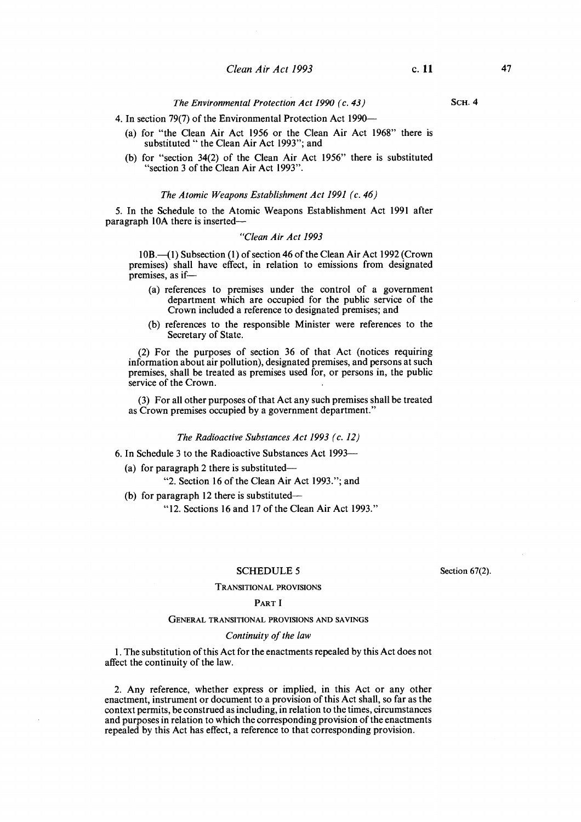The Environmental Protection Act 1990 (c. 43) SCH. 4

4. In section 79(7) of the Environmental Protection Act 1990—

- (a) for "the Clean Air Act 1956 or the Clean Air Act 1968" there is substituted " the Clean Air Act 1993"; and
- (b) for "section 34(2) of the Clean Air Act 1956" there is substituted "section 3 of the Clean Air Act 1993".

#### The Atomic Weapons Establishment Act 1991 (c. 46)

5. In the Schedule to the Atomic Weapons Establishment Act 1991 after paragraph 10A there is inserted—

#### "Clean Air Act 1993

IOB.—(1) Subsection (1) of section 46 of the Clean Air Act 1992 (Crown premises) shall have effect, in relation to emissions from designated premises, as if—

- (a) references to premises under the control of a government department which are occupied for the public service of the Crown included a reference to designated premises; and
- (b) references to the responsible Minister were references to the Secretary of State.

(2) For the purposes of section 36 of that Act (notices requiring information about air pollution), designated premises, and persons at such premises, shall be treated as premises used for, or persons in, the public service of the Crown.

(3) For all other purposes of that Act any such premises shall be treated as Crown premises occupied by a government department."

#### The Radioactive Substances Act 1993 (c. 12)

6. In Schedule 3 to the Radioactive Substances Act 1993—

(a) for paragraph 2 there is substituted—

"2. Section 16 of the Clean Air Act 1993."; and

(b) for paragraph 12 there is substituted—

"12. Sections 16 and 17 of the Clean Air Act 1993."

#### SCHEDULE 5 Section 67(2).

#### TRANSITIONAL PROVISIONS

#### PART I

#### GENERAL TRANSITIONAL PROVISIONS AND SAVINGS

#### Continuity of the law

1. The substitution of this Act for the enactments repealed by this Act does not affect the continuity of the law.

2. Any reference, whether express or implied, in this Act or any other enactment, instrument or document to a provision of this Act shall, so far as the context permits, be construed as including, in relation to the times, circumstances and purposes in relation to which the corresponding provision of the enactments repealed by this Act has effect, a reference to that corresponding provision.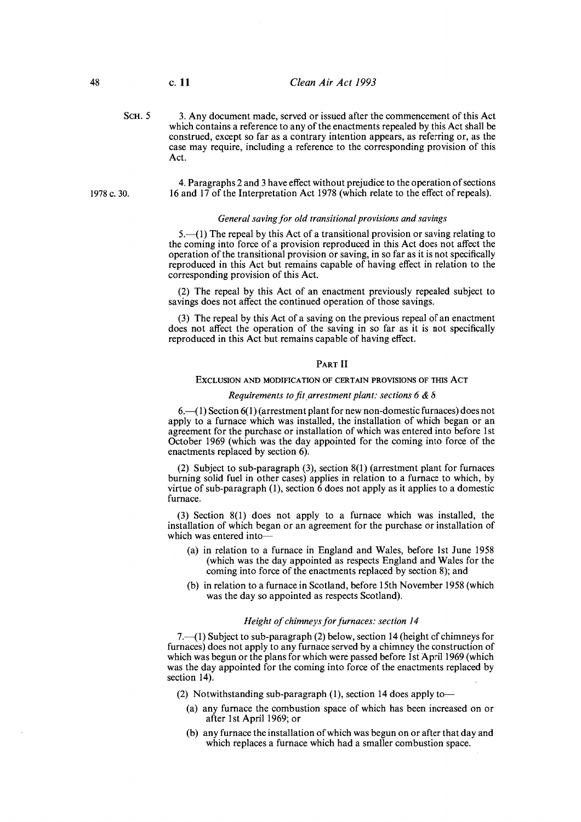SCH. 5 3. Any document made, served or issued after the commencement of this Act which contains a reference to any of the enactments repealed by this Act shall be construed, except so far as a contrary intention appears, as referring or, as the case may require, including a reference to the corresponding provision of this Act.

4. Paragraphs 2 and 3 have effect without prejudice to the operation of sections <sup>1978</sup>c. 30. 16 and 17 of the Interpretation Act 1978 (which relate to the effect of repeals).

#### General saving for old transitional provisions and savings

5.—( 1) The repeal by this Act of a transitional provision or saving relating to the coming into force of a provision reproduced in this Act does not affect the operation of the transitional provision or saving, in so far as it is not specifically reproduced in this Act but remains capable of having effect in relation to the corresponding provision of this Act.

(2) The repeal by this Act of an enactment previously repealed subject to savings does not affect the continued operation of those savings.

(3) The repeal by this Act of a saving on the previous repeal of an enactment does not affect the operation of the saving in so far as it is not specifically reproduced in this Act but remains capable of having effect.

#### PART II

#### EXCLUSION AND MODIFICATION OF CERTAIN PROVISIONS OF THIS ACT

#### Requirements to fit arrestment plant: sections  $6 & 8$

6.—(1) Section 6(1) (arrestment plant for new non-domestic furnaces) does not apply to a furnace which was installed, the installation of which began or an agreement for the purchase or installation of which was entered into before 1st October 1969 (which was the day appointed for the coming into force of the enactments replaced by section 6).

(2) Subject to sub-paragraph (3), section 8(1) (arrestment plant for furnaces burning solid fuel in other cases) applies in relation to a furnace to which, by virtue of sub-paragraph (1), section  $\vec{6}$  does not apply as it applies to a domestic furnace.

(3) Section 8(1) does not apply to a furnace which was installed, the installation of which began or an agreement for the purchase or installation of which was entered into-

- (a) in relation to a furnace in England and Wales, before 1st June 1958 (which was the day appointed as respects England and Wales for the coming into force of the enactments replaced by section 8); and
- (b) in relation to a furnace in Scotland, before 15th November 1958 (which was the day so appointed as respects Scotland).

#### Height of chimneys for furnaces: section 14

7.—(l) Subject to sub-paragraph (2) below, section 14 (height of chimneys for furnaces) does not apply to any furnace served by a chimney the construction of which was begun or the plans for which were passed before 1st April 1969 (which was the day appointed for the coming into force of the enactments replaced by section 14). -

(2) Notwithstanding sub-paragraph (1), section 14 does apply to—

- (a) any furnace the combustion space of which has been increased on or after 1st April 1969; or
- (b) any furnace the installation of which was begun on or after that day and which replaces a furnace which had a smaller combustion space.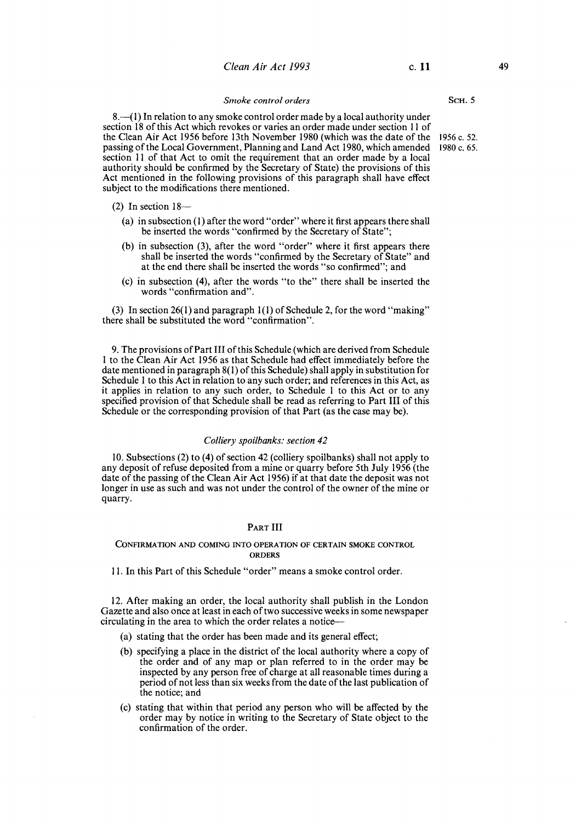#### Smoke control orders SCH. 5

8.—(l) In relation to any smoke control order made by a local authority under section 18 of this Act which revokes or varies an order made under section 11 of the Clean Air Act 1956 before 13th November 1980 (which was the date of the 1956 c. 52.<br>passing of the Local Government, Planning and Land Act 1980, which amended 1980 c. 65. passing of the Local Government, Planning and Land Act 1980, which amended section 11 of that Act to omit the requirement that an order made by a local authority should be confirmed by the Secretary of State) the provisions of this Act mentioned in the following provisions of this paragraph shall have effect subject to the modifications there mentioned.

- (a) in subsection (1) after the word "order" where it first appears there shall be inserted the words "confirmed by the Secretary of State";
- (b) in subsection (3), after the word "order" where it first appears there shall be inserted the words "confirmed by the Secretary of State" and at the end there shall be inserted the words "so confirmed"; and
- (c) in subsection (4), after the words "to the" there shall be inserted the words "confirmation and".

(3) In section 26(1) and paragraph 1(1) of Schedule 2, for the word "making" there shall be substituted the word "confirmation".

9. The provisions of Part III of this Schedule (which are derived from Schedule <sup>1</sup>to the Clean Air Act 1956 as that Schedule had effect immediately before the date mentioned in paragraph 8(1) of this Schedule) shall apply in substitution for Schedule 1 to this Act in relation to any such order; and references in this Act, as it applies in relation to any such order, to Schedule 1 to this Act or to any specified provision of that Schedule shall be read as referring to Part III of this Schedule or the corresponding provision of that Part (as the case may be).

#### Colliery spoilbanks: section 42

10. Subsections (2) to (4) of section 42 (colliery spoilbanks) shall not apply to any deposit of refuse deposited from a mine or quarry before 5th July 1956 (the date of the passing of the Clean Air Act 1956) if at that date the deposit was not longer in use as such and was not under the control of the owner of the mine or quarry.

#### PART III

#### CONFIRMATION AND COMING INTO OPERATION OF CERTAIN SMOKE CONTROL ORDERS

11. In this Part of this Schedule "order" means a smoke control order.

12. After making an order, the local authority shall publish in the London Gazette and also once at least in each of two successive weeks in some newspaper circulating in the area to which the order relates a notice—

- (a) stating that the order has been made and its general effect;
- (b) specifying a place in the district of the local authority where a copy of the order and of any map or plan referred to in the order may be inspected by any person free of charge at all reasonable times during a period of not less than six weeks from the date of the last publication of the notice; and
- (c) stating that within that period any person who will be affected by the order may by notice in writing to the Secretary of State object to the confirmation of the order.

<sup>(2)</sup> In section 18—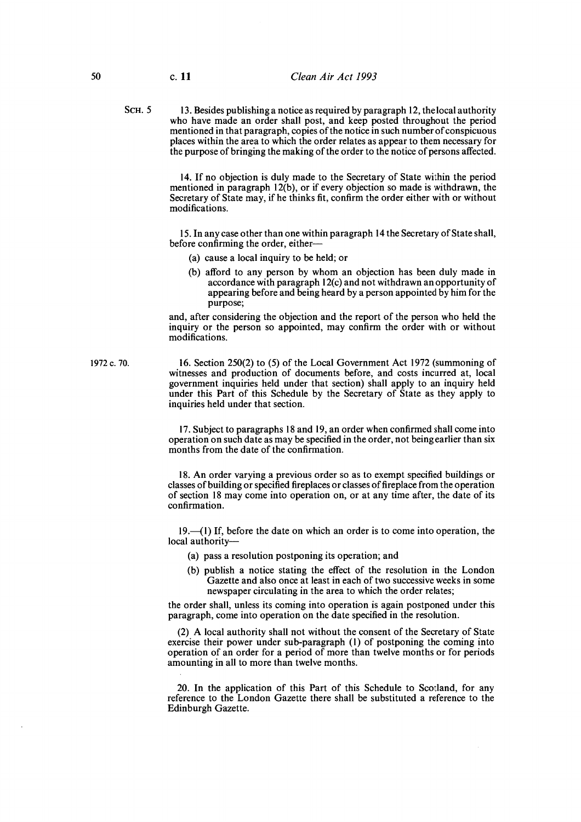SCH. 5 13. Besides publishing a notice as required by paragraph 12, the local authority who have made an order shall post, and keep posted throughout the period mentioned in that paragraph, copies of the notice in such number of conspicuous places within the area to which the order relates as appear to them necessary for the purpose of bringing the making of the order to the notice of persons affected.

> 14. If no objection is duly made to the Secretary of State within the period mentioned in paragraph 12(b), or if every objection so made is withdrawn, the Secretary of State may, if he thinks fit, confirm the order either with or without modifications.

> 15. In any case other than one within paragraph 14 the Secretary of State shall, before confirming the order, either—

- (a) cause a local inquiry to be held; or
- (b) afford to any person by whom an objection has been duly made in accordance with paragraph 12(c) and not withdrawn an opportunity of appearing before and being heard by a person appointed by him for the purpose;

and, after considering the objection and the report of the person who held the inquiry or the person so appointed, may confirm the order with or without modifications.

1972 c. 70. 16. Section 250(2) to (5) of the Local Government Act 1972 (summoning of witnesses and production of documents before, and costs incurred at, local government inquiries held under that section) shall apply to an inquiry held under this Part of this Schedule by the Secretary of State as they apply to inquiries held under that section.

> 17. Subject to paragraphs 18 and 19, an order when confirmed shall come into operation on such date as may be specified in the order, not being earlier than six months from the date of the confirmation.

> 18. An order varying a previous order so as to exempt specified buildings or classes of building or specified fireplaces or classes of fireplace from the operation of section 18 may come into operation on, or at any time after, the date of its confirmation.

> 19.—(1) If, before the date on which an order is to come into operation, the local authority—

- (a) pass a resolution postponing its operation; and
- (b) publish a notice stating the effect of the resolution in the London Gazette and also once at least in each of two successive weeks in some newspaper circulating in the area to which the order relates;

the order shall, unless its coming into operation is again postponed under this paragraph, come into operation on the date specified in the resolution.

(2) A local authority shall not without the consent of the Secretary of State exercise their power under sub-paragraph (1) of postponing the coming into operation of an order for a period of more than twelve months or for periods amounting in all to more than twelve months.

20. In the application of this Part of this Schedule to Scotland, for any reference to the London Gazette there shall be substituted a reference to the Edinburgh Gazette.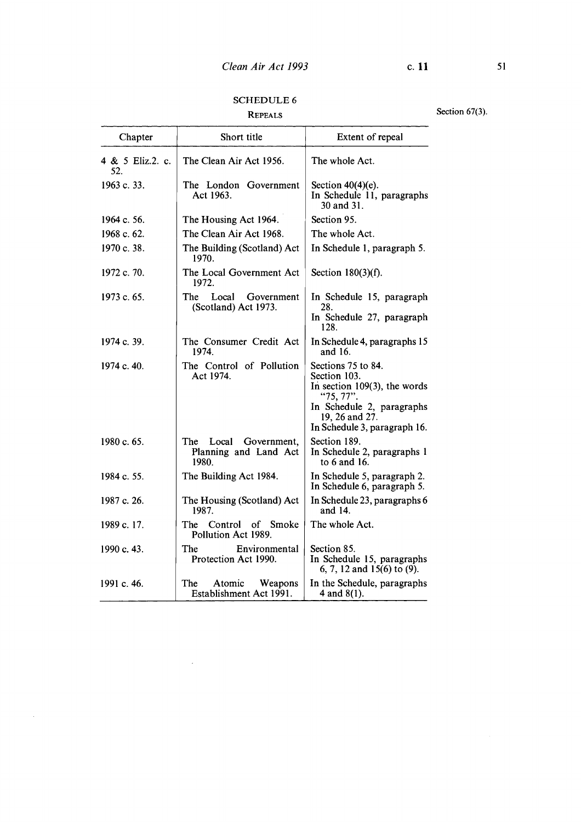#### SCHEDULE 6

#### REPEALS

Section 67(3).

| Chapter                 | Short title                                                | Extent of repeal                                                                                                                                                  |
|-------------------------|------------------------------------------------------------|-------------------------------------------------------------------------------------------------------------------------------------------------------------------|
| 4 & 5 Eliz.2. c.<br>52. | The Clean Air Act 1956.                                    | The whole Act.                                                                                                                                                    |
| 1963 c. 33.             | The London Government<br>Act 1963.                         | Section $40(4)(e)$ .<br>In Schedule 11, paragraphs<br>30 and 31.                                                                                                  |
| 1964 c. 56.             | The Housing Act 1964.                                      | Section 95.                                                                                                                                                       |
| 1968 c. 62.             | The Clean Air Act 1968.                                    | The whole Act.                                                                                                                                                    |
| 1970 c. 38.             | The Building (Scotland) Act<br>1970.                       | In Schedule 1, paragraph 5.                                                                                                                                       |
| 1972 c. 70.             | The Local Government Act<br>1972.                          | Section 180(3)(f).                                                                                                                                                |
| 1973 c. 65.             | The<br>Local<br>Government<br>(Scotland) Act 1973.         | In Schedule 15, paragraph<br>28.                                                                                                                                  |
|                         |                                                            | In Schedule 27, paragraph<br>128.                                                                                                                                 |
| 1974 c. 39.             | The Consumer Credit Act<br>1974.                           | In Schedule 4, paragraphs 15<br>and 16.                                                                                                                           |
| 1974 c. 40.             | The Control of Pollution<br>Act 1974.                      | Sections 75 to 84.<br>Section 103.<br>In section $109(3)$ , the words<br>"75, 77".<br>In Schedule 2, paragraphs<br>19, 26 and 27.<br>In Schedule 3, paragraph 16. |
| 1980 c. 65.             | Local Government,<br>The<br>Planning and Land Act<br>1980. | Section 189.<br>In Schedule 2, paragraphs 1<br>to 6 and 16.                                                                                                       |
| 1984 c. 55.             | The Building Act 1984.                                     | In Schedule 5, paragraph 2.<br>In Schedule 6, paragraph 5.                                                                                                        |
| 1987 c. 26.             | The Housing (Scotland) Act<br>1987.                        | In Schedule 23, paragraphs 6<br>and 14.                                                                                                                           |
| 1989 c. 17.             | The<br>Control of<br>Smoke<br>Pollution Act 1989.          | The whole Act.                                                                                                                                                    |
| 1990 c. 43.             | The<br>Environmental<br>Protection Act 1990.               | Section 85.<br>In Schedule 15, paragraphs<br>6, 7, 12 and 15(6) to $(9)$ .                                                                                        |
| 1991 c. 46.             | The<br>Weapons<br>Atomic<br>Establishment Act 1991.        | In the Schedule, paragraphs<br>4 and $8(1)$ .                                                                                                                     |

 $\mathcal{L}^{\pm}$ 

 $\sim 10^6$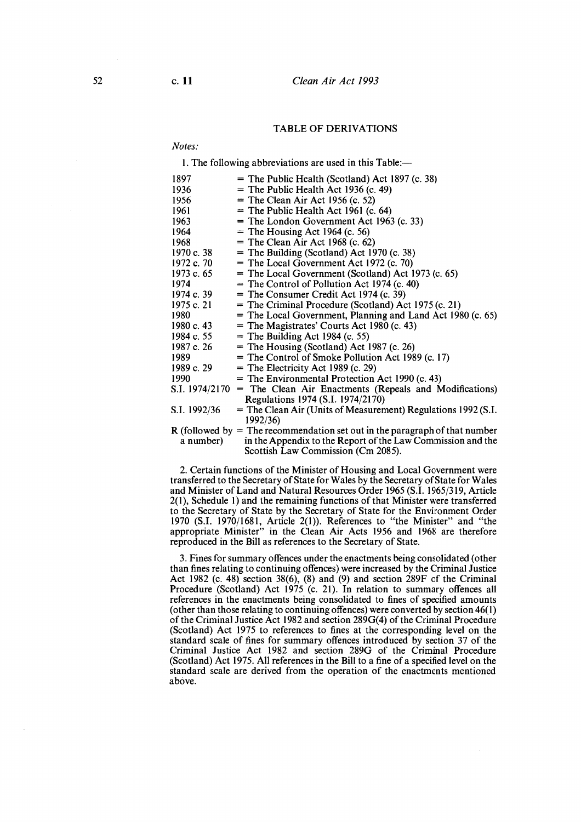#### TABLE OF DERIVATIONS

#### Notes:

1. The following abbreviations are used in this Table:—

| 1897           | $=$ The Public Health (Scotland) Act 1897 (c. 38)                             |
|----------------|-------------------------------------------------------------------------------|
| 1936           | $=$ The Public Health Act 1936 (c. 49)                                        |
| 1956           | $=$ The Clean Air Act 1956 (c. 52)                                            |
| 1961           | $=$ The Public Health Act 1961 (c. 64)                                        |
| 1963           | $=$ The London Government Act 1963 (c. 33)                                    |
| 1964           | = The Housing Act 1964 (c. 56)                                                |
| 1968           | $=$ The Clean Air Act 1968 (c. 62)                                            |
| 1970 c. 38     | $=$ The Building (Scotland) Act 1970 (c. 38)                                  |
| 1972 c. 70     | $=$ The Local Government Act 1972 (c. 70)                                     |
| 1973 c. 65     | $=$ The Local Government (Scotland) Act 1973 (c. 65)                          |
| 1974           | $=$ The Control of Pollution Act 1974 (c. 40)                                 |
| 1974 c. 39     | $=$ The Consumer Credit Act 1974 (c. 39)                                      |
| 1975 c. 21     | $=$ The Criminal Procedure (Scotland) Act 1975 (c. 21)                        |
| 1980           | $=$ The Local Government, Planning and Land Act 1980 (c. 65)                  |
| 1980 c. 43     | $=$ The Magistrates' Courts Act 1980 (c. 43)                                  |
| 1984 c. 55     | $=$ The Building Act 1984 (c. 55)                                             |
| 1987 c. 26     | $=$ The Housing (Scotland) Act 1987 (c. 26)                                   |
| 1989           | $=$ The Control of Smoke Pollution Act 1989 (c. 17)                           |
| 1989 c. 29     | $=$ The Electricity Act 1989 (c. 29)                                          |
| 1990           | $=$ The Environmental Protection Act 1990 (c. 43)                             |
| S.I. 1974/2170 | = The Clean Air Enactments (Repeals and Modifications)                        |
|                | Regulations 1974 (S.I. 1974/2170)                                             |
| S.I. 1992/36   | $=$ The Clean Air (Units of Measurement) Regulations 1992 (S.I.               |
|                | 1992/36)                                                                      |
|                | R (followed by $=$ The recommendation set out in the paragraph of that number |
| a number)      | in the Appendix to the Report of the Law Commission and the                   |

Scottish Law Commission (Cm 2085).

2. Certain functions of the Minister of Housing and Local Government were transferred to the Secretary of State for Wales by the Secretary of State for Wales and Minister of Land and Natural Resources Order 1965 (S.I. 1965/3 19, Article 2(1), Schedule 1) and the remaining functions of that Minister were transferred to the Secretary of State by the Secretary of State for the Environment Order 1970 (S.I. 1970/1681, Article 2(1)). References to "the Minister" and "the appropriate Minister" in the Clean Air Acts 1956 and 1968 are therefore reproduced in the Bill as references to the Secretary of State.

3. Fines for summary offences under the enactments being consolidated (other than fines relating to continuing offences) were increased by the Criminal Justice Act 1982 (c. 48) section 38(6), (8) and (9) and section 289F of the Criminal Procedure (Scotland) Act 1975 (c. 21). In relation to summary offences all references in the enactments being consolidated to fines of specified amounts (other than those relating to continuing offences) were converted by section 46(1) of the Criminal Justice Act 1982 and section 289G(4) of the Criminal Procedure (Scotland) Act 1975 to references to fines at the corresponding level on the standard scale of fines for summary offences introduced by section 37 of the Criminal Justice Act 1982 and section 289G of the Criminal Procedure (Scotland) Act 1975. All references in the Bill to a fine of a specified level on the standard scale are derived from the operation of the enactments mentioned above.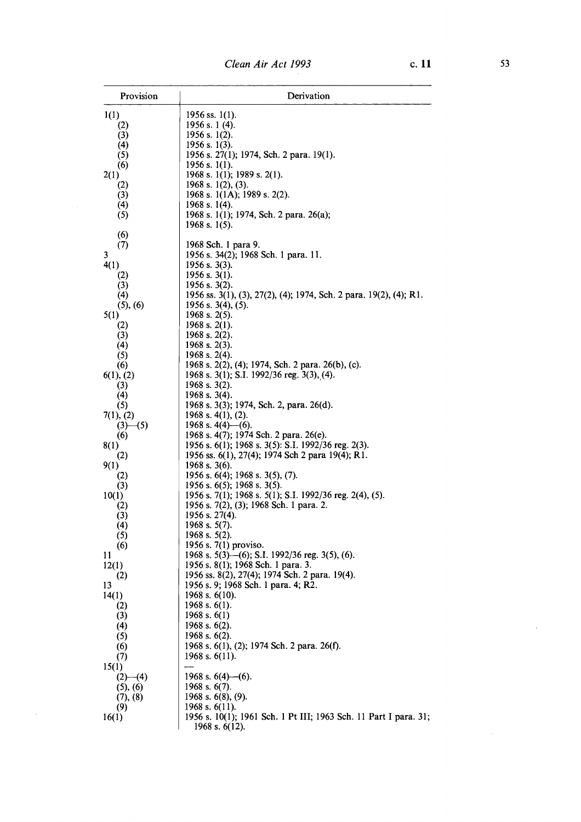| Provision            | Derivation                                                                                      |
|----------------------|-------------------------------------------------------------------------------------------------|
| 1(1)                 | 1956 ss. $1(1)$ .                                                                               |
| (2)                  | 1956 s. 1 $(4)$ .                                                                               |
| (3)                  | 1956 s. $1(2)$ .                                                                                |
| (4)<br>(5)           | 1956 s. $1(3)$ .<br>1956 s. 27(1); 1974, Sch. 2 para. 19(1).                                    |
| (6)                  | 1956 s. $1(1)$ .                                                                                |
| 2(1)                 | 1968 s. 1(1); 1989 s. 2(1).                                                                     |
| (2)                  | 1968 s. $1(2)$ , $(3)$ .                                                                        |
| (3)<br>(4)           | 1968 s. $1(1A)$ ; 1989 s. 2(2).<br>1968 s. $1(4)$ .                                             |
| (5)                  | 1968 s. 1(1); 1974, Sch. 2 para. 26(a);                                                         |
|                      | 1968 s. $1(5)$ .                                                                                |
| (6)                  |                                                                                                 |
| (7)<br>3             | 1968 Sch. 1 para 9.                                                                             |
| 4(1)                 | 1956 s. 34(2); 1968 Sch. 1 para. 11.<br>1956 s. 3(3).                                           |
| (2)                  | 1956 s. $3(1)$ .                                                                                |
| (3)                  | 1956 s. $3(2)$ .                                                                                |
| (4)                  | 1956 ss. 3(1), (3), 27(2), (4); 1974, Sch. 2 para. 19(2), (4); R1.                              |
| (5), (6)<br>5(1)     | 1956 s. $3(4)$ , (5).<br>1968 s. $2(5)$ .                                                       |
| (2)                  | 1968 s. $2(1)$ .                                                                                |
| (3)                  | 1968 s. $2(2)$ .                                                                                |
| (4)                  | 1968 s. $2(3)$ .                                                                                |
| (5)                  | 1968 s. $2(4)$ .                                                                                |
| (6)<br>6(1), (2)     | 1968 s. 2(2), (4); 1974, Sch. 2 para. 26(b), (c).<br>1968 s. 3(1); S.I. 1992/36 reg. 3(3), (4). |
| (3)                  | 1968 s. $3(2)$ .                                                                                |
| (4)                  | 1968 s. $3(4)$ .                                                                                |
| (5)                  | 1968 s. 3(3); 1974, Sch. 2, para. 26(d).                                                        |
| 7(1), (2)            | 1968 s. $4(1)$ , (2).<br>1968 s. $4(4)$ —(6).                                                   |
| $-(5)$<br>(3)<br>(6) | 1968 s. 4(7); 1974 Sch. 2 para. 26(e).                                                          |
| 8(1)                 | 1956 s. 6(1); 1968 s. 3(5): S.I. 1992/36 reg. 2(3).                                             |
| (2)                  | 1956 ss. 6(1), 27(4); 1974 Sch 2 para 19(4); R1.                                                |
| 9(1)                 | 1968 s. $3(6)$ .                                                                                |
| (2)<br>(3)           | 1956 s. $6(4)$ ; 1968 s. $3(5)$ , (7).<br>1956 s. $6(5)$ ; 1968 s. $3(5)$ .                     |
| 10(1)                | 1956 s. 7(1); 1968 s. 5(1); S.I. 1992/36 reg. 2(4), (5).                                        |
| (2)                  | 1956 s. 7(2), (3); 1968 Sch. 1 para. 2.                                                         |
| (3)                  | 1956 s. 27(4).                                                                                  |
| (4)                  | 1968 s. $5(7)$ .                                                                                |
| (5)<br>(6)           | 1968 s. 5(2).<br>1956 s. 7(1) proviso.                                                          |
| 11                   | 1968 s. 5(3)–(6); S.I. 1992/36 reg. 3(5), (6).                                                  |
| 12(1)                | 1956 s. 8(1); 1968 Sch. 1 para. 3.                                                              |
| (2)                  | 1956 ss. 8(2), 27(4); 1974 Sch. 2 para. 19(4).                                                  |
| 13<br>14(1)          | 1956 s. 9; 1968 Sch. 1 para. 4; R2.<br>1968 s. $6(10)$ .                                        |
| (2)                  | 1968 s. $6(1)$ .                                                                                |
| (3)                  | 1968 s. $6(1)$                                                                                  |
| (4)                  | 1968 s. $6(2)$ .                                                                                |
| (5)                  | 1968 s. $6(2)$ .                                                                                |
| (6)<br>(7)           | 1968 s. 6(1), (2); 1974 Sch. 2 para. 26(f).<br>1968 s. $6(11)$ .                                |
| 15(1)                |                                                                                                 |
| $(2)$ — $(4)$        | 1968 s. $6(4)$ — $(6)$ .                                                                        |
| (5), (6)             | 1968 s. $6(7)$ .                                                                                |
| (7), (8)             | 1968 s. $6(8)$ , $(9)$ .                                                                        |
| (9)<br>16(1)         | 1968 s. $6(11)$ .<br>1956 s. 10(1); 1961 Sch. 1 Pt III; 1963 Sch. 11 Part I para. 31;           |
|                      | 1968 s. $6(12)$ .                                                                               |

 $\sim$ 

 $\sim 10^7$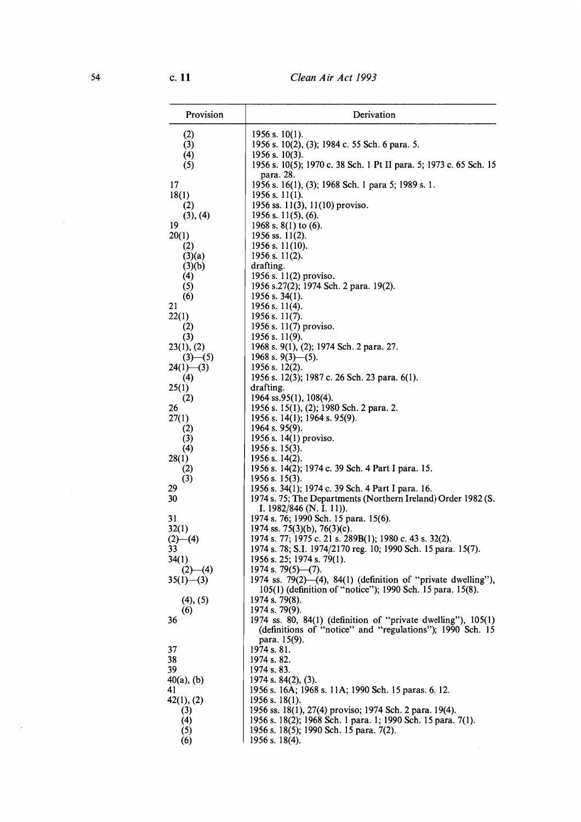| (2)<br>1956 s. $10(1)$ .<br>(3)<br>1956 s. 10(2), (3); 1984 c. 55 Sch. 6 para. 5.<br>(4)<br>1956 s. $10(3)$ .<br>(5)<br>1956 s. 10(5); 1970 c. 38 Sch. 1 Pt II para. 5; 1973 c. 65 Sch. 15<br>para. 28.<br>1956 s. 16(1), (3); 1968 Sch. 1 para 5; 1989 s. 1.<br>17<br>18(1)<br>1956 s. $11(1)$ .<br>(2)<br>1956 ss. $11(3)$ , $11(10)$ proviso.<br>(3), (4)<br>1956 s. $11(5)$ , (6).<br>19<br>1968 s. $8(1)$ to (6).<br>20(1)<br>1956 ss. $11(2)$ .<br>1956 s. $11(10)$ .<br>(2)<br>(3)(a)<br>1956 s. $11(2)$ .<br>drafting.<br>(3)(b)<br>1956 s. 11(2) proviso.<br>(4)<br>1956 s.27(2); 1974 Sch. 2 para. 19(2).<br>(5)<br>1956 s. $34(1)$ .<br>(6)<br>21<br>1956 s. $11(4)$ .<br>22(1)<br>1956 s. $11(7)$ .<br>(2)<br>1956 s. 11(7) proviso.<br>1956 s. 11(9).<br>(3)<br>1968 s. 9(1), (2); 1974 Sch. 2 para. 27.<br>23(1), (2)<br>1968 s. 9(3)–(5).<br>$(3)$ $-(5)$<br>1956 s. 12(2).<br>$24(1)$ – $(3)$<br>(4)<br>1956 s. 12(3); 1987 c. 26 Sch. 23 para. 6(1).<br>drafting.<br>25(1)<br>1964 ss.95(1), 108(4).<br>(2)<br>26<br>1956 s. 15(1), (2); 1980 Sch. 2 para. 2.<br>27(1)<br>1956 s. 14(1); 1964 s. 95(9).<br>1964 s. 95(9).<br>(2)<br>1956 s. 14(1) proviso.<br>(3)<br>1956 s. $15(3)$ .<br>(4)<br>1956 s. $14(2)$ .<br>28(1)<br>1956 s. 14(2); 1974 c. 39 Sch. 4 Part I para. 15.<br>(2)<br>(3)<br>1956 s. $15(3)$ .<br>29<br>1956 s. 34(1); 1974 c. 39 Sch. 4 Part I para. 16.<br>1974 s. 75; The Departments (Northern Ireland) Order 1982 (S.<br>30<br>I. $1982/846$ (N. I. 11)).<br>31<br>1974 s. 76; 1990 Sch. 15 para. 15(6).<br>32(1)<br>1974 ss. 75(3)(b), 76(3)(c).<br>1974 s. 77; 1975 c. 21 s. 289B(1); 1980 c. 43 s. 32(2).<br>1974 s. 78; S.I. 1974/2170 reg. 10; 1990 Sch. 15 para. 15(7).<br>33<br>1956 s. 25; 1974 s. 79(1).<br>34(1)<br>1974 s. $79(5)$ (7).<br>$(2)$ $-(4)$<br>1974 ss. 79(2)-(4), 84(1) (definition of "private dwelling"),<br>$35(1)$ – $(3)$<br>105(1) (definition of "notice"); 1990 Sch. 15 para. 15(8).<br>1974 s. 79(8).<br>(4), (5)<br>1974 s. 79(9).<br>(6)<br>1974 ss. 80, 84(1) (definition of "private dwelling"), 105(1)<br>(definitions of "notice" and "regulations"); 1990 Sch. 15<br>para. 15(9).<br>37<br>1974 s. 81.<br>38<br>1974 s. 82.<br>39<br>1974 s. 83.<br>$40(a)$ , (b)<br>1974 s. $84(2)$ , (3).<br>1956 s. 16A; 1968 s. 11A; 1990 Sch. 15 paras. 6, 12.<br>42(1), (2)<br>1956 s. 18(1).<br>1956 ss. 18(1), 27(4) proviso; 1974 Sch. 2 para. 19(4).<br>(3)<br>1956 s. 18(2); 1968 Sch. 1 para. 1; 1990 Sch. 15 para. 7(1).<br>$\left(4\right)$<br>1956 s. 18(5); 1990 Sch. 15 para. 7(2).<br>(5) | Provision     | Derivation     |
|--------------------------------------------------------------------------------------------------------------------------------------------------------------------------------------------------------------------------------------------------------------------------------------------------------------------------------------------------------------------------------------------------------------------------------------------------------------------------------------------------------------------------------------------------------------------------------------------------------------------------------------------------------------------------------------------------------------------------------------------------------------------------------------------------------------------------------------------------------------------------------------------------------------------------------------------------------------------------------------------------------------------------------------------------------------------------------------------------------------------------------------------------------------------------------------------------------------------------------------------------------------------------------------------------------------------------------------------------------------------------------------------------------------------------------------------------------------------------------------------------------------------------------------------------------------------------------------------------------------------------------------------------------------------------------------------------------------------------------------------------------------------------------------------------------------------------------------------------------------------------------------------------------------------------------------------------------------------------------------------------------------------------------------------------------------------------------------------------------------------------------------------------------------------------------------------------------------------------------------------------------------------------------------------------------------------------------------------------------------------------------------------------------------------------------------------------------------------------------------------------------------------------------------------------------------------------------|---------------|----------------|
|                                                                                                                                                                                                                                                                                                                                                                                                                                                                                                                                                                                                                                                                                                                                                                                                                                                                                                                                                                                                                                                                                                                                                                                                                                                                                                                                                                                                                                                                                                                                                                                                                                                                                                                                                                                                                                                                                                                                                                                                                                                                                                                                                                                                                                                                                                                                                                                                                                                                                                                                                                                |               |                |
|                                                                                                                                                                                                                                                                                                                                                                                                                                                                                                                                                                                                                                                                                                                                                                                                                                                                                                                                                                                                                                                                                                                                                                                                                                                                                                                                                                                                                                                                                                                                                                                                                                                                                                                                                                                                                                                                                                                                                                                                                                                                                                                                                                                                                                                                                                                                                                                                                                                                                                                                                                                |               |                |
|                                                                                                                                                                                                                                                                                                                                                                                                                                                                                                                                                                                                                                                                                                                                                                                                                                                                                                                                                                                                                                                                                                                                                                                                                                                                                                                                                                                                                                                                                                                                                                                                                                                                                                                                                                                                                                                                                                                                                                                                                                                                                                                                                                                                                                                                                                                                                                                                                                                                                                                                                                                |               |                |
|                                                                                                                                                                                                                                                                                                                                                                                                                                                                                                                                                                                                                                                                                                                                                                                                                                                                                                                                                                                                                                                                                                                                                                                                                                                                                                                                                                                                                                                                                                                                                                                                                                                                                                                                                                                                                                                                                                                                                                                                                                                                                                                                                                                                                                                                                                                                                                                                                                                                                                                                                                                |               |                |
|                                                                                                                                                                                                                                                                                                                                                                                                                                                                                                                                                                                                                                                                                                                                                                                                                                                                                                                                                                                                                                                                                                                                                                                                                                                                                                                                                                                                                                                                                                                                                                                                                                                                                                                                                                                                                                                                                                                                                                                                                                                                                                                                                                                                                                                                                                                                                                                                                                                                                                                                                                                |               |                |
|                                                                                                                                                                                                                                                                                                                                                                                                                                                                                                                                                                                                                                                                                                                                                                                                                                                                                                                                                                                                                                                                                                                                                                                                                                                                                                                                                                                                                                                                                                                                                                                                                                                                                                                                                                                                                                                                                                                                                                                                                                                                                                                                                                                                                                                                                                                                                                                                                                                                                                                                                                                |               |                |
|                                                                                                                                                                                                                                                                                                                                                                                                                                                                                                                                                                                                                                                                                                                                                                                                                                                                                                                                                                                                                                                                                                                                                                                                                                                                                                                                                                                                                                                                                                                                                                                                                                                                                                                                                                                                                                                                                                                                                                                                                                                                                                                                                                                                                                                                                                                                                                                                                                                                                                                                                                                |               |                |
|                                                                                                                                                                                                                                                                                                                                                                                                                                                                                                                                                                                                                                                                                                                                                                                                                                                                                                                                                                                                                                                                                                                                                                                                                                                                                                                                                                                                                                                                                                                                                                                                                                                                                                                                                                                                                                                                                                                                                                                                                                                                                                                                                                                                                                                                                                                                                                                                                                                                                                                                                                                |               |                |
|                                                                                                                                                                                                                                                                                                                                                                                                                                                                                                                                                                                                                                                                                                                                                                                                                                                                                                                                                                                                                                                                                                                                                                                                                                                                                                                                                                                                                                                                                                                                                                                                                                                                                                                                                                                                                                                                                                                                                                                                                                                                                                                                                                                                                                                                                                                                                                                                                                                                                                                                                                                |               |                |
|                                                                                                                                                                                                                                                                                                                                                                                                                                                                                                                                                                                                                                                                                                                                                                                                                                                                                                                                                                                                                                                                                                                                                                                                                                                                                                                                                                                                                                                                                                                                                                                                                                                                                                                                                                                                                                                                                                                                                                                                                                                                                                                                                                                                                                                                                                                                                                                                                                                                                                                                                                                |               |                |
|                                                                                                                                                                                                                                                                                                                                                                                                                                                                                                                                                                                                                                                                                                                                                                                                                                                                                                                                                                                                                                                                                                                                                                                                                                                                                                                                                                                                                                                                                                                                                                                                                                                                                                                                                                                                                                                                                                                                                                                                                                                                                                                                                                                                                                                                                                                                                                                                                                                                                                                                                                                |               |                |
|                                                                                                                                                                                                                                                                                                                                                                                                                                                                                                                                                                                                                                                                                                                                                                                                                                                                                                                                                                                                                                                                                                                                                                                                                                                                                                                                                                                                                                                                                                                                                                                                                                                                                                                                                                                                                                                                                                                                                                                                                                                                                                                                                                                                                                                                                                                                                                                                                                                                                                                                                                                |               |                |
|                                                                                                                                                                                                                                                                                                                                                                                                                                                                                                                                                                                                                                                                                                                                                                                                                                                                                                                                                                                                                                                                                                                                                                                                                                                                                                                                                                                                                                                                                                                                                                                                                                                                                                                                                                                                                                                                                                                                                                                                                                                                                                                                                                                                                                                                                                                                                                                                                                                                                                                                                                                |               |                |
|                                                                                                                                                                                                                                                                                                                                                                                                                                                                                                                                                                                                                                                                                                                                                                                                                                                                                                                                                                                                                                                                                                                                                                                                                                                                                                                                                                                                                                                                                                                                                                                                                                                                                                                                                                                                                                                                                                                                                                                                                                                                                                                                                                                                                                                                                                                                                                                                                                                                                                                                                                                |               |                |
|                                                                                                                                                                                                                                                                                                                                                                                                                                                                                                                                                                                                                                                                                                                                                                                                                                                                                                                                                                                                                                                                                                                                                                                                                                                                                                                                                                                                                                                                                                                                                                                                                                                                                                                                                                                                                                                                                                                                                                                                                                                                                                                                                                                                                                                                                                                                                                                                                                                                                                                                                                                |               |                |
|                                                                                                                                                                                                                                                                                                                                                                                                                                                                                                                                                                                                                                                                                                                                                                                                                                                                                                                                                                                                                                                                                                                                                                                                                                                                                                                                                                                                                                                                                                                                                                                                                                                                                                                                                                                                                                                                                                                                                                                                                                                                                                                                                                                                                                                                                                                                                                                                                                                                                                                                                                                |               |                |
|                                                                                                                                                                                                                                                                                                                                                                                                                                                                                                                                                                                                                                                                                                                                                                                                                                                                                                                                                                                                                                                                                                                                                                                                                                                                                                                                                                                                                                                                                                                                                                                                                                                                                                                                                                                                                                                                                                                                                                                                                                                                                                                                                                                                                                                                                                                                                                                                                                                                                                                                                                                |               |                |
|                                                                                                                                                                                                                                                                                                                                                                                                                                                                                                                                                                                                                                                                                                                                                                                                                                                                                                                                                                                                                                                                                                                                                                                                                                                                                                                                                                                                                                                                                                                                                                                                                                                                                                                                                                                                                                                                                                                                                                                                                                                                                                                                                                                                                                                                                                                                                                                                                                                                                                                                                                                |               |                |
|                                                                                                                                                                                                                                                                                                                                                                                                                                                                                                                                                                                                                                                                                                                                                                                                                                                                                                                                                                                                                                                                                                                                                                                                                                                                                                                                                                                                                                                                                                                                                                                                                                                                                                                                                                                                                                                                                                                                                                                                                                                                                                                                                                                                                                                                                                                                                                                                                                                                                                                                                                                |               |                |
|                                                                                                                                                                                                                                                                                                                                                                                                                                                                                                                                                                                                                                                                                                                                                                                                                                                                                                                                                                                                                                                                                                                                                                                                                                                                                                                                                                                                                                                                                                                                                                                                                                                                                                                                                                                                                                                                                                                                                                                                                                                                                                                                                                                                                                                                                                                                                                                                                                                                                                                                                                                |               |                |
|                                                                                                                                                                                                                                                                                                                                                                                                                                                                                                                                                                                                                                                                                                                                                                                                                                                                                                                                                                                                                                                                                                                                                                                                                                                                                                                                                                                                                                                                                                                                                                                                                                                                                                                                                                                                                                                                                                                                                                                                                                                                                                                                                                                                                                                                                                                                                                                                                                                                                                                                                                                |               |                |
|                                                                                                                                                                                                                                                                                                                                                                                                                                                                                                                                                                                                                                                                                                                                                                                                                                                                                                                                                                                                                                                                                                                                                                                                                                                                                                                                                                                                                                                                                                                                                                                                                                                                                                                                                                                                                                                                                                                                                                                                                                                                                                                                                                                                                                                                                                                                                                                                                                                                                                                                                                                |               |                |
|                                                                                                                                                                                                                                                                                                                                                                                                                                                                                                                                                                                                                                                                                                                                                                                                                                                                                                                                                                                                                                                                                                                                                                                                                                                                                                                                                                                                                                                                                                                                                                                                                                                                                                                                                                                                                                                                                                                                                                                                                                                                                                                                                                                                                                                                                                                                                                                                                                                                                                                                                                                |               |                |
|                                                                                                                                                                                                                                                                                                                                                                                                                                                                                                                                                                                                                                                                                                                                                                                                                                                                                                                                                                                                                                                                                                                                                                                                                                                                                                                                                                                                                                                                                                                                                                                                                                                                                                                                                                                                                                                                                                                                                                                                                                                                                                                                                                                                                                                                                                                                                                                                                                                                                                                                                                                |               |                |
|                                                                                                                                                                                                                                                                                                                                                                                                                                                                                                                                                                                                                                                                                                                                                                                                                                                                                                                                                                                                                                                                                                                                                                                                                                                                                                                                                                                                                                                                                                                                                                                                                                                                                                                                                                                                                                                                                                                                                                                                                                                                                                                                                                                                                                                                                                                                                                                                                                                                                                                                                                                |               |                |
|                                                                                                                                                                                                                                                                                                                                                                                                                                                                                                                                                                                                                                                                                                                                                                                                                                                                                                                                                                                                                                                                                                                                                                                                                                                                                                                                                                                                                                                                                                                                                                                                                                                                                                                                                                                                                                                                                                                                                                                                                                                                                                                                                                                                                                                                                                                                                                                                                                                                                                                                                                                |               |                |
|                                                                                                                                                                                                                                                                                                                                                                                                                                                                                                                                                                                                                                                                                                                                                                                                                                                                                                                                                                                                                                                                                                                                                                                                                                                                                                                                                                                                                                                                                                                                                                                                                                                                                                                                                                                                                                                                                                                                                                                                                                                                                                                                                                                                                                                                                                                                                                                                                                                                                                                                                                                |               |                |
|                                                                                                                                                                                                                                                                                                                                                                                                                                                                                                                                                                                                                                                                                                                                                                                                                                                                                                                                                                                                                                                                                                                                                                                                                                                                                                                                                                                                                                                                                                                                                                                                                                                                                                                                                                                                                                                                                                                                                                                                                                                                                                                                                                                                                                                                                                                                                                                                                                                                                                                                                                                |               |                |
|                                                                                                                                                                                                                                                                                                                                                                                                                                                                                                                                                                                                                                                                                                                                                                                                                                                                                                                                                                                                                                                                                                                                                                                                                                                                                                                                                                                                                                                                                                                                                                                                                                                                                                                                                                                                                                                                                                                                                                                                                                                                                                                                                                                                                                                                                                                                                                                                                                                                                                                                                                                |               |                |
|                                                                                                                                                                                                                                                                                                                                                                                                                                                                                                                                                                                                                                                                                                                                                                                                                                                                                                                                                                                                                                                                                                                                                                                                                                                                                                                                                                                                                                                                                                                                                                                                                                                                                                                                                                                                                                                                                                                                                                                                                                                                                                                                                                                                                                                                                                                                                                                                                                                                                                                                                                                |               |                |
|                                                                                                                                                                                                                                                                                                                                                                                                                                                                                                                                                                                                                                                                                                                                                                                                                                                                                                                                                                                                                                                                                                                                                                                                                                                                                                                                                                                                                                                                                                                                                                                                                                                                                                                                                                                                                                                                                                                                                                                                                                                                                                                                                                                                                                                                                                                                                                                                                                                                                                                                                                                |               |                |
|                                                                                                                                                                                                                                                                                                                                                                                                                                                                                                                                                                                                                                                                                                                                                                                                                                                                                                                                                                                                                                                                                                                                                                                                                                                                                                                                                                                                                                                                                                                                                                                                                                                                                                                                                                                                                                                                                                                                                                                                                                                                                                                                                                                                                                                                                                                                                                                                                                                                                                                                                                                |               |                |
|                                                                                                                                                                                                                                                                                                                                                                                                                                                                                                                                                                                                                                                                                                                                                                                                                                                                                                                                                                                                                                                                                                                                                                                                                                                                                                                                                                                                                                                                                                                                                                                                                                                                                                                                                                                                                                                                                                                                                                                                                                                                                                                                                                                                                                                                                                                                                                                                                                                                                                                                                                                |               |                |
|                                                                                                                                                                                                                                                                                                                                                                                                                                                                                                                                                                                                                                                                                                                                                                                                                                                                                                                                                                                                                                                                                                                                                                                                                                                                                                                                                                                                                                                                                                                                                                                                                                                                                                                                                                                                                                                                                                                                                                                                                                                                                                                                                                                                                                                                                                                                                                                                                                                                                                                                                                                |               |                |
|                                                                                                                                                                                                                                                                                                                                                                                                                                                                                                                                                                                                                                                                                                                                                                                                                                                                                                                                                                                                                                                                                                                                                                                                                                                                                                                                                                                                                                                                                                                                                                                                                                                                                                                                                                                                                                                                                                                                                                                                                                                                                                                                                                                                                                                                                                                                                                                                                                                                                                                                                                                |               |                |
|                                                                                                                                                                                                                                                                                                                                                                                                                                                                                                                                                                                                                                                                                                                                                                                                                                                                                                                                                                                                                                                                                                                                                                                                                                                                                                                                                                                                                                                                                                                                                                                                                                                                                                                                                                                                                                                                                                                                                                                                                                                                                                                                                                                                                                                                                                                                                                                                                                                                                                                                                                                | $(2)$ - $(4)$ |                |
|                                                                                                                                                                                                                                                                                                                                                                                                                                                                                                                                                                                                                                                                                                                                                                                                                                                                                                                                                                                                                                                                                                                                                                                                                                                                                                                                                                                                                                                                                                                                                                                                                                                                                                                                                                                                                                                                                                                                                                                                                                                                                                                                                                                                                                                                                                                                                                                                                                                                                                                                                                                |               |                |
|                                                                                                                                                                                                                                                                                                                                                                                                                                                                                                                                                                                                                                                                                                                                                                                                                                                                                                                                                                                                                                                                                                                                                                                                                                                                                                                                                                                                                                                                                                                                                                                                                                                                                                                                                                                                                                                                                                                                                                                                                                                                                                                                                                                                                                                                                                                                                                                                                                                                                                                                                                                |               |                |
|                                                                                                                                                                                                                                                                                                                                                                                                                                                                                                                                                                                                                                                                                                                                                                                                                                                                                                                                                                                                                                                                                                                                                                                                                                                                                                                                                                                                                                                                                                                                                                                                                                                                                                                                                                                                                                                                                                                                                                                                                                                                                                                                                                                                                                                                                                                                                                                                                                                                                                                                                                                |               |                |
|                                                                                                                                                                                                                                                                                                                                                                                                                                                                                                                                                                                                                                                                                                                                                                                                                                                                                                                                                                                                                                                                                                                                                                                                                                                                                                                                                                                                                                                                                                                                                                                                                                                                                                                                                                                                                                                                                                                                                                                                                                                                                                                                                                                                                                                                                                                                                                                                                                                                                                                                                                                |               |                |
|                                                                                                                                                                                                                                                                                                                                                                                                                                                                                                                                                                                                                                                                                                                                                                                                                                                                                                                                                                                                                                                                                                                                                                                                                                                                                                                                                                                                                                                                                                                                                                                                                                                                                                                                                                                                                                                                                                                                                                                                                                                                                                                                                                                                                                                                                                                                                                                                                                                                                                                                                                                |               |                |
|                                                                                                                                                                                                                                                                                                                                                                                                                                                                                                                                                                                                                                                                                                                                                                                                                                                                                                                                                                                                                                                                                                                                                                                                                                                                                                                                                                                                                                                                                                                                                                                                                                                                                                                                                                                                                                                                                                                                                                                                                                                                                                                                                                                                                                                                                                                                                                                                                                                                                                                                                                                |               |                |
|                                                                                                                                                                                                                                                                                                                                                                                                                                                                                                                                                                                                                                                                                                                                                                                                                                                                                                                                                                                                                                                                                                                                                                                                                                                                                                                                                                                                                                                                                                                                                                                                                                                                                                                                                                                                                                                                                                                                                                                                                                                                                                                                                                                                                                                                                                                                                                                                                                                                                                                                                                                | 36            |                |
|                                                                                                                                                                                                                                                                                                                                                                                                                                                                                                                                                                                                                                                                                                                                                                                                                                                                                                                                                                                                                                                                                                                                                                                                                                                                                                                                                                                                                                                                                                                                                                                                                                                                                                                                                                                                                                                                                                                                                                                                                                                                                                                                                                                                                                                                                                                                                                                                                                                                                                                                                                                |               |                |
|                                                                                                                                                                                                                                                                                                                                                                                                                                                                                                                                                                                                                                                                                                                                                                                                                                                                                                                                                                                                                                                                                                                                                                                                                                                                                                                                                                                                                                                                                                                                                                                                                                                                                                                                                                                                                                                                                                                                                                                                                                                                                                                                                                                                                                                                                                                                                                                                                                                                                                                                                                                |               |                |
|                                                                                                                                                                                                                                                                                                                                                                                                                                                                                                                                                                                                                                                                                                                                                                                                                                                                                                                                                                                                                                                                                                                                                                                                                                                                                                                                                                                                                                                                                                                                                                                                                                                                                                                                                                                                                                                                                                                                                                                                                                                                                                                                                                                                                                                                                                                                                                                                                                                                                                                                                                                |               |                |
|                                                                                                                                                                                                                                                                                                                                                                                                                                                                                                                                                                                                                                                                                                                                                                                                                                                                                                                                                                                                                                                                                                                                                                                                                                                                                                                                                                                                                                                                                                                                                                                                                                                                                                                                                                                                                                                                                                                                                                                                                                                                                                                                                                                                                                                                                                                                                                                                                                                                                                                                                                                |               |                |
|                                                                                                                                                                                                                                                                                                                                                                                                                                                                                                                                                                                                                                                                                                                                                                                                                                                                                                                                                                                                                                                                                                                                                                                                                                                                                                                                                                                                                                                                                                                                                                                                                                                                                                                                                                                                                                                                                                                                                                                                                                                                                                                                                                                                                                                                                                                                                                                                                                                                                                                                                                                |               |                |
|                                                                                                                                                                                                                                                                                                                                                                                                                                                                                                                                                                                                                                                                                                                                                                                                                                                                                                                                                                                                                                                                                                                                                                                                                                                                                                                                                                                                                                                                                                                                                                                                                                                                                                                                                                                                                                                                                                                                                                                                                                                                                                                                                                                                                                                                                                                                                                                                                                                                                                                                                                                | 41            |                |
|                                                                                                                                                                                                                                                                                                                                                                                                                                                                                                                                                                                                                                                                                                                                                                                                                                                                                                                                                                                                                                                                                                                                                                                                                                                                                                                                                                                                                                                                                                                                                                                                                                                                                                                                                                                                                                                                                                                                                                                                                                                                                                                                                                                                                                                                                                                                                                                                                                                                                                                                                                                |               |                |
|                                                                                                                                                                                                                                                                                                                                                                                                                                                                                                                                                                                                                                                                                                                                                                                                                                                                                                                                                                                                                                                                                                                                                                                                                                                                                                                                                                                                                                                                                                                                                                                                                                                                                                                                                                                                                                                                                                                                                                                                                                                                                                                                                                                                                                                                                                                                                                                                                                                                                                                                                                                |               |                |
|                                                                                                                                                                                                                                                                                                                                                                                                                                                                                                                                                                                                                                                                                                                                                                                                                                                                                                                                                                                                                                                                                                                                                                                                                                                                                                                                                                                                                                                                                                                                                                                                                                                                                                                                                                                                                                                                                                                                                                                                                                                                                                                                                                                                                                                                                                                                                                                                                                                                                                                                                                                |               |                |
|                                                                                                                                                                                                                                                                                                                                                                                                                                                                                                                                                                                                                                                                                                                                                                                                                                                                                                                                                                                                                                                                                                                                                                                                                                                                                                                                                                                                                                                                                                                                                                                                                                                                                                                                                                                                                                                                                                                                                                                                                                                                                                                                                                                                                                                                                                                                                                                                                                                                                                                                                                                | (6)           | 1956 s. 18(4). |

 $\sim 10^7$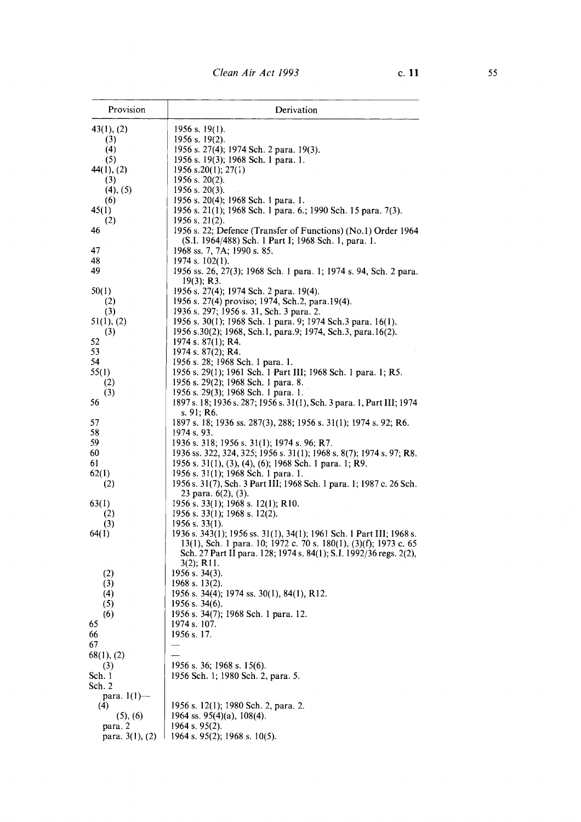| Provision             | Derivation                                                                                    |
|-----------------------|-----------------------------------------------------------------------------------------------|
| 43(1), (2)            | 1956 s. 19(1).                                                                                |
| (3)                   | 1956 s. $19(2)$ .                                                                             |
| (4)                   | 1956 s. 27(4); 1974 Sch. 2 para. 19(3).                                                       |
| (5)                   | 1956 s. 19(3); 1968 Sch. 1 para. 1.                                                           |
| 44(1), (2)            | 1956 s.20(1); $27(1)$                                                                         |
| (3)                   | 1956 s. $20(2)$ .                                                                             |
| (4), (5)              | 1956 s. 20(3).                                                                                |
| (6)                   | 1956 s. 20(4); 1968 Sch. 1 para. 1.                                                           |
| 45(1)                 | 1956 s. 21(1); 1968 Sch. 1 para. 6.; 1990 Sch. 15 para. 7(3).                                 |
| (2)<br>46             | 1956 s. $21(2)$ .<br>1956 s. 22; Defence (Transfer of Functions) (No.1) Order 1964            |
|                       | (S.I. 1964/488) Sch. 1 Part I; 1968 Sch. 1, para. 1.                                          |
| 47                    | 1968 ss. 7, 7A; 1990 s. 85.                                                                   |
| 48                    | 1974 s. 102(1).                                                                               |
| 49                    | 1956 ss. 26, 27(3); 1968 Sch. 1 para. 1; 1974 s. 94, Sch. 2 para.                             |
|                       | $19(3)$ ; R3.                                                                                 |
| 50(1)                 | 1956 s. 27(4); 1974 Sch. 2 para. 19(4).                                                       |
| (2)                   | 1956 s. 27(4) proviso; 1974, Sch.2, para.19(4).                                               |
| (3)                   | 1936 s. 297; 1956 s. 31, Sch. 3 para. 2.                                                      |
| 51(1), (2)            | 1956 s. 30(1); 1968 Sch. 1 para. 9; 1974 Sch.3 para. 16(1).                                   |
| (3)                   | 1956 s.30(2); 1968, Sch.1, para.9; 1974, Sch.3, para.16(2).                                   |
| 52<br>53              | 1974 s. 87(1); R4.<br>1974 s. 87(2); R4.                                                      |
| 54                    | 1956 s. 28; 1968 Sch. 1 para. 1.                                                              |
| 55(1)                 | 1956 s. 29(1); 1961 Sch. 1 Part III; 1968 Sch. 1 para. 1; R5.                                 |
| (2)                   | 1956 s. 29(2); 1968 Sch. 1 para. 8.                                                           |
| (3)                   | 1956 s. 29(3); 1968 Sch. 1 para. 1.                                                           |
| 56                    | 1897 s. 18; 1936 s. 287; 1956 s. 31(1), Sch. 3 para. 1, Part III; 1974                        |
|                       | s. 91; R6.                                                                                    |
| 57                    | 1897 s. 18; 1936 ss. 287(3), 288; 1956 s. 31(1); 1974 s. 92; R6.                              |
| 58                    | 1974 s. 93.                                                                                   |
| 59                    | 1936 s. 318; 1956 s. 31(1); 1974 s. 96; R7.                                                   |
| 60                    | 1936 ss. 322, 324, 325; 1956 s. 31(1); 1968 s. 8(7); 1974 s. 97; R8.                          |
| 61<br>62(1)           | 1956 s. 31(1), (3), (4), (6); 1968 Sch. 1 para. 1; R9.<br>1956 s. 31(1); 1968 Sch. 1 para. 1. |
| (2)                   | 1956 s. 31(7), Sch. 3 Part III; 1968 Sch. 1 para. 1; 1987 c. 26 Sch.                          |
|                       | 23 para. 6(2), (3).                                                                           |
| 63(1)                 | 1956 s. 33(1); 1968 s. 12(1); R10.                                                            |
| (2)                   | 1956 s. 33(1); 1968 s. 12(2).                                                                 |
| (3)                   | 1956 s. $33(1)$ .                                                                             |
| 64(1)                 | 1936 s. 343(1); 1956 ss. 31(1), 34(1); 1961 Sch. 1 Part III; 1968 s.                          |
|                       | 13(1), Sch. 1 para. 10; 1972 c. 70 s. 180(1), (3)(f); 1973 c. 65                              |
|                       | Sch. 27 Part II para. 128; 1974 s. 84(1); S.I. 1992/36 regs. 2(2),                            |
| (2)                   | $3(2)$ ; R <sub>11</sub> .<br>1956 s. $34(3)$ .                                               |
| (3)                   | 1968 s. $13(2)$ .                                                                             |
| (4)                   | 1956 s. 34(4); 1974 ss. 30(1), 84(1), R12.                                                    |
| (5)                   | 1956 s. $34(6)$ .                                                                             |
| (6)                   | 1956 s. 34(7); 1968 Sch. 1 para. 12.                                                          |
| 65                    | 1974 s. 107.                                                                                  |
| 66                    | 1956 s. 17.                                                                                   |
| 67                    |                                                                                               |
| 68(1), (2)            |                                                                                               |
| (3)                   | 1956 s. 36; 1968 s. 15(6).                                                                    |
| Sch. 1                | 1956 Sch. 1; 1980 Sch. 2, para. 5.                                                            |
| Sch. 2                |                                                                                               |
| para. $l(l)$ -<br>(4) | 1956 s. 12(1); 1980 Sch. 2, para. 2.                                                          |
| (5), (6)              | 1964 ss. 95(4)(a), 108(4).                                                                    |
| para. 2               | 1964 s. 95(2).                                                                                |
| para. 3(1), (2)       | 1964 s. 95(2); 1968 s. 10(5).                                                                 |

 $\hat{A}$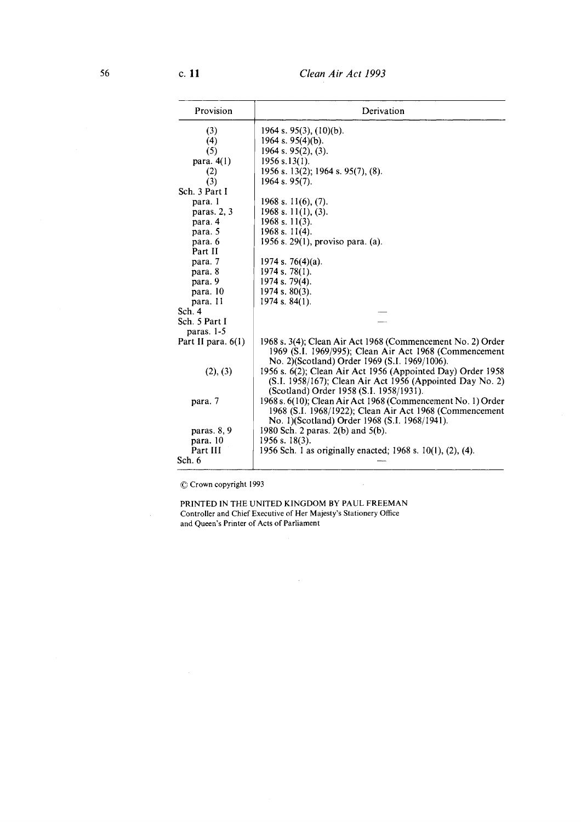| Provision          | Derivation                                                                                                                                                               |
|--------------------|--------------------------------------------------------------------------------------------------------------------------------------------------------------------------|
| (3)                | 1964 s. 95(3), $(10)(b)$ .                                                                                                                                               |
| (4)                | 1964 s. $95(4)(b)$ .                                                                                                                                                     |
| (5)                | 1964 s. 95(2), (3).                                                                                                                                                      |
| para. 4(1)         | $1956$ s.13(1).                                                                                                                                                          |
| (2)                | 1956 s. 13(2); 1964 s. 95(7), (8).                                                                                                                                       |
| (3)                | 1964 s. 95(7).                                                                                                                                                           |
| Sch. 3 Part I      |                                                                                                                                                                          |
| para. 1            | 1968 s. 11(6), $(7)$ .                                                                                                                                                   |
| paras. $2, 3$      | 1968 s. $11(1)$ , (3).                                                                                                                                                   |
| para. 4            | 1968 s. $11(3)$ .                                                                                                                                                        |
| para. 5            | 1968 s. $11(4)$ .                                                                                                                                                        |
| para. 6            | 1956 s. 29(1), proviso para. (a).                                                                                                                                        |
| Part II            |                                                                                                                                                                          |
| para. 7            | 1974 s. 76(4)(a).                                                                                                                                                        |
| para. 8            | 1974 s. 78(1).                                                                                                                                                           |
| para. 9            | 1974 s. 79(4).                                                                                                                                                           |
| para. 10           | $1974$ s. $80(3)$ .                                                                                                                                                      |
| para. 11           | 1974 s. $84(1)$ .                                                                                                                                                        |
| Sch. 4             |                                                                                                                                                                          |
| Sch. 5 Part I      |                                                                                                                                                                          |
| paras. 1-5         |                                                                                                                                                                          |
| Part II para. 6(1) | 1968 s. 3(4); Clean Air Act 1968 (Commencement No. 2) Order<br>1969 (S.I. 1969/995); Clean Air Act 1968 (Commencement<br>No. 2)(Scotland) Order 1969 (S.I. 1969/1006).   |
| (2), (3)           | 1956 s. 6(2); Clean Air Act 1956 (Appointed Day) Order 1958<br>(S.I. 1958/167); Clean Air Act 1956 (Appointed Day No. 2)<br>(Scotland) Order 1958 (S.I. 1958/1931).      |
| para. 7            | 1968 s. 6(10); Clean Air Act 1968 (Commencement No. 1) Order<br>1968 (S.I. 1968/1922); Clean Air Act 1968 (Commencement<br>No. 1)(Scotland) Order 1968 (S.I. 1968/1941). |
| paras. $8, 9$      | 1980 Sch. 2 paras. 2(b) and 5(b).                                                                                                                                        |
| para. 10           | 1956 s. $18(3)$ .                                                                                                                                                        |
| Part III           | 1956 Sch. 1 as originally enacted; 1968 s. 10(1), (2), (4).                                                                                                              |
| Sch. 6             |                                                                                                                                                                          |

 $\sim$ 

© Crown copyright 1993

PRINTED IN THE UNITED KINGDOM BY PAUL FREEMAN Controller and Chief Executive of Her Majesty's Stationery Office and Queen's Printer of Acts of Parliament

 $\bar{\mathcal{A}}$